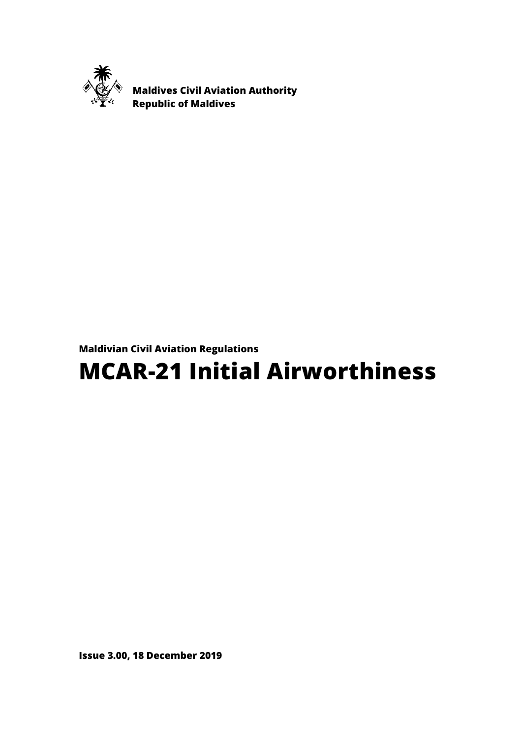

**Maldives Civil Aviation Authority Republic of Maldives**

# **Maldivian Civil Aviation Regulations**

# **MCAR-21 Initial Airworthiness**

**Issue 3.00, 18 December 2019**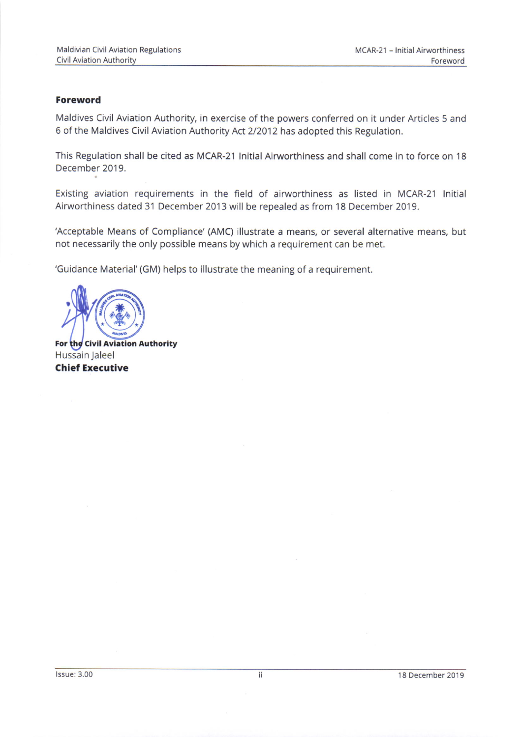#### **Foreword**

Maldives Civil Aviation Authority, in exercise of the powers conferred on it under Articles 5 and 6 of the Maldives Civil Aviation Authority Act 2/2012 has adopted this Regulation.

This Regulation shall be cited as MCAR-21 Initial Airworthiness and shall come in to force on 18 December 2019.

Existing aviation requirements in the field of airworthiness as listed in MCAR-21 Initial Airworthiness dated 31 December 2013 will be repealed as from 18 December 2019.

'Acceptable Means of Compliance' (AMC) illustrate a means, or several alternative means, but not necessarily the only possible means by which a requirement can be met.

'Guidance Material'(GM) helps to illustrate the meaning of a requirement.

f; manner to the contract of

For the Civil Aviation Authority Hussain Jaleel **Chief Executive**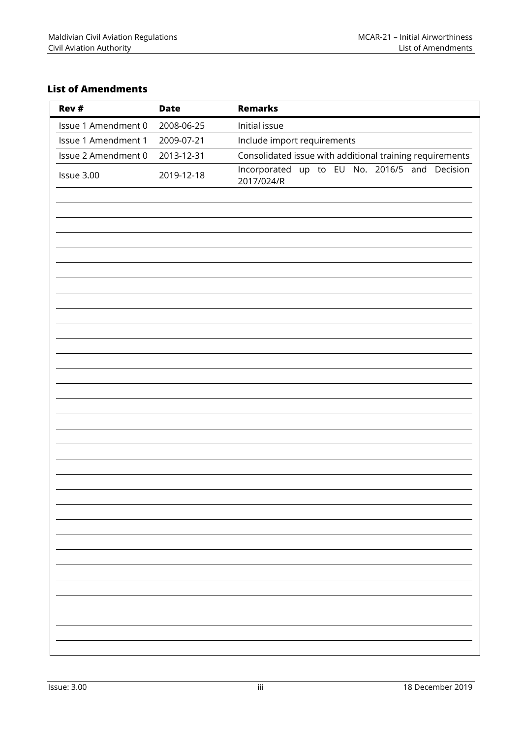# <span id="page-2-0"></span>**List of Amendments**

| Rev #               | <b>Date</b> | <b>Remarks</b>                                              |  |  |
|---------------------|-------------|-------------------------------------------------------------|--|--|
| Issue 1 Amendment 0 | 2008-06-25  | Initial issue                                               |  |  |
| Issue 1 Amendment 1 | 2009-07-21  | Include import requirements                                 |  |  |
| Issue 2 Amendment 0 | 2013-12-31  | Consolidated issue with additional training requirements    |  |  |
| Issue 3.00          | 2019-12-18  | Incorporated up to EU No. 2016/5 and Decision<br>2017/024/R |  |  |
|                     |             |                                                             |  |  |
|                     |             |                                                             |  |  |
|                     |             |                                                             |  |  |
|                     |             |                                                             |  |  |
|                     |             |                                                             |  |  |
|                     |             |                                                             |  |  |
|                     |             |                                                             |  |  |
|                     |             |                                                             |  |  |
|                     |             |                                                             |  |  |
|                     |             |                                                             |  |  |
|                     |             |                                                             |  |  |
|                     |             |                                                             |  |  |
|                     |             |                                                             |  |  |
|                     |             |                                                             |  |  |
|                     |             |                                                             |  |  |
|                     |             |                                                             |  |  |
|                     |             |                                                             |  |  |
|                     |             |                                                             |  |  |
|                     |             |                                                             |  |  |
|                     |             |                                                             |  |  |
|                     |             |                                                             |  |  |
|                     |             |                                                             |  |  |
|                     |             |                                                             |  |  |
|                     |             |                                                             |  |  |
|                     |             |                                                             |  |  |
|                     |             |                                                             |  |  |
|                     |             |                                                             |  |  |
|                     |             |                                                             |  |  |
|                     |             |                                                             |  |  |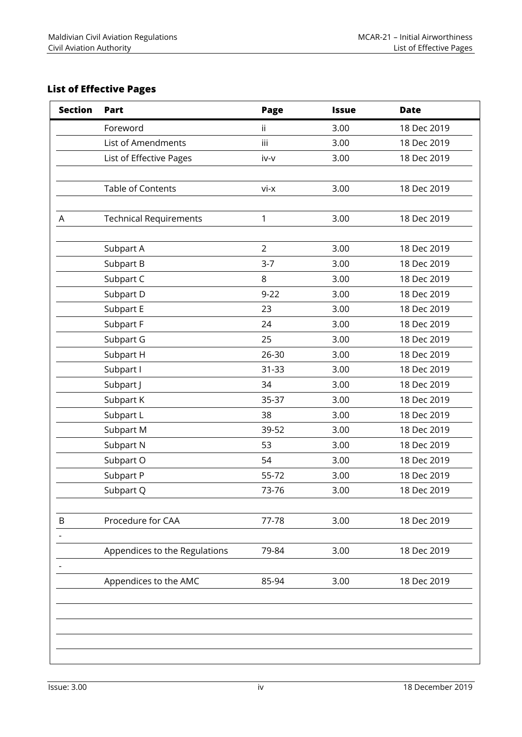# <span id="page-3-0"></span>**List of Effective Pages**

| <b>Section</b> | Part                          | Page           | <b>Issue</b> | <b>Date</b> |
|----------------|-------------------------------|----------------|--------------|-------------|
|                | Foreword                      | ii             | 3.00         | 18 Dec 2019 |
|                | List of Amendments            | iii            | 3.00         | 18 Dec 2019 |
|                | List of Effective Pages       | iv-v           | 3.00         | 18 Dec 2019 |
|                |                               |                |              |             |
|                | <b>Table of Contents</b>      | vi-x           | 3.00         | 18 Dec 2019 |
|                |                               |                |              |             |
| A              | <b>Technical Requirements</b> | 1              | 3.00         | 18 Dec 2019 |
|                |                               |                |              |             |
|                | Subpart A                     | $\overline{2}$ | 3.00         | 18 Dec 2019 |
|                | Subpart B                     | $3 - 7$        | 3.00         | 18 Dec 2019 |
|                | Subpart C                     | 8              | 3.00         | 18 Dec 2019 |
|                | Subpart D                     | $9 - 22$       | 3.00         | 18 Dec 2019 |
|                | Subpart E                     | 23             | 3.00         | 18 Dec 2019 |
|                | Subpart F                     | 24             | 3.00         | 18 Dec 2019 |
|                | Subpart G                     | 25             | 3.00         | 18 Dec 2019 |
|                | Subpart H                     | $26 - 30$      | 3.00         | 18 Dec 2019 |
|                | Subpart I                     | $31 - 33$      | 3.00         | 18 Dec 2019 |
|                | Subpart J                     | 34             | 3.00         | 18 Dec 2019 |
|                | Subpart K                     | 35-37          | 3.00         | 18 Dec 2019 |
|                | Subpart L                     | 38             | 3.00         | 18 Dec 2019 |
|                | Subpart M                     | 39-52          | 3.00         | 18 Dec 2019 |
|                | Subpart N                     | 53             | 3.00         | 18 Dec 2019 |
|                | Subpart O                     | 54             | 3.00         | 18 Dec 2019 |
|                | Subpart P                     | 55-72          | 3.00         | 18 Dec 2019 |
|                | Subpart Q                     | 73-76          | 3.00         | 18 Dec 2019 |
| B              | Procedure for CAA             | 77-78          | 3.00         | 18 Dec 2019 |
|                | Appendices to the Regulations | 79-84          | 3.00         | 18 Dec 2019 |
|                |                               |                |              |             |
|                | Appendices to the AMC         | 85-94          | 3.00         | 18 Dec 2019 |
|                |                               |                |              |             |
|                |                               |                |              |             |
|                |                               |                |              |             |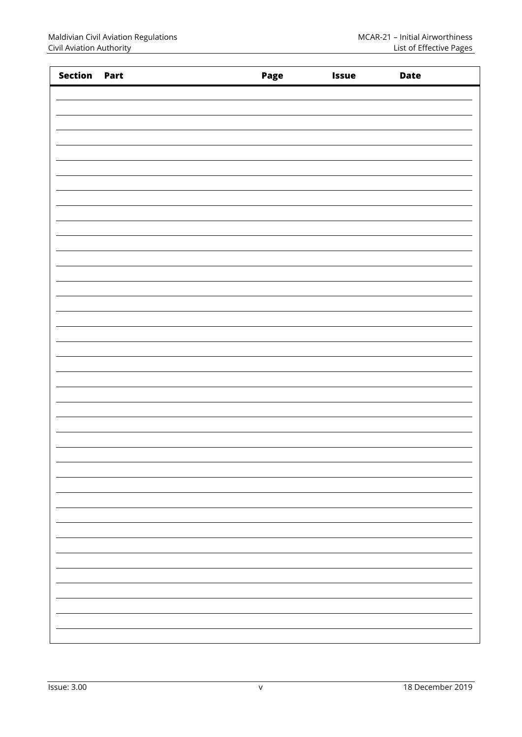| Section | Part | Page | <b>Issue</b> | <b>Date</b> |
|---------|------|------|--------------|-------------|
|         |      |      |              |             |
|         |      |      |              |             |
|         |      |      |              |             |
|         |      |      |              |             |
|         |      |      |              |             |
|         |      |      |              |             |
|         |      |      |              |             |
|         |      |      |              |             |
|         |      |      |              |             |
|         |      |      |              |             |
|         |      |      |              |             |
|         |      |      |              |             |
|         |      |      |              |             |
|         |      |      |              |             |
|         |      |      |              |             |
|         |      |      |              |             |
|         |      |      |              |             |
|         |      |      |              |             |
|         |      |      |              |             |
|         |      |      |              |             |
|         |      |      |              |             |
|         |      |      |              |             |
|         |      |      |              |             |
|         |      |      |              |             |
|         |      |      |              |             |
|         |      |      |              |             |
|         |      |      |              |             |
|         |      |      |              |             |
|         |      |      |              |             |
|         |      |      |              |             |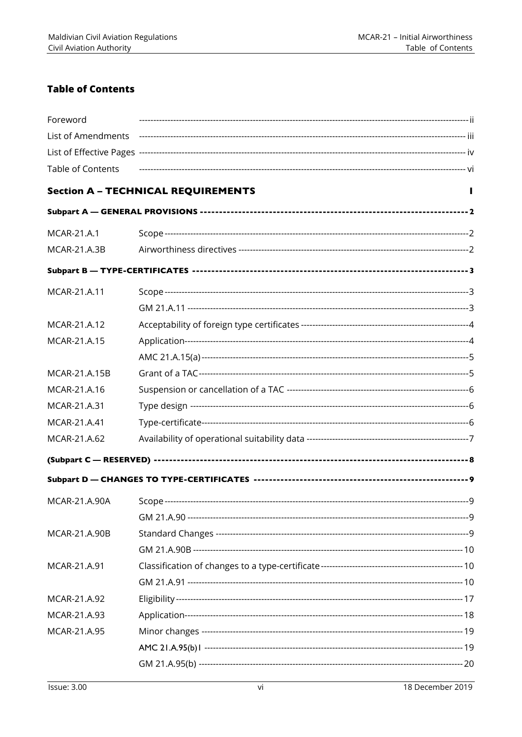# <span id="page-5-0"></span>**Table of Contents**

| Foreword            |                                           |  |
|---------------------|-------------------------------------------|--|
| List of Amendments  |                                           |  |
|                     |                                           |  |
| Table of Contents   |                                           |  |
|                     | <b>Section A - TECHNICAL REQUIREMENTS</b> |  |
|                     |                                           |  |
| MCAR-21.A.1         |                                           |  |
| <b>MCAR-21.A.3B</b> |                                           |  |
|                     |                                           |  |
| MCAR-21.A.11        |                                           |  |
|                     |                                           |  |
| MCAR-21.A.12        |                                           |  |
| MCAR-21.A.15        |                                           |  |
|                     |                                           |  |
| MCAR-21, A.15B      |                                           |  |
| MCAR-21.A.16        |                                           |  |
| MCAR-21.A.31        |                                           |  |
| MCAR-21.A.41        |                                           |  |
| MCAR-21.A.62        |                                           |  |
|                     |                                           |  |
|                     |                                           |  |
| MCAR-21.A.90A       |                                           |  |
|                     |                                           |  |
| MCAR-21.A.90B       |                                           |  |
|                     |                                           |  |
| MCAR-21.A.91        |                                           |  |
|                     |                                           |  |
| MCAR-21.A.92        |                                           |  |
| MCAR-21.A.93        |                                           |  |
| MCAR-21.A.95        |                                           |  |
|                     |                                           |  |
|                     |                                           |  |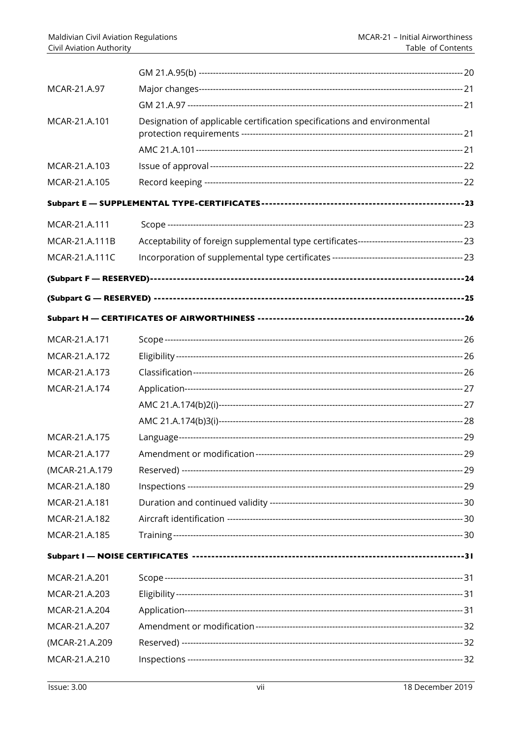| MCAR-21.A.97   |                                                                          |  |
|----------------|--------------------------------------------------------------------------|--|
|                |                                                                          |  |
| MCAR-21.A.101  | Designation of applicable certification specifications and environmental |  |
|                |                                                                          |  |
|                |                                                                          |  |
| MCAR-21.A.103  |                                                                          |  |
| MCAR-21.A.105  |                                                                          |  |
|                |                                                                          |  |
| MCAR-21.A.111  |                                                                          |  |
| MCAR-21.A.111B |                                                                          |  |
| MCAR-21.A.111C |                                                                          |  |
|                |                                                                          |  |
|                |                                                                          |  |
|                |                                                                          |  |
| MCAR-21.A.171  |                                                                          |  |
| MCAR-21.A.172  |                                                                          |  |
| MCAR-21.A.173  |                                                                          |  |
| MCAR-21.A.174  |                                                                          |  |
|                |                                                                          |  |
|                |                                                                          |  |
| MCAR-21.A.175  |                                                                          |  |
| MCAR-21.A.177  |                                                                          |  |
| (MCAR-21.A.179 |                                                                          |  |
| MCAR-21.A.180  |                                                                          |  |
| MCAR-21.A.181  |                                                                          |  |
| MCAR-21.A.182  |                                                                          |  |
| MCAR-21.A.185  |                                                                          |  |
|                |                                                                          |  |
| MCAR-21.A.201  |                                                                          |  |
| MCAR-21.A.203  |                                                                          |  |
| MCAR-21.A.204  |                                                                          |  |
| MCAR-21.A.207  |                                                                          |  |
| (MCAR-21.A.209 |                                                                          |  |
| MCAR-21.A.210  |                                                                          |  |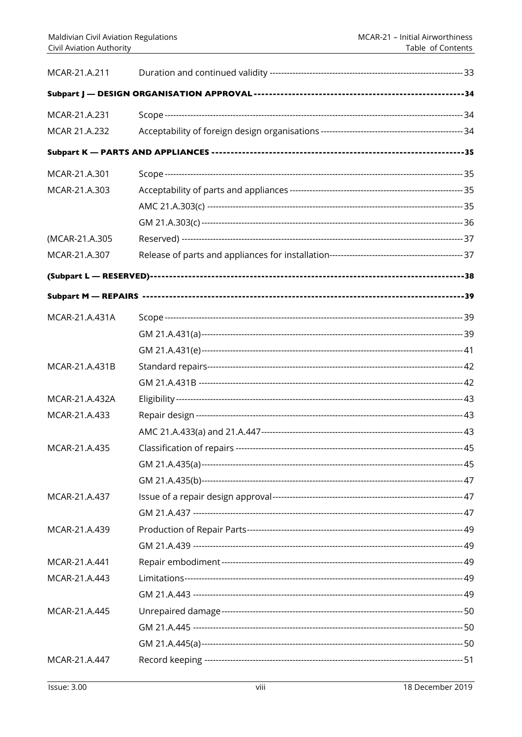| MCAR-21.A.211  |  |
|----------------|--|
|                |  |
| MCAR-21.A.231  |  |
| MCAR 21.A.232  |  |
|                |  |
| MCAR-21.A.301  |  |
| MCAR-21.A.303  |  |
|                |  |
|                |  |
| (MCAR-21.A.305 |  |
| MCAR-21.A.307  |  |
|                |  |
|                |  |
| MCAR-21.A.431A |  |
|                |  |
|                |  |
| MCAR-21.A.431B |  |
|                |  |
| MCAR-21.A.432A |  |
| MCAR-21.A.433  |  |
|                |  |
| MCAR-21, A.435 |  |
|                |  |
|                |  |
| MCAR-21.A.437  |  |
|                |  |
| MCAR-21.A.439  |  |
|                |  |
| MCAR-21.A.441  |  |
| MCAR-21.A.443  |  |
|                |  |
| MCAR-21.A.445  |  |
|                |  |
|                |  |
| MCAR-21.A.447  |  |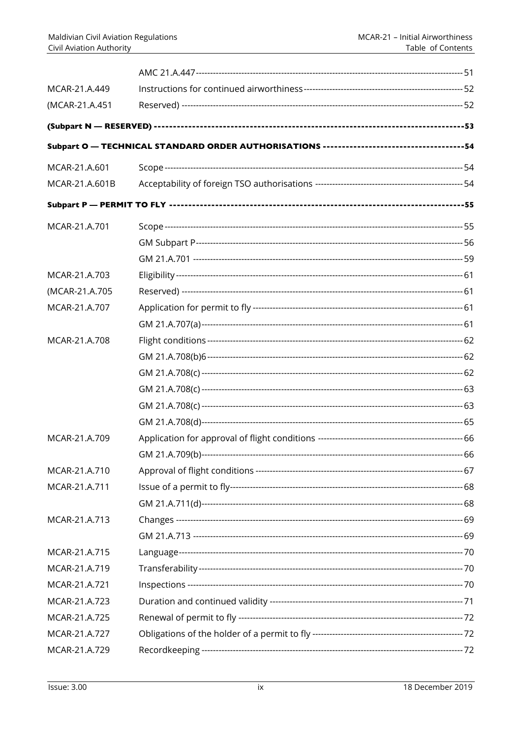| MCAR-21.A.449  |  |
|----------------|--|
| (MCAR-21.A.451 |  |
|                |  |
|                |  |
| MCAR-21.A.601  |  |
| MCAR-21.A.601B |  |
|                |  |
| MCAR-21.A.701  |  |
|                |  |
|                |  |
| MCAR-21, A.703 |  |
| (MCAR-21.A.705 |  |
| MCAR-21.A.707  |  |
|                |  |
| MCAR-21.A.708  |  |
|                |  |
|                |  |
|                |  |
|                |  |
|                |  |
| MCAR-21.A.709  |  |
|                |  |
| MCAR-21.A.710  |  |
| MCAR-21.A.711  |  |
|                |  |
| MCAR-21, A.713 |  |
|                |  |
| MCAR-21.A.715  |  |
| MCAR-21.A.719  |  |
| MCAR-21.A.721  |  |
| MCAR-21.A.723  |  |
| MCAR-21.A.725  |  |
| MCAR-21.A.727  |  |
| MCAR-21.A.729  |  |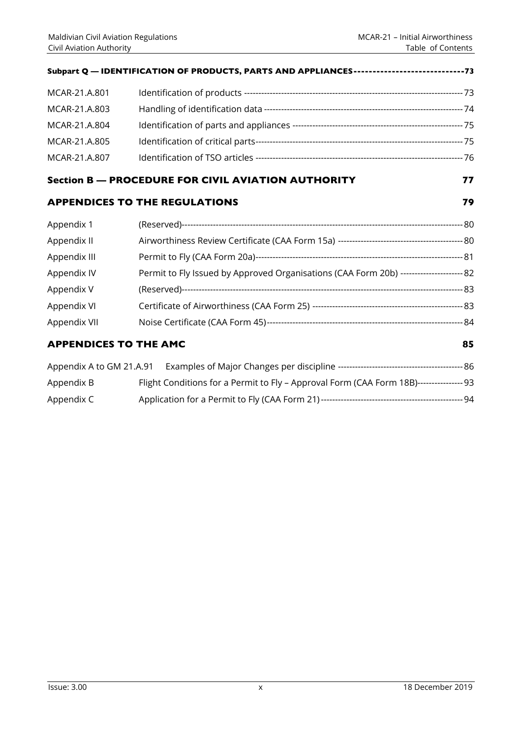|                              | Subpart Q - IDENTIFICATION OF PRODUCTS, PARTS AND APPLIANCES--------------------------------73 |    |
|------------------------------|------------------------------------------------------------------------------------------------|----|
| MCAR-21.A.801                |                                                                                                |    |
| MCAR-21, A.803               |                                                                                                |    |
| MCAR-21, A.804               |                                                                                                |    |
| MCAR-21.A.805                |                                                                                                |    |
| MCAR-21, A.807               |                                                                                                |    |
|                              | <b>Section B - PROCEDURE FOR CIVIL AVIATION AUTHORITY</b>                                      | 77 |
|                              | <b>APPENDICES TO THE REGULATIONS</b>                                                           | 79 |
| Appendix 1                   |                                                                                                |    |
| Appendix II                  |                                                                                                |    |
| Appendix III                 |                                                                                                |    |
| Appendix IV                  | Permit to Fly Issued by Approved Organisations (CAA Form 20b) ---------------------- 82        |    |
| Appendix V                   |                                                                                                |    |
| Appendix VI                  |                                                                                                |    |
| Appendix VII                 |                                                                                                |    |
| <b>APPENDICES TO THE AMC</b> |                                                                                                | 85 |
| Appendix A to GM 21.A.91     |                                                                                                |    |
| Appendix B                   | Flight Conditions for a Permit to Fly - Approval Form (CAA Form 18B)---------------- 93        |    |
| Appendix C                   |                                                                                                |    |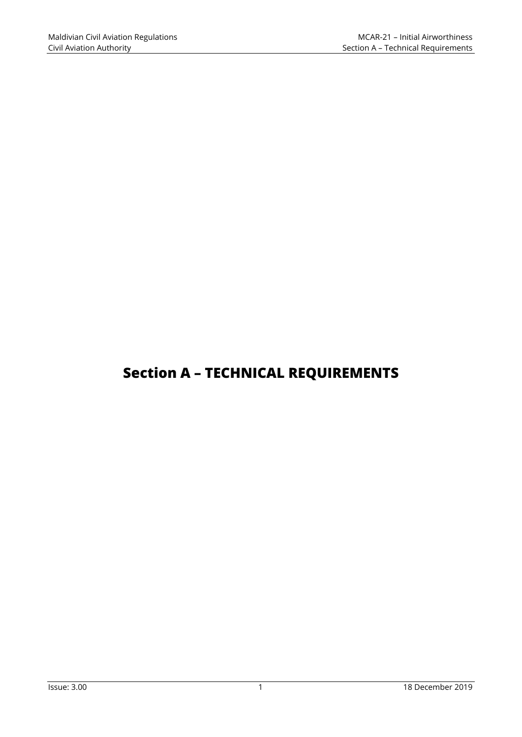# <span id="page-10-0"></span>**Section A – TECHNICAL REQUIREMENTS**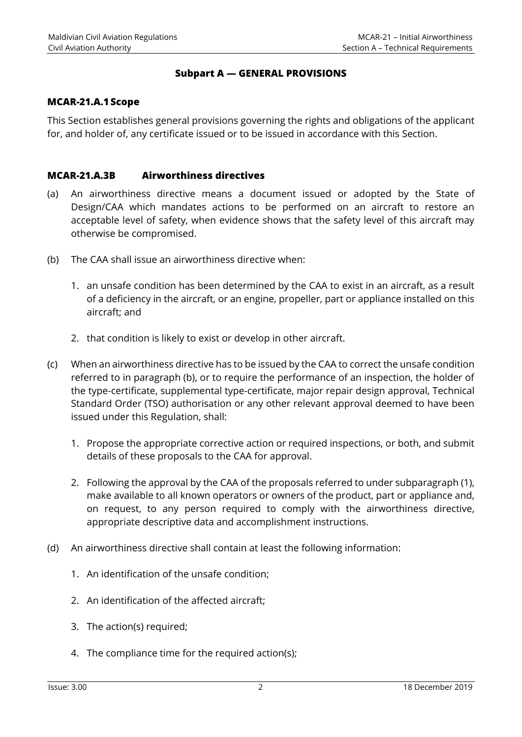#### **Subpart A — GENERAL PROVISIONS**

#### <span id="page-11-1"></span><span id="page-11-0"></span>**MCAR-21.A.1 Scope**

This Section establishes general provisions governing the rights and obligations of the applicant for, and holder of, any certificate issued or to be issued in accordance with this Section.

#### <span id="page-11-2"></span>**MCAR-21.A.3B Airworthiness directives**

- (a) An airworthiness directive means a document issued or adopted by the State of Design/CAA which mandates actions to be performed on an aircraft to restore an acceptable level of safety, when evidence shows that the safety level of this aircraft may otherwise be compromised.
- (b) The CAA shall issue an airworthiness directive when:
	- 1. an unsafe condition has been determined by the CAA to exist in an aircraft, as a result of a deficiency in the aircraft, or an engine, propeller, part or appliance installed on this aircraft; and
	- 2. that condition is likely to exist or develop in other aircraft.
- (c) When an airworthiness directive has to be issued by the CAA to correct the unsafe condition referred to in paragraph (b), or to require the performance of an inspection, the holder of the type-certificate, supplemental type-certificate, major repair design approval, Technical Standard Order (TSO) authorisation or any other relevant approval deemed to have been issued under this Regulation, shall:
	- 1. Propose the appropriate corrective action or required inspections, or both, and submit details of these proposals to the CAA for approval.
	- 2. Following the approval by the CAA of the proposals referred to under subparagraph (1), make available to all known operators or owners of the product, part or appliance and, on request, to any person required to comply with the airworthiness directive, appropriate descriptive data and accomplishment instructions.
- (d) An airworthiness directive shall contain at least the following information:
	- 1. An identification of the unsafe condition;
	- 2. An identification of the affected aircraft;
	- 3. The action(s) required;
	- 4. The compliance time for the required action(s);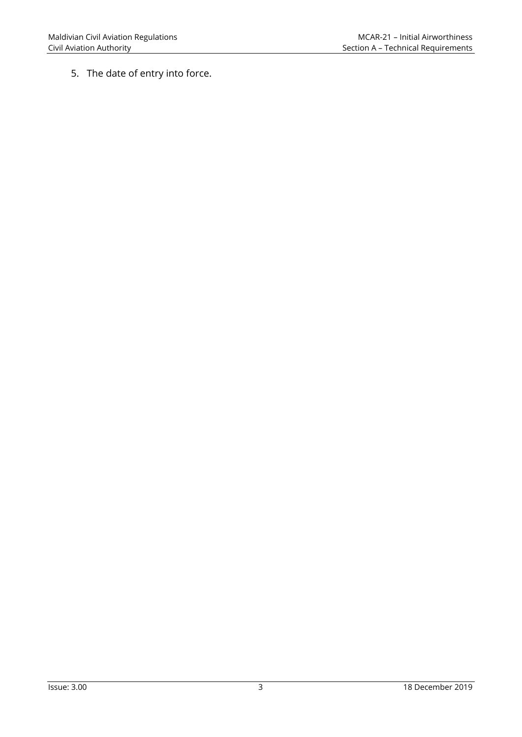5. The date of entry into force.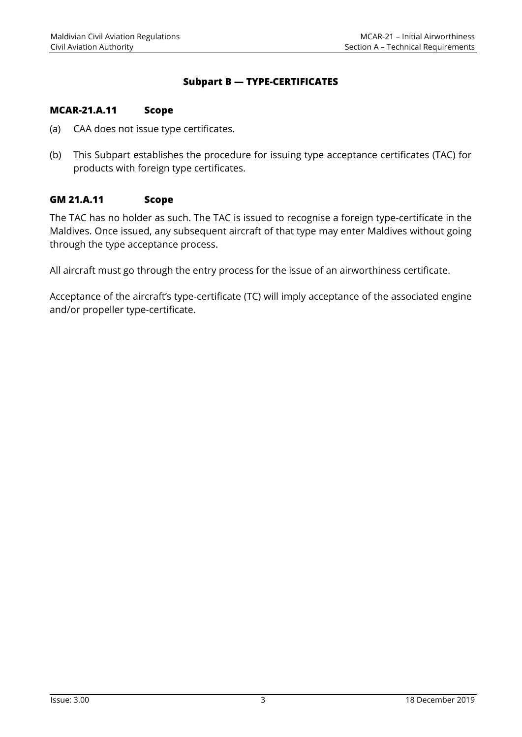# <span id="page-13-2"></span>**Subpart B — TYPE-CERTIFICATES**

#### <span id="page-13-1"></span><span id="page-13-0"></span>**MCAR-21.A.11 Scope**

- (a) CAA does not issue type certificates.
- (b) This Subpart establishes the procedure for issuing type acceptance certificates (TAC) for products with foreign type certificates.

#### **GM 21.A.11 Scope**

The TAC has no holder as such. The TAC is issued to recognise a foreign type-certificate in the Maldives. Once issued, any subsequent aircraft of that type may enter Maldives without going through the type acceptance process.

All aircraft must go through the entry process for the issue of an airworthiness certificate.

Acceptance of the aircraft's type-certificate (TC) will imply acceptance of the associated engine and/or propeller type-certificate.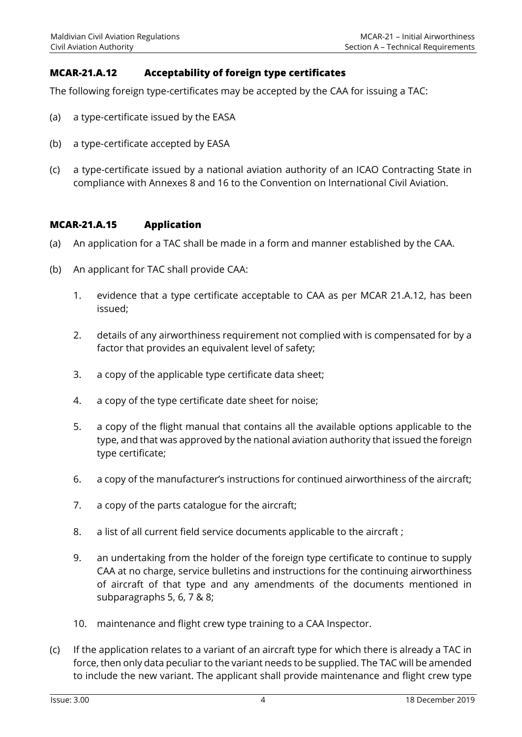#### <span id="page-14-0"></span>**MCAR-21.A.12 Acceptability of foreign type certificates**

The following foreign type-certificates may be accepted by the CAA for issuing a TAC:

- (a) a type-certificate issued by the EASA
- (b) a type-certificate accepted by EASA
- (c) a type-certificate issued by a national aviation authority of an ICAO Contracting State in compliance with Annexes 8 and 16 to the Convention on International Civil Aviation.

#### <span id="page-14-1"></span>**MCAR-21.A.15 Application**

- (a) An application for a TAC shall be made in a form and manner established by the CAA.
- (b) An applicant for TAC shall provide CAA:
	- 1. evidence that a type certificate acceptable to CAA as per MCAR 21.A.12, has been issued;
	- 2. details of any airworthiness requirement not complied with is compensated for by a factor that provides an equivalent level of safety;
	- 3. a copy of the applicable type certificate data sheet;
	- 4. a copy of the type certificate date sheet for noise;
	- 5. a copy of the flight manual that contains all the available options applicable to the type, and that was approved by the national aviation authority that issued the foreign type certificate;
	- 6. a copy of the manufacturer's instructions for continued airworthiness of the aircraft;
	- 7. a copy of the parts catalogue for the aircraft;
	- 8. a list of all current field service documents applicable to the aircraft ;
	- 9. an undertaking from the holder of the foreign type certificate to continue to supply CAA at no charge, service bulletins and instructions for the continuing airworthiness of aircraft of that type and any amendments of the documents mentioned in subparagraphs 5, 6, 7 & 8;
	- 10. maintenance and flight crew type training to a CAA Inspector.
- (c) If the application relates to a variant of an aircraft type for which there is already a TAC in force, then only data peculiar to the variant needs to be supplied. The TAC will be amended to include the new variant. The applicant shall provide maintenance and flight crew type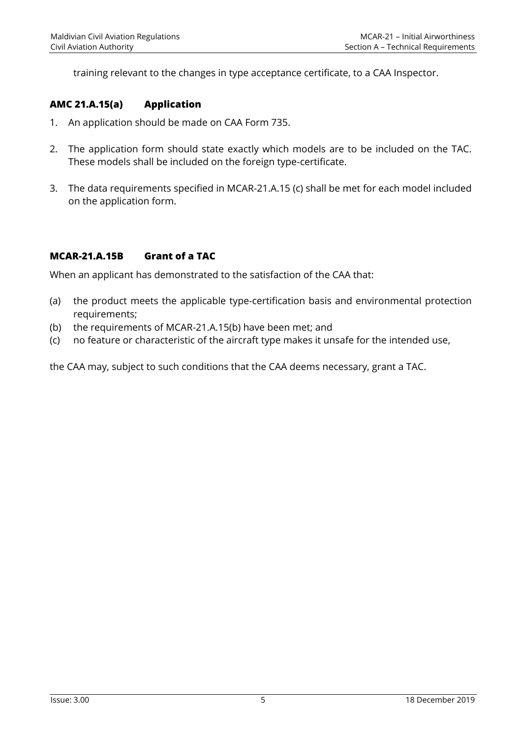<span id="page-15-0"></span>training relevant to the changes in type acceptance certificate, to a CAA Inspector.

# **AMC 21.A.15(a) Application**

- 1. An application should be made on CAA Form 735.
- 2. The application form should state exactly which models are to be included on the TAC. These models shall be included on the foreign type-certificate.
- 3. The data requirements specified in MCAR-21.A.15 (c) shall be met for each model included on the application form.

# <span id="page-15-1"></span>**MCAR-21.A.15B Grant of a TAC**

When an applicant has demonstrated to the satisfaction of the CAA that:

- (a) the product meets the applicable type-certification basis and environmental protection requirements;
- (b) the requirements of MCAR-21.A.15(b) have been met; and
- (c) no feature or characteristic of the aircraft type makes it unsafe for the intended use,

the CAA may, subject to such conditions that the CAA deems necessary, grant a TAC.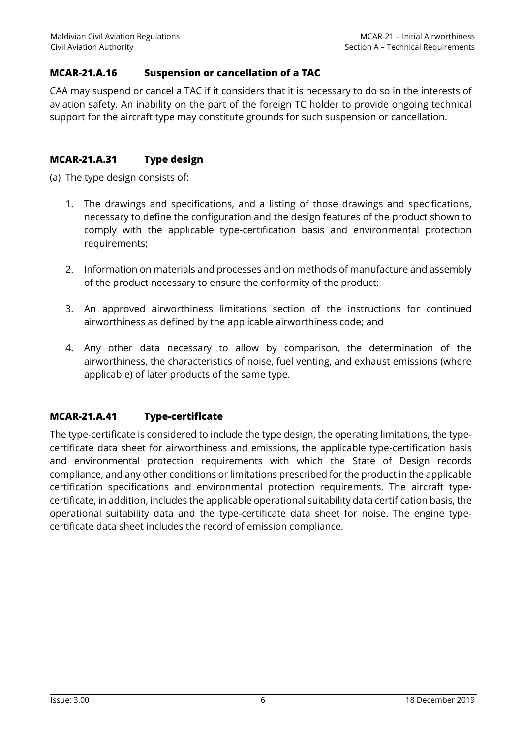# <span id="page-16-0"></span>**MCAR-21.A.16 Suspension or cancellation of a TAC**

CAA may suspend or cancel a TAC if it considers that it is necessary to do so in the interests of aviation safety. An inability on the part of the foreign TC holder to provide ongoing technical support for the aircraft type may constitute grounds for such suspension or cancellation.

# <span id="page-16-1"></span>**MCAR-21.A.31 Type design**

(a) The type design consists of:

- 1. The drawings and specifications, and a listing of those drawings and specifications, necessary to define the configuration and the design features of the product shown to comply with the applicable type-certification basis and environmental protection requirements;
- 2. Information on materials and processes and on methods of manufacture and assembly of the product necessary to ensure the conformity of the product;
- 3. An approved airworthiness limitations section of the instructions for continued airworthiness as defined by the applicable airworthiness code; and
- 4. Any other data necessary to allow by comparison, the determination of the airworthiness, the characteristics of noise, fuel venting, and exhaust emissions (where applicable) of later products of the same type.

# <span id="page-16-2"></span>**MCAR-21.A.41 Type-certificate**

The type-certificate is considered to include the type design, the operating limitations, the typecertificate data sheet for airworthiness and emissions, the applicable type-certification basis and environmental protection requirements with which the State of Design records compliance, and any other conditions or limitations prescribed for the product in the applicable certification specifications and environmental protection requirements. The aircraft typecertificate, in addition, includes the applicable operational suitability data certification basis, the operational suitability data and the type-certificate data sheet for noise. The engine typecertificate data sheet includes the record of emission compliance.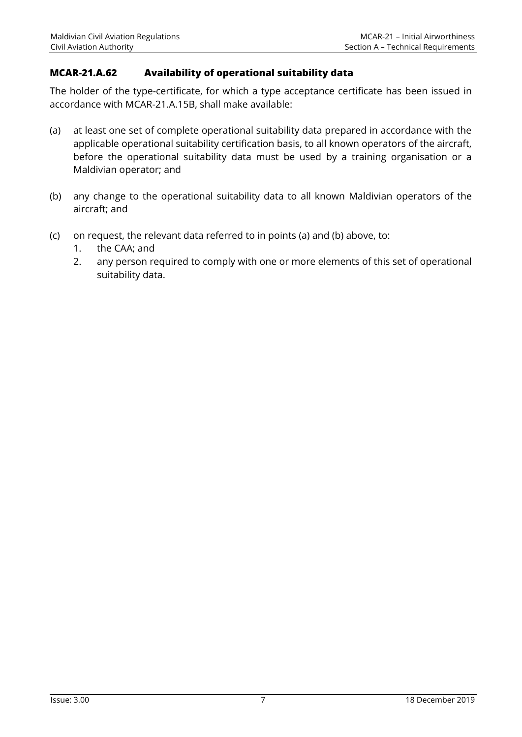# <span id="page-17-0"></span>**MCAR-21.A.62 Availability of operational suitability data**

The holder of the type-certificate, for which a type acceptance certificate has been issued in accordance with MCAR-21.A.15B, shall make available:

- (a) at least one set of complete operational suitability data prepared in accordance with the applicable operational suitability certification basis, to all known operators of the aircraft, before the operational suitability data must be used by a training organisation or a Maldivian operator; and
- (b) any change to the operational suitability data to all known Maldivian operators of the aircraft; and
- (c) on request, the relevant data referred to in points (a) and (b) above, to:
	- 1. the CAA; and
	- 2. any person required to comply with one or more elements of this set of operational suitability data.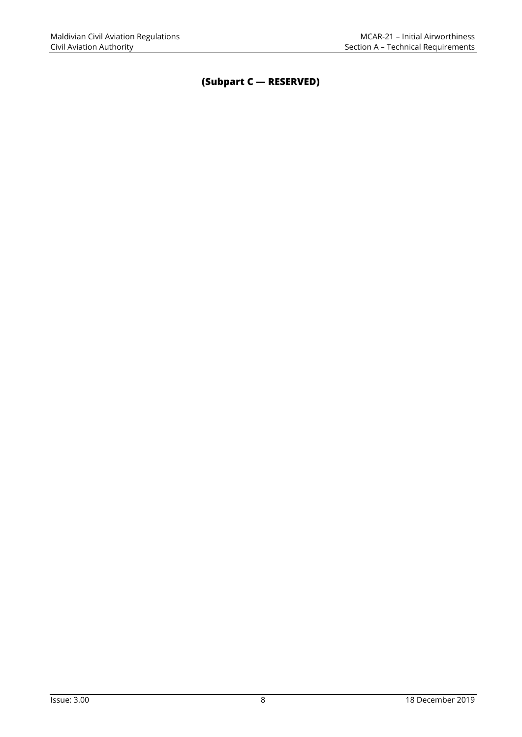# <span id="page-18-0"></span>**(Subpart C — RESERVED)**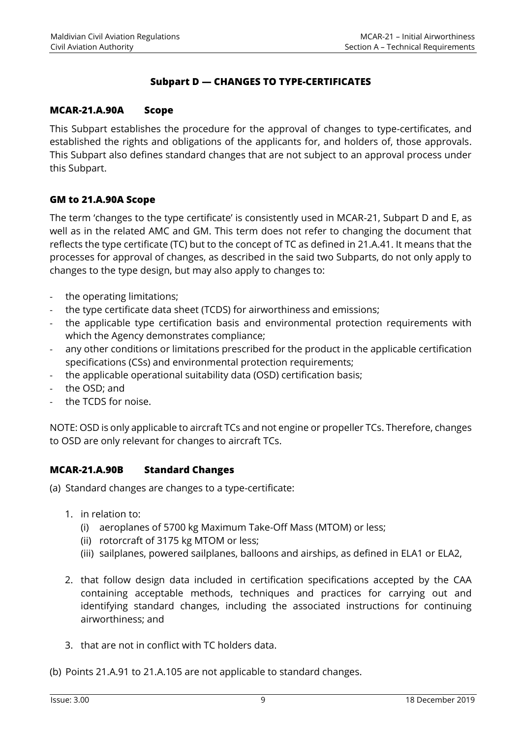# **Subpart D — CHANGES TO TYPE-CERTIFICATES**

#### <span id="page-19-1"></span><span id="page-19-0"></span>**MCAR-21.A.90A Scope**

This Subpart establishes the procedure for the approval of changes to type-certificates, and established the rights and obligations of the applicants for, and holders of, those approvals. This Subpart also defines standard changes that are not subject to an approval process under this Subpart.

#### <span id="page-19-2"></span>**GM to 21.A.90A Scope**

The term 'changes to the type certificate' is consistently used in MCAR-21, Subpart D and E, as well as in the related AMC and GM. This term does not refer to changing the document that reflects the type certificate (TC) but to the concept of TC as defined in 21.A.41. It means that the processes for approval of changes, as described in the said two Subparts, do not only apply to changes to the type design, but may also apply to changes to:

- the operating limitations;
- the type certificate data sheet (TCDS) for airworthiness and emissions;
- the applicable type certification basis and environmental protection requirements with which the Agency demonstrates compliance;
- any other conditions or limitations prescribed for the product in the applicable certification specifications (CSs) and environmental protection requirements;
- the applicable operational suitability data (OSD) certification basis;
- the OSD; and
- the TCDS for noise.

NOTE: OSD is only applicable to aircraft TCs and not engine or propeller TCs. Therefore, changes to OSD are only relevant for changes to aircraft TCs.

#### <span id="page-19-3"></span>**MCAR-21.A.90B Standard Changes**

(a) Standard changes are changes to a type-certificate:

- 1. in relation to:
	- (i) aeroplanes of 5700 kg Maximum Take-Off Mass (MTOM) or less;
	- (ii) rotorcraft of 3175 kg MTOM or less;
	- (iii) sailplanes, powered sailplanes, balloons and airships, as defined in ELA1 or ELA2,
- 2. that follow design data included in certification specifications accepted by the CAA containing acceptable methods, techniques and practices for carrying out and identifying standard changes, including the associated instructions for continuing airworthiness; and
- 3. that are not in conflict with TC holders data.

(b) Points 21.A.91 to 21.A.105 are not applicable to standard changes.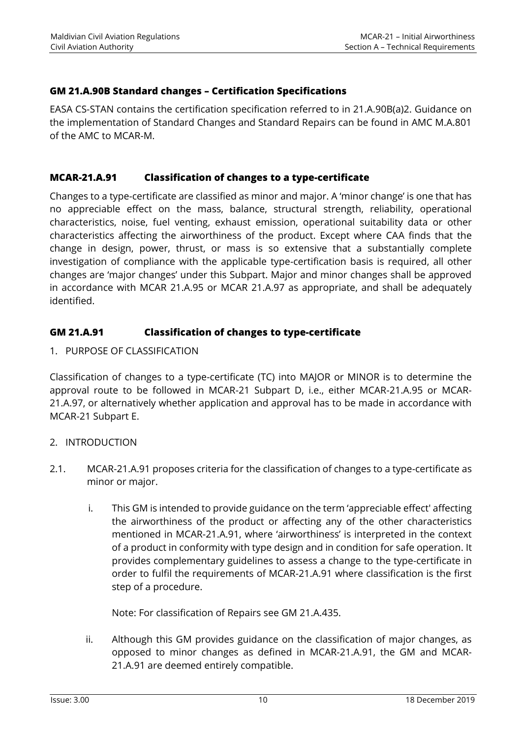# <span id="page-20-0"></span>**GM 21.A.90B Standard changes – Certification Specifications**

EASA CS-STAN contains the certification specification referred to in 21.A.90B(a)2. Guidance on the implementation of Standard Changes and Standard Repairs can be found in AMC M.A.801 of the AMC to MCAR-M.

# <span id="page-20-1"></span>**MCAR-21.A.91 Classification of changes to a type-certificate**

Changes to a type-certificate are classified as minor and major. A 'minor change' is one that has no appreciable effect on the mass, balance, structural strength, reliability, operational characteristics, noise, fuel venting, exhaust emission, operational suitability data or other characteristics affecting the airworthiness of the product. Except where CAA finds that the change in design, power, thrust, or mass is so extensive that a substantially complete investigation of compliance with the applicable type-certification basis is required, all other changes are 'major changes' under this Subpart. Major and minor changes shall be approved in accordance with MCAR 21.A.95 or MCAR 21.A.97 as appropriate, and shall be adequately identified.

# <span id="page-20-2"></span>**GM 21.A.91 Classification of changes to type-certificate**

1. PURPOSE OF CLASSIFICATION

Classification of changes to a type-certificate (TC) into MAJOR or MINOR is to determine the approval route to be followed in MCAR-21 Subpart D, i.e., either MCAR-21.A.95 or MCAR-21.A.97, or alternatively whether application and approval has to be made in accordance with MCAR-21 Subpart E.

- 2. INTRODUCTION
- 2.1. MCAR-21.A.91 proposes criteria for the classification of changes to a type-certificate as minor or major.
	- i. This GM is intended to provide guidance on the term 'appreciable effect' affecting the airworthiness of the product or affecting any of the other characteristics mentioned in MCAR-21.A.91, where 'airworthiness' is interpreted in the context of a product in conformity with type design and in condition for safe operation. It provides complementary guidelines to assess a change to the type-certificate in order to fulfil the requirements of MCAR-21.A.91 where classification is the first step of a procedure.

Note: For classification of Repairs see GM 21.A.435.

ii. Although this GM provides guidance on the classification of major changes, as opposed to minor changes as defined in MCAR-21.A.91, the GM and MCAR-21.A.91 are deemed entirely compatible.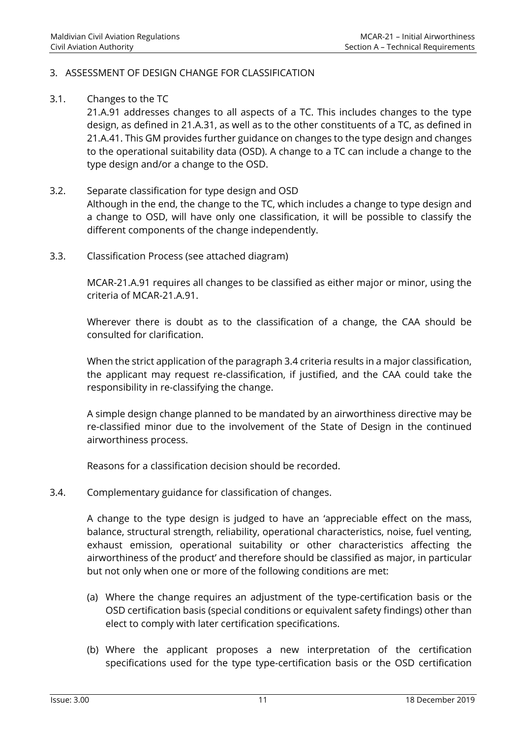#### 3. ASSESSMENT OF DESIGN CHANGE FOR CLASSIFICATION

#### 3.1. Changes to the TC

21.A.91 addresses changes to all aspects of a TC. This includes changes to the type design, as defined in 21.A.31, as well as to the other constituents of a TC, as defined in 21.A.41. This GM provides further guidance on changes to the type design and changes to the operational suitability data (OSD). A change to a TC can include a change to the type design and/or a change to the OSD.

# 3.2. Separate classification for type design and OSD Although in the end, the change to the TC, which includes a change to type design and a change to OSD, will have only one classification, it will be possible to classify the different components of the change independently.

3.3. Classification Process (see attached diagram)

MCAR-21.A.91 requires all changes to be classified as either major or minor, using the criteria of MCAR-21.A.91.

Wherever there is doubt as to the classification of a change, the CAA should be consulted for clarification.

When the strict application of the paragraph 3.4 criteria results in a major classification, the applicant may request re-classification, if justified, and the CAA could take the responsibility in re-classifying the change.

A simple design change planned to be mandated by an airworthiness directive may be re-classified minor due to the involvement of the State of Design in the continued airworthiness process.

Reasons for a classification decision should be recorded.

#### 3.4. Complementary guidance for classification of changes.

A change to the type design is judged to have an 'appreciable effect on the mass, balance, structural strength, reliability, operational characteristics, noise, fuel venting, exhaust emission, operational suitability or other characteristics affecting the airworthiness of the product' and therefore should be classified as major, in particular but not only when one or more of the following conditions are met:

- (a) Where the change requires an adjustment of the type-certification basis or the OSD certification basis (special conditions or equivalent safety findings) other than elect to comply with later certification specifications.
- (b) Where the applicant proposes a new interpretation of the certification specifications used for the type type-certification basis or the OSD certification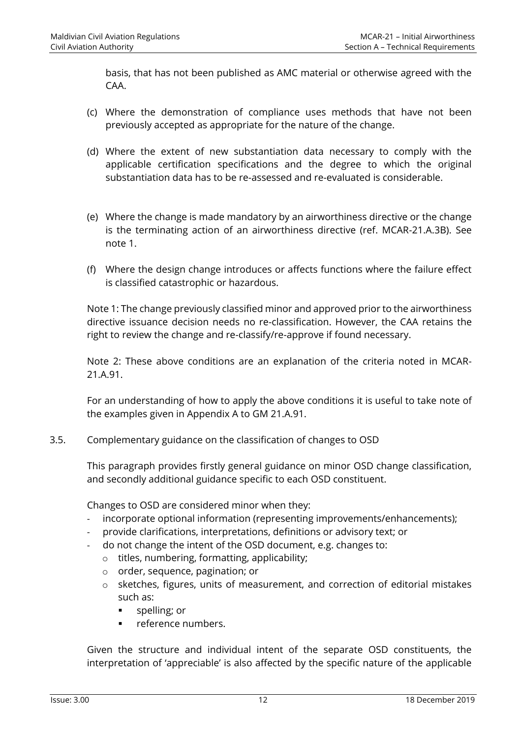basis, that has not been published as AMC material or otherwise agreed with the CAA.

- (c) Where the demonstration of compliance uses methods that have not been previously accepted as appropriate for the nature of the change.
- (d) Where the extent of new substantiation data necessary to comply with the applicable certification specifications and the degree to which the original substantiation data has to be re-assessed and re-evaluated is considerable.
- (e) Where the change is made mandatory by an airworthiness directive or the change is the terminating action of an airworthiness directive (ref. MCAR-21.A.3B). See note 1.
- (f) Where the design change introduces or affects functions where the failure effect is classified catastrophic or hazardous.

Note 1: The change previously classified minor and approved prior to the airworthiness directive issuance decision needs no re-classification. However, the CAA retains the right to review the change and re-classify/re-approve if found necessary.

Note 2: These above conditions are an explanation of the criteria noted in MCAR-21.A.91.

For an understanding of how to apply the above conditions it is useful to take note of the examples given in Appendix A to GM 21.A.91.

3.5. Complementary guidance on the classification of changes to OSD

This paragraph provides firstly general guidance on minor OSD change classification, and secondly additional guidance specific to each OSD constituent.

Changes to OSD are considered minor when they:

- incorporate optional information (representing improvements/enhancements);
- provide clarifications, interpretations, definitions or advisory text; or
- do not change the intent of the OSD document, e.g. changes to:
	- o titles, numbering, formatting, applicability;
	- o order, sequence, pagination; or
	- o sketches, figures, units of measurement, and correction of editorial mistakes such as:
		- **spelling**; or
		- **Falle** reference numbers.

Given the structure and individual intent of the separate OSD constituents, the interpretation of 'appreciable' is also affected by the specific nature of the applicable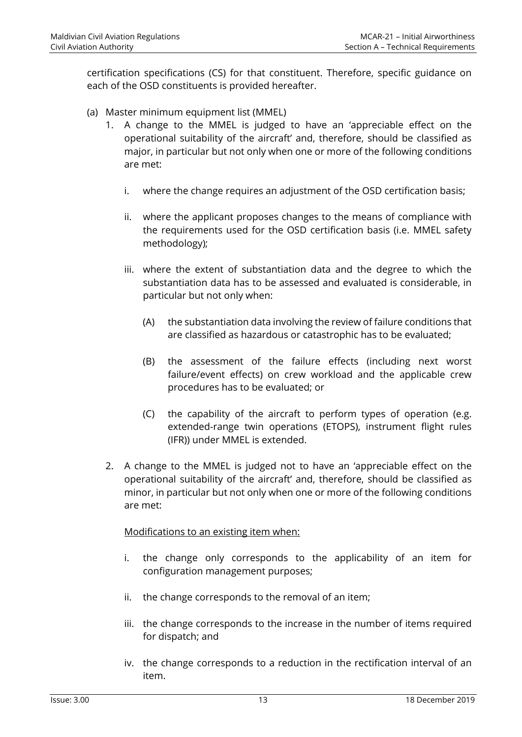certification specifications (CS) for that constituent. Therefore, specific guidance on each of the OSD constituents is provided hereafter.

- (a) Master minimum equipment list (MMEL)
	- 1. A change to the MMEL is judged to have an 'appreciable effect on the operational suitability of the aircraft' and, therefore, should be classified as major, in particular but not only when one or more of the following conditions are met:
		- i. where the change requires an adjustment of the OSD certification basis;
		- ii. where the applicant proposes changes to the means of compliance with the requirements used for the OSD certification basis (i.e. MMEL safety methodology);
		- iii. where the extent of substantiation data and the degree to which the substantiation data has to be assessed and evaluated is considerable, in particular but not only when:
			- (A) the substantiation data involving the review of failure conditions that are classified as hazardous or catastrophic has to be evaluated;
			- (B) the assessment of the failure effects (including next worst failure/event effects) on crew workload and the applicable crew procedures has to be evaluated; or
			- (C) the capability of the aircraft to perform types of operation (e.g. extended-range twin operations (ETOPS), instrument flight rules (IFR)) under MMEL is extended.
	- 2. A change to the MMEL is judged not to have an 'appreciable effect on the operational suitability of the aircraft' and, therefore, should be classified as minor, in particular but not only when one or more of the following conditions are met:

#### Modifications to an existing item when:

- i. the change only corresponds to the applicability of an item for configuration management purposes;
- ii. the change corresponds to the removal of an item;
- iii. the change corresponds to the increase in the number of items required for dispatch; and
- iv. the change corresponds to a reduction in the rectification interval of an item.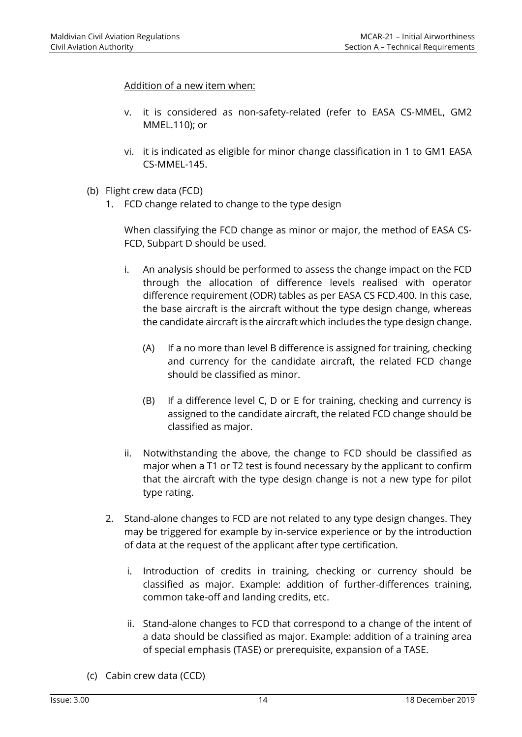#### Addition of a new item when:

- v. it is considered as non-safety-related (refer to EASA CS-MMEL, GM2 MMEL.110); or
- vi. it is indicated as eligible for minor change classification in 1 to GM1 EASA CS-MMEL-145.
- (b) Flight crew data (FCD)
	- 1. FCD change related to change to the type design

When classifying the FCD change as minor or major, the method of EASA CS-FCD, Subpart D should be used.

- i. An analysis should be performed to assess the change impact on the FCD through the allocation of difference levels realised with operator difference requirement (ODR) tables as per EASA CS FCD.400. In this case, the base aircraft is the aircraft without the type design change, whereas the candidate aircraft is the aircraft which includes the type design change.
	- (A) If a no more than level B difference is assigned for training, checking and currency for the candidate aircraft, the related FCD change should be classified as minor.
	- (B) If a difference level C, D or E for training, checking and currency is assigned to the candidate aircraft, the related FCD change should be classified as major.
- ii. Notwithstanding the above, the change to FCD should be classified as major when a T1 or T2 test is found necessary by the applicant to confirm that the aircraft with the type design change is not a new type for pilot type rating.
- 2. Stand-alone changes to FCD are not related to any type design changes. They may be triggered for example by in-service experience or by the introduction of data at the request of the applicant after type certification.
	- i. Introduction of credits in training, checking or currency should be classified as major. Example: addition of further-differences training, common take-off and landing credits, etc.
	- ii. Stand-alone changes to FCD that correspond to a change of the intent of a data should be classified as major. Example: addition of a training area of special emphasis (TASE) or prerequisite, expansion of a TASE.
- (c) Cabin crew data (CCD)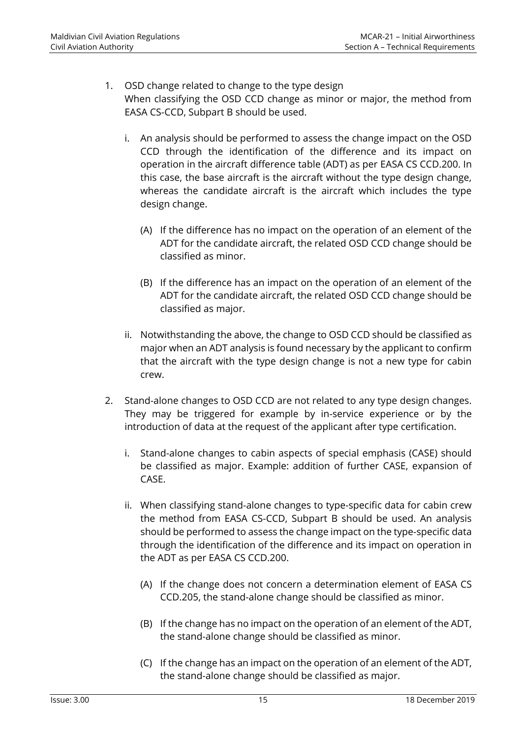- 1. OSD change related to change to the type design When classifying the OSD CCD change as minor or major, the method from EASA CS-CCD, Subpart B should be used.
	- i. An analysis should be performed to assess the change impact on the OSD CCD through the identification of the difference and its impact on operation in the aircraft difference table (ADT) as per EASA CS CCD.200. In this case, the base aircraft is the aircraft without the type design change, whereas the candidate aircraft is the aircraft which includes the type design change.
		- (A) If the difference has no impact on the operation of an element of the ADT for the candidate aircraft, the related OSD CCD change should be classified as minor.
		- (B) If the difference has an impact on the operation of an element of the ADT for the candidate aircraft, the related OSD CCD change should be classified as major.
	- ii. Notwithstanding the above, the change to OSD CCD should be classified as major when an ADT analysis is found necessary by the applicant to confirm that the aircraft with the type design change is not a new type for cabin crew.
- 2. Stand-alone changes to OSD CCD are not related to any type design changes. They may be triggered for example by in-service experience or by the introduction of data at the request of the applicant after type certification.
	- i. Stand-alone changes to cabin aspects of special emphasis (CASE) should be classified as major. Example: addition of further CASE, expansion of CASE.
	- ii. When classifying stand-alone changes to type-specific data for cabin crew the method from EASA CS-CCD, Subpart B should be used. An analysis should be performed to assess the change impact on the type-specific data through the identification of the difference and its impact on operation in the ADT as per EASA CS CCD.200.
		- (A) If the change does not concern a determination element of EASA CS CCD.205, the stand-alone change should be classified as minor.
		- (B) If the change has no impact on the operation of an element of the ADT, the stand-alone change should be classified as minor.
		- (C) If the change has an impact on the operation of an element of the ADT, the stand-alone change should be classified as major.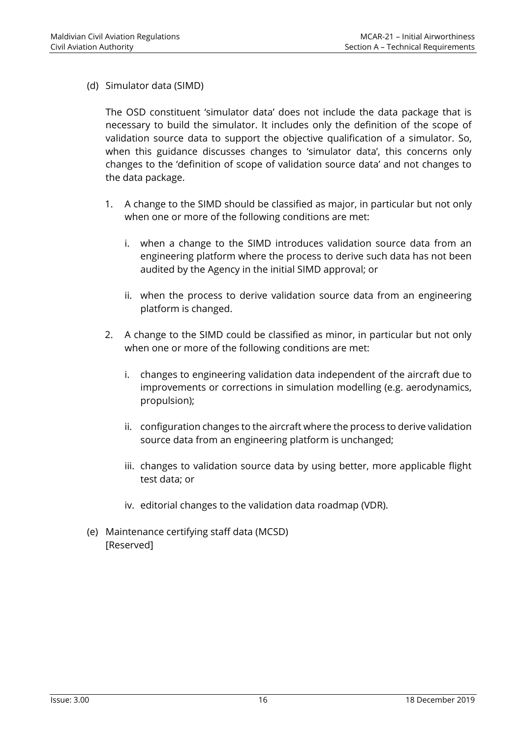(d) Simulator data (SIMD)

The OSD constituent 'simulator data' does not include the data package that is necessary to build the simulator. It includes only the definition of the scope of validation source data to support the objective qualification of a simulator. So, when this guidance discusses changes to 'simulator data', this concerns only changes to the 'definition of scope of validation source data' and not changes to the data package.

- 1. A change to the SIMD should be classified as major, in particular but not only when one or more of the following conditions are met:
	- i. when a change to the SIMD introduces validation source data from an engineering platform where the process to derive such data has not been audited by the Agency in the initial SIMD approval; or
	- ii. when the process to derive validation source data from an engineering platform is changed.
- 2. A change to the SIMD could be classified as minor, in particular but not only when one or more of the following conditions are met:
	- i. changes to engineering validation data independent of the aircraft due to improvements or corrections in simulation modelling (e.g. aerodynamics, propulsion);
	- ii. configuration changes to the aircraft where the process to derive validation source data from an engineering platform is unchanged;
	- iii. changes to validation source data by using better, more applicable flight test data; or
	- iv. editorial changes to the validation data roadmap (VDR).
- (e) Maintenance certifying staff data (MCSD) [Reserved]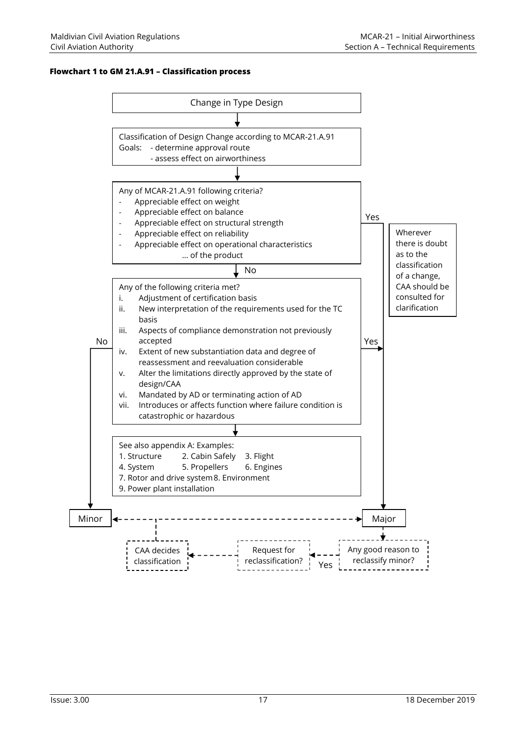#### **Flowchart 1 to GM 21.A.91 – Classification process**

<span id="page-27-0"></span>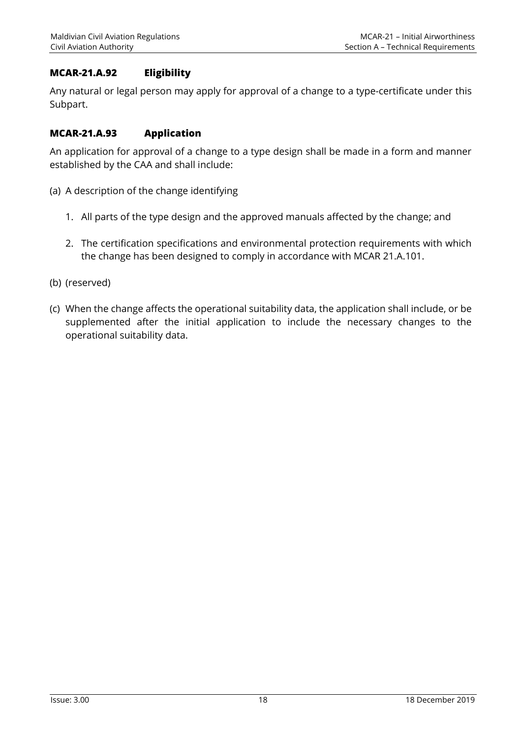# **MCAR-21.A.92 Eligibility**

Any natural or legal person may apply for approval of a change to a type-certificate under this Subpart.

## <span id="page-28-0"></span>**MCAR-21.A.93 Application**

An application for approval of a change to a type design shall be made in a form and manner established by the CAA and shall include:

- (a) A description of the change identifying
	- 1. All parts of the type design and the approved manuals affected by the change; and
	- 2. The certification specifications and environmental protection requirements with which the change has been designed to comply in accordance with MCAR 21.A.101.
- (b) (reserved)
- (c) When the change affects the operational suitability data, the application shall include, or be supplemented after the initial application to include the necessary changes to the operational suitability data.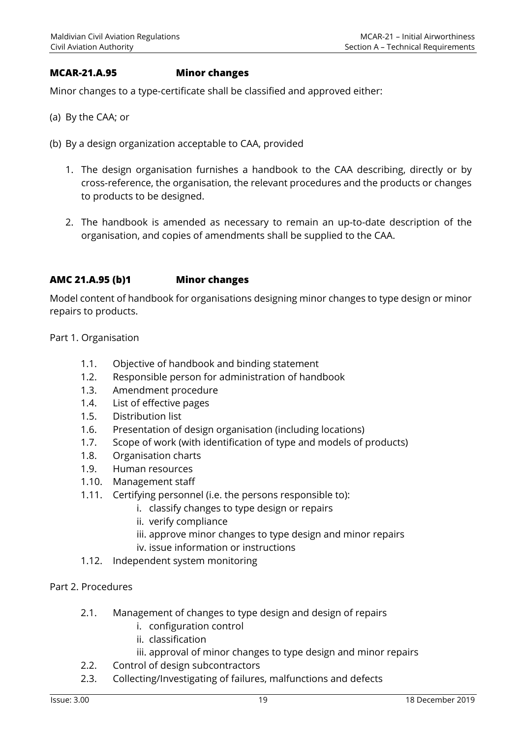#### <span id="page-29-0"></span>**MCAR-21.A.95 Minor changes**

Minor changes to a type-certificate shall be classified and approved either:

- (a) By the CAA; or
- (b) By a design organization acceptable to CAA, provided
	- 1. The design organisation furnishes a handbook to the CAA describing, directly or by cross-reference, the organisation, the relevant procedures and the products or changes to products to be designed.
	- 2. The handbook is amended as necessary to remain an up-to-date description of the organisation, and copies of amendments shall be supplied to the CAA.

#### **AMC 21.A.95 (b)1 Minor changes**

Model content of handbook for organisations designing minor changes to type design or minor repairs to products.

Part 1. Organisation

- <span id="page-29-1"></span>1.1. Objective of handbook and binding statement
- 1.2. Responsible person for administration of handbook
- 1.3. Amendment procedure
- 1.4. List of effective pages
- 1.5. Distribution list
- 1.6. Presentation of design organisation (including locations)
- 1.7. Scope of work (with identification of type and models of products)
- 1.8. Organisation charts
- 1.9. Human resources
- 1.10. Management staff
- 1.11. Certifying personnel (i.e. the persons responsible to):
	- i. classify changes to type design or repairs
	- ii. verify compliance
	- iii. approve minor changes to type design and minor repairs
	- iv. issue information or instructions
- 1.12. Independent system monitoring
- Part 2. Procedures
	- 2.1. Management of changes to type design and design of repairs
		- i. configuration control
		- ii. classification
		- iii. approval of minor changes to type design and minor repairs
	- 2.2. Control of design subcontractors
	- 2.3. Collecting/Investigating of failures, malfunctions and defects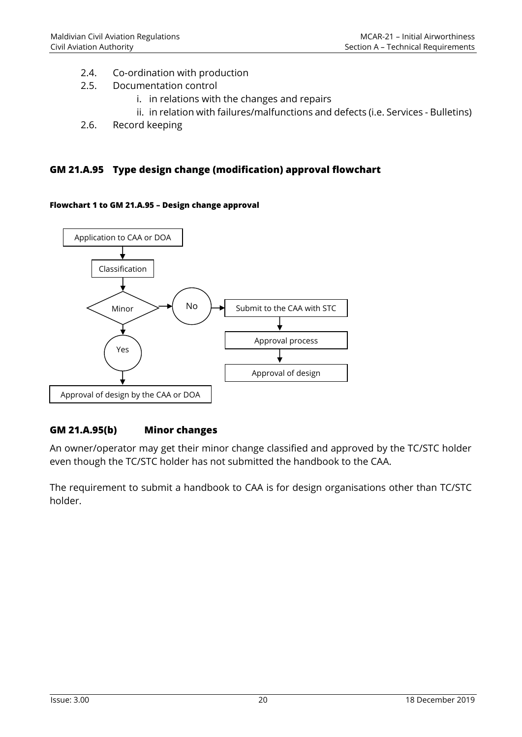- 2.4. Co-ordination with production
- 2.5. Documentation control
	- i. in relations with the changes and repairs
	- ii. in relation with failures/malfunctions and defects (i.e. Services Bulletins)
- <span id="page-30-0"></span>2.6. Record keeping

# **GM 21.A.95 Type design change (modification) approval flowchart**

#### **Flowchart 1 to GM 21.A.95 – Design change approval**



# <span id="page-30-1"></span>**GM 21.A.95(b) Minor changes**

An owner/operator may get their minor change classified and approved by the TC/STC holder even though the TC/STC holder has not submitted the handbook to the CAA.

The requirement to submit a handbook to CAA is for design organisations other than TC/STC holder.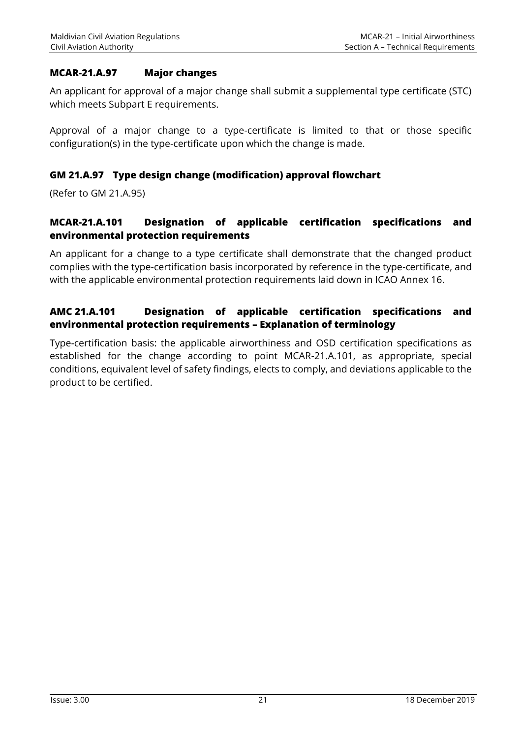#### <span id="page-31-0"></span>**MCAR-21.A.97 Major changes**

An applicant for approval of a major change shall submit a supplemental type certificate (STC) which meets Subpart E requirements.

Approval of a major change to a type-certificate is limited to that or those specific configuration(s) in the type-certificate upon which the change is made.

# <span id="page-31-1"></span>**GM 21.A.97 Type design change (modification) approval flowchart**

<span id="page-31-2"></span>(Refer to GM 21.A.95)

# **MCAR-21.A.101 Designation of applicable certification specifications and environmental protection requirements**

An applicant for a change to a type certificate shall demonstrate that the changed product complies with the type-certification basis incorporated by reference in the type-certificate, and with the applicable environmental protection requirements laid down in ICAO Annex 16.

# <span id="page-31-3"></span>**AMC 21.A.101 Designation of applicable certification specifications and environmental protection requirements – Explanation of terminology**

Type-certification basis: the applicable airworthiness and OSD certification specifications as established for the change according to point MCAR-21.A.101, as appropriate, special conditions, equivalent level of safety findings, elects to comply, and deviations applicable to the product to be certified.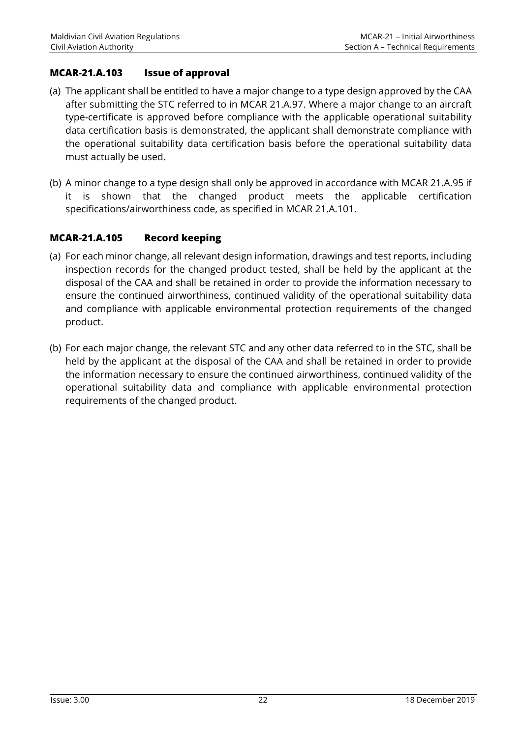# <span id="page-32-0"></span>**MCAR-21.A.103 Issue of approval**

- (a) The applicant shall be entitled to have a major change to a type design approved by the CAA after submitting the STC referred to in MCAR 21.A.97. Where a major change to an aircraft type-certificate is approved before compliance with the applicable operational suitability data certification basis is demonstrated, the applicant shall demonstrate compliance with the operational suitability data certification basis before the operational suitability data must actually be used.
- (b) A minor change to a type design shall only be approved in accordance with MCAR 21.A.95 if it is shown that the changed product meets the applicable certification specifications/airworthiness code, as specified in MCAR 21.A.101.

# <span id="page-32-1"></span>**MCAR-21.A.105 Record keeping**

- (a) For each minor change, all relevant design information, drawings and test reports, including inspection records for the changed product tested, shall be held by the applicant at the disposal of the CAA and shall be retained in order to provide the information necessary to ensure the continued airworthiness, continued validity of the operational suitability data and compliance with applicable environmental protection requirements of the changed product.
- (b) For each major change, the relevant STC and any other data referred to in the STC, shall be held by the applicant at the disposal of the CAA and shall be retained in order to provide the information necessary to ensure the continued airworthiness, continued validity of the operational suitability data and compliance with applicable environmental protection requirements of the changed product.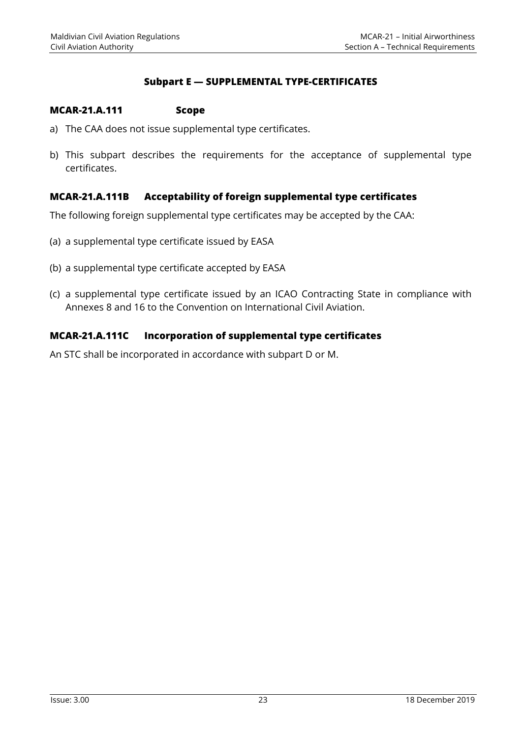# **Subpart E — SUPPLEMENTAL TYPE-CERTIFICATES**

#### <span id="page-33-1"></span><span id="page-33-0"></span>**MCAR-21.A.111 Scope**

- a) The CAA does not issue supplemental type certificates.
- b) This subpart describes the requirements for the acceptance of supplemental type certificates.

#### <span id="page-33-2"></span>**MCAR-21.A.111B Acceptability of foreign supplemental type certificates**

The following foreign supplemental type certificates may be accepted by the CAA:

- (a) a supplemental type certificate issued by EASA
- (b) a supplemental type certificate accepted by EASA
- (c) a supplemental type certificate issued by an ICAO Contracting State in compliance with Annexes 8 and 16 to the Convention on International Civil Aviation.

#### <span id="page-33-3"></span>**MCAR-21.A.111C Incorporation of supplemental type certificates**

An STC shall be incorporated in accordance with subpart D or M.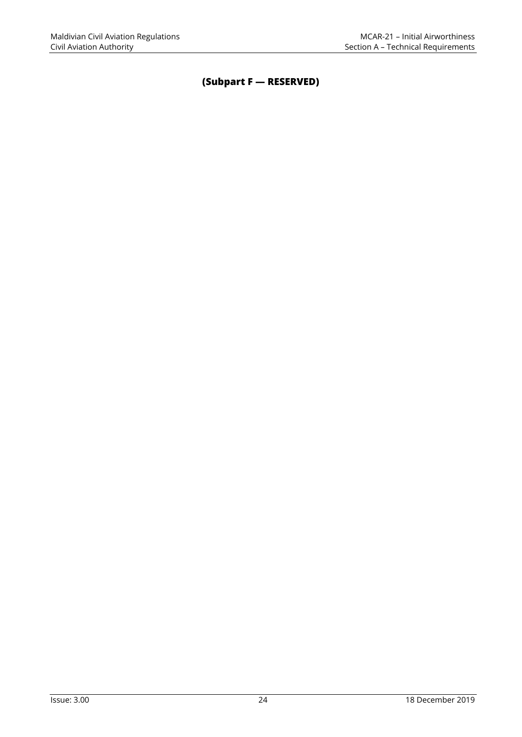# <span id="page-34-0"></span>**(Subpart F — RESERVED)**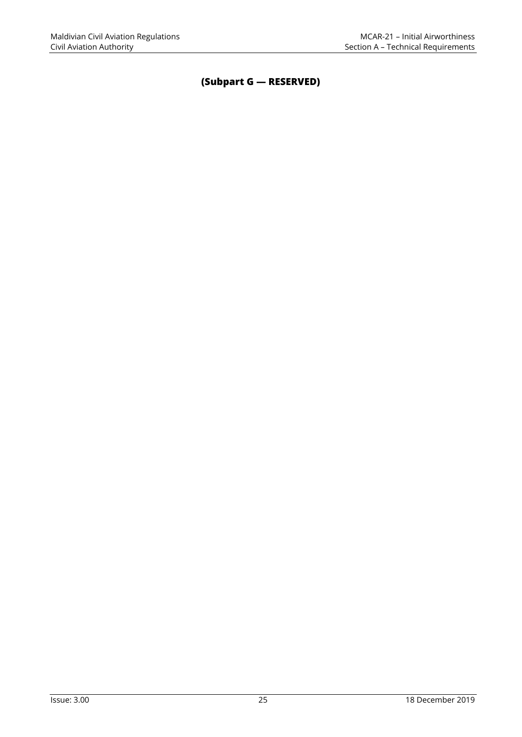# <span id="page-35-0"></span>**(Subpart G — RESERVED)**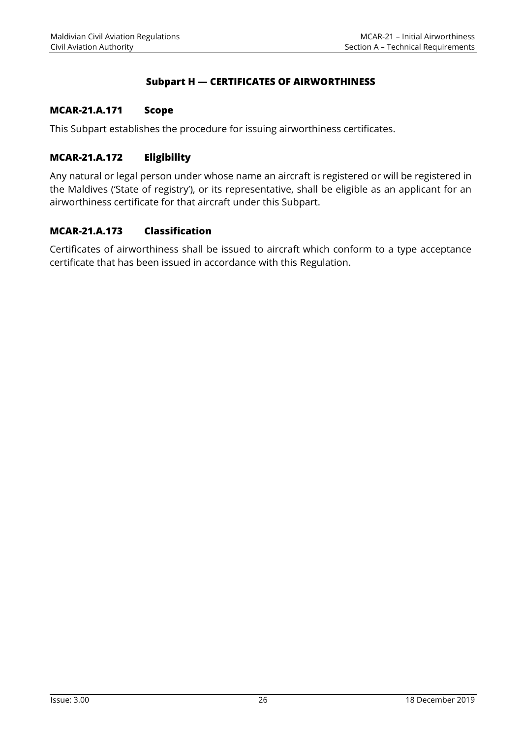# **Subpart H — CERTIFICATES OF AIRWORTHINESS**

#### **MCAR-21.A.171 Scope**

This Subpart establishes the procedure for issuing airworthiness certificates.

# **MCAR-21.A.172 Eligibility**

Any natural or legal person under whose name an aircraft is registered or will be registered in the Maldives ('State of registry'), or its representative, shall be eligible as an applicant for an airworthiness certificate for that aircraft under this Subpart.

#### **MCAR-21.A.173 Classification**

Certificates of airworthiness shall be issued to aircraft which conform to a type acceptance certificate that has been issued in accordance with this Regulation.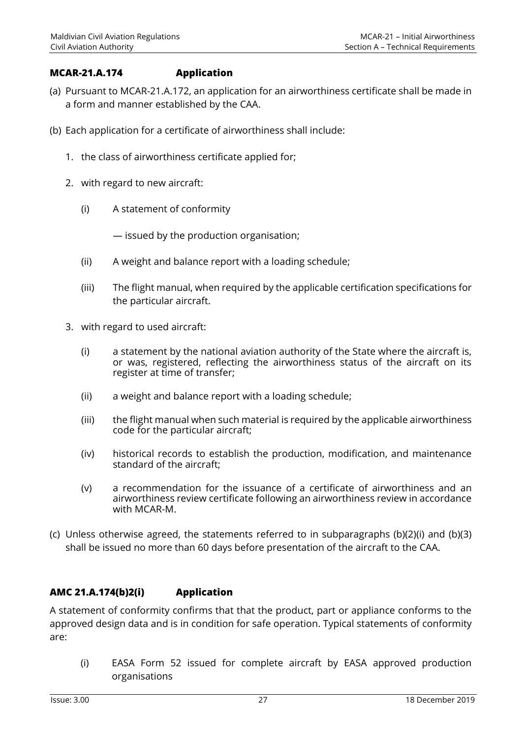# **MCAR-21.A.174 Application**

- (a) Pursuant to MCAR-21.A.172, an application for an airworthiness certificate shall be made in a form and manner established by the CAA.
- (b) Each application for a certificate of airworthiness shall include:
	- 1. the class of airworthiness certificate applied for;
	- 2. with regard to new aircraft:
		- (i) A statement of conformity

— issued by the production organisation;

- (ii) A weight and balance report with a loading schedule;
- (iii) The flight manual, when required by the applicable certification specifications for the particular aircraft.
- 3. with regard to used aircraft:
	- (i) a statement by the national aviation authority of the State where the aircraft is, or was, registered, reflecting the airworthiness status of the aircraft on its register at time of transfer;
	- (ii) a weight and balance report with a loading schedule;
	- (iii) the flight manual when such material is required by the applicable airworthiness code for the particular aircraft;
	- (iv) historical records to establish the production, modification, and maintenance standard of the aircraft;
	- (v) a recommendation for the issuance of a certificate of airworthiness and an airworthiness review certificate following an airworthiness review in accordance with MCAR-M.
- (c) Unless otherwise agreed, the statements referred to in subparagraphs (b)(2)(i) and (b)(3) shall be issued no more than 60 days before presentation of the aircraft to the CAA.

#### **AMC 21.A.174(b)2(i) Application**

A statement of conformity confirms that that the product, part or appliance conforms to the approved design data and is in condition for safe operation. Typical statements of conformity are:

(i) EASA Form 52 issued for complete aircraft by EASA approved production organisations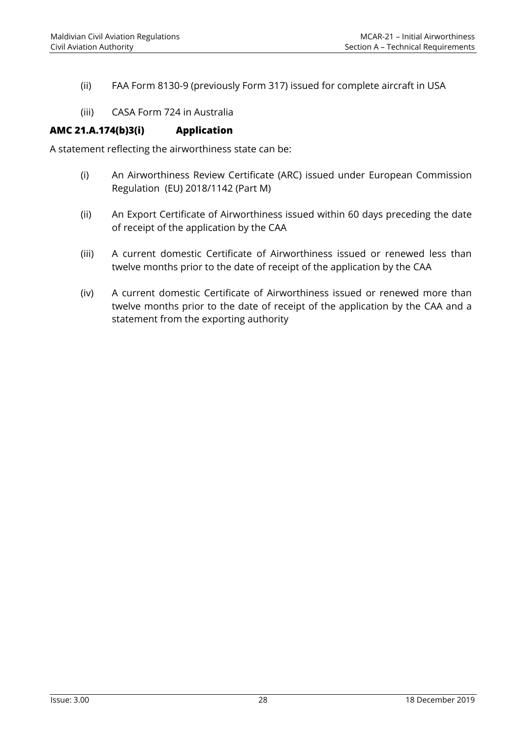- (ii) FAA Form 8130-9 (previously Form 317) issued for complete aircraft in USA
- (iii) CASA Form 724 in Australia

#### **AMC 21.A.174(b)3(i) Application**

A statement reflecting the airworthiness state can be:

- (i) An Airworthiness Review Certificate (ARC) issued under European Commission Regulation (EU) 2018/1142 (Part M)
- (ii) An Export Certificate of Airworthiness issued within 60 days preceding the date of receipt of the application by the CAA
- (iii) A current domestic Certificate of Airworthiness issued or renewed less than twelve months prior to the date of receipt of the application by the CAA
- (iv) A current domestic Certificate of Airworthiness issued or renewed more than twelve months prior to the date of receipt of the application by the CAA and a statement from the exporting authority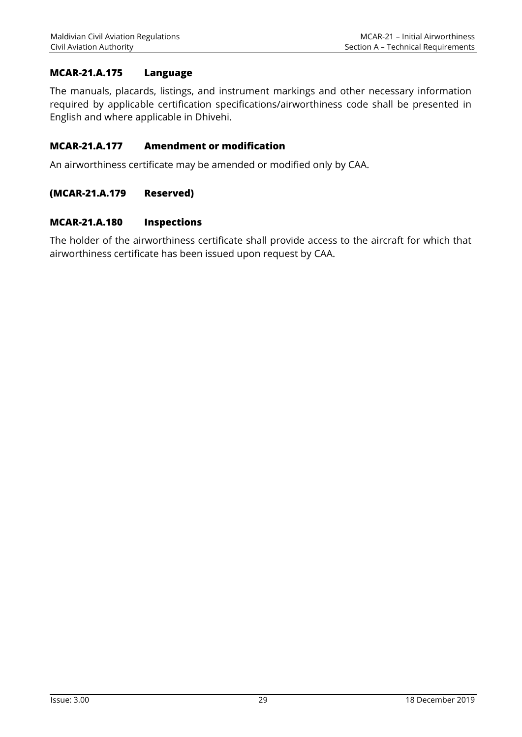# **MCAR-21.A.175 Language**

The manuals, placards, listings, and instrument markings and other necessary information required by applicable certification specifications/airworthiness code shall be presented in English and where applicable in Dhivehi.

#### **MCAR-21.A.177 Amendment or modification**

An airworthiness certificate may be amended or modified only by CAA.

#### **(MCAR-21.A.179 Reserved)**

#### **MCAR-21.A.180 Inspections**

The holder of the airworthiness certificate shall provide access to the aircraft for which that airworthiness certificate has been issued upon request by CAA.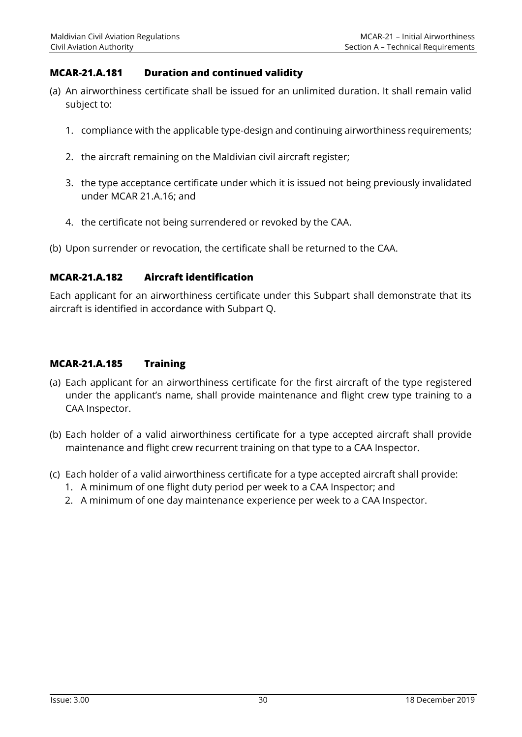#### **MCAR-21.A.181 Duration and continued validity**

- (a) An airworthiness certificate shall be issued for an unlimited duration. It shall remain valid subject to:
	- 1. compliance with the applicable type-design and continuing airworthiness requirements;
	- 2. the aircraft remaining on the Maldivian civil aircraft register;
	- 3. the type acceptance certificate under which it is issued not being previously invalidated under MCAR 21.A.16; and
	- 4. the certificate not being surrendered or revoked by the CAA.
- (b) Upon surrender or revocation, the certificate shall be returned to the CAA.

#### **MCAR-21.A.182 Aircraft identification**

Each applicant for an airworthiness certificate under this Subpart shall demonstrate that its aircraft is identified in accordance with Subpart Q.

#### **MCAR-21.A.185 Training**

- (a) Each applicant for an airworthiness certificate for the first aircraft of the type registered under the applicant's name, shall provide maintenance and flight crew type training to a CAA Inspector.
- (b) Each holder of a valid airworthiness certificate for a type accepted aircraft shall provide maintenance and flight crew recurrent training on that type to a CAA Inspector.
- (c) Each holder of a valid airworthiness certificate for a type accepted aircraft shall provide:
	- 1. A minimum of one flight duty period per week to a CAA Inspector; and
	- 2. A minimum of one day maintenance experience per week to a CAA Inspector.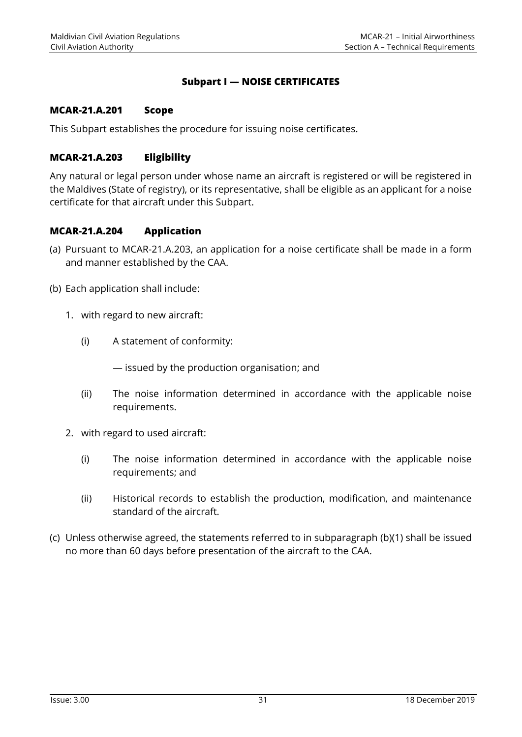# **Subpart I — NOISE CERTIFICATES**

#### **MCAR-21.A.201 Scope**

This Subpart establishes the procedure for issuing noise certificates.

# **MCAR-21.A.203 Eligibility**

Any natural or legal person under whose name an aircraft is registered or will be registered in the Maldives (State of registry), or its representative, shall be eligible as an applicant for a noise certificate for that aircraft under this Subpart.

#### **MCAR-21.A.204 Application**

- (a) Pursuant to MCAR-21.A.203, an application for a noise certificate shall be made in a form and manner established by the CAA.
- (b) Each application shall include:
	- 1. with regard to new aircraft:
		- (i) A statement of conformity:
			- issued by the production organisation; and
		- (ii) The noise information determined in accordance with the applicable noise requirements.
	- 2. with regard to used aircraft:
		- (i) The noise information determined in accordance with the applicable noise requirements; and
		- (ii) Historical records to establish the production, modification, and maintenance standard of the aircraft.
- (c) Unless otherwise agreed, the statements referred to in subparagraph (b)(1) shall be issued no more than 60 days before presentation of the aircraft to the CAA.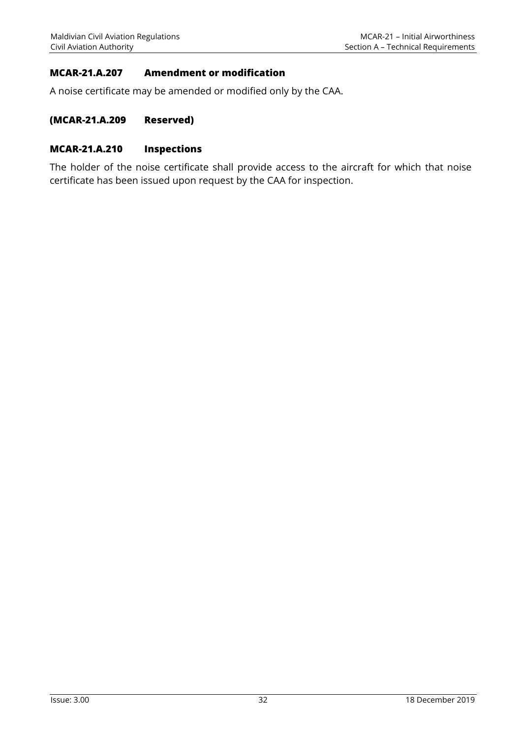#### **MCAR-21.A.207 Amendment or modification**

A noise certificate may be amended or modified only by the CAA.

#### **(MCAR-21.A.209 Reserved)**

#### **MCAR-21.A.210 Inspections**

The holder of the noise certificate shall provide access to the aircraft for which that noise certificate has been issued upon request by the CAA for inspection.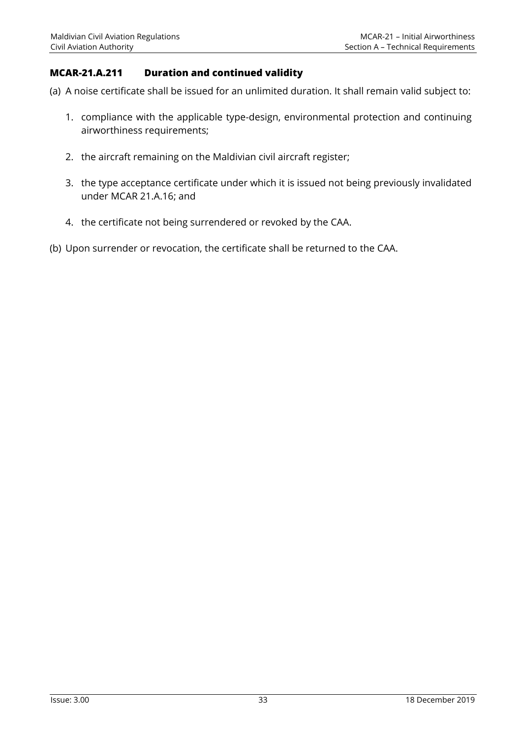# **MCAR-21.A.211 Duration and continued validity**

- (a) A noise certificate shall be issued for an unlimited duration. It shall remain valid subject to:
	- 1. compliance with the applicable type-design, environmental protection and continuing airworthiness requirements;
	- 2. the aircraft remaining on the Maldivian civil aircraft register;
	- 3. the type acceptance certificate under which it is issued not being previously invalidated under MCAR 21.A.16; and
	- 4. the certificate not being surrendered or revoked by the CAA.
- (b) Upon surrender or revocation, the certificate shall be returned to the CAA.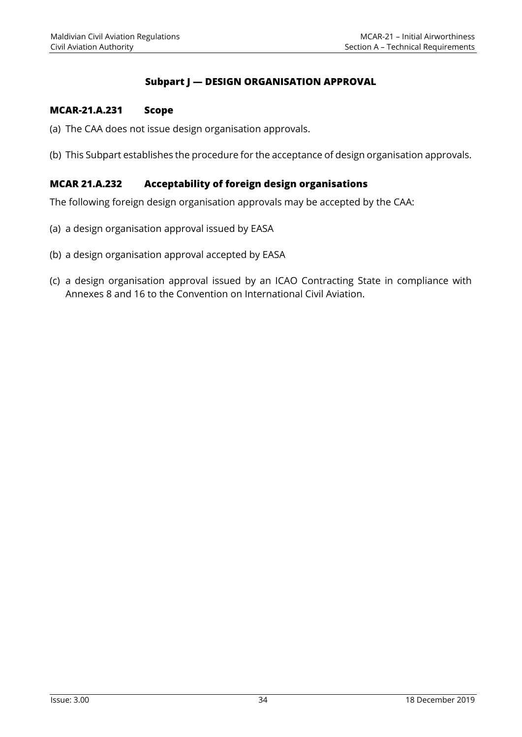# **Subpart J — DESIGN ORGANISATION APPROVAL**

#### **MCAR-21.A.231 Scope**

- (a) The CAA does not issue design organisation approvals.
- (b) This Subpart establishes the procedure for the acceptance of design organisation approvals.

# **MCAR 21.A.232 Acceptability of foreign design organisations**

The following foreign design organisation approvals may be accepted by the CAA:

- (a) a design organisation approval issued by EASA
- (b) a design organisation approval accepted by EASA
- (c) a design organisation approval issued by an ICAO Contracting State in compliance with Annexes 8 and 16 to the Convention on International Civil Aviation.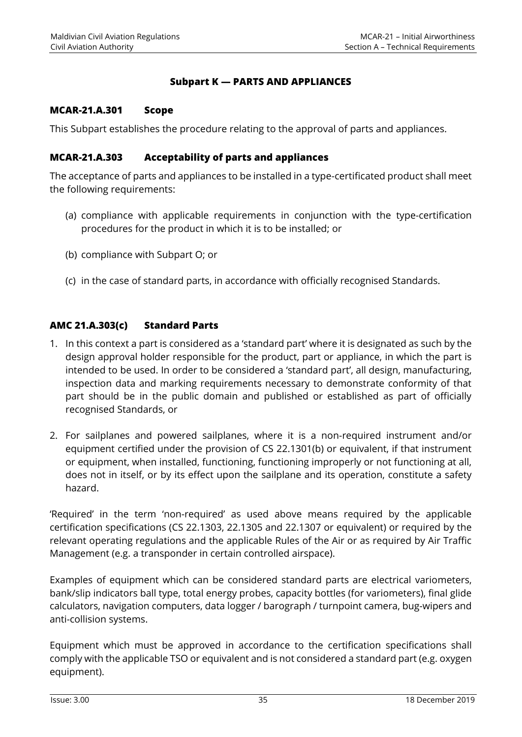# **Subpart K — PARTS AND APPLIANCES**

#### **MCAR-21.A.301 Scope**

This Subpart establishes the procedure relating to the approval of parts and appliances.

# **MCAR-21.A.303 Acceptability of parts and appliances**

The acceptance of parts and appliances to be installed in a type-certificated product shall meet the following requirements:

- (a) compliance with applicable requirements in conjunction with the type-certification procedures for the product in which it is to be installed; or
- (b) compliance with Subpart O; or
- (c) in the case of standard parts, in accordance with officially recognised Standards.

# **AMC 21.A.303(c) Standard Parts**

- 1. In this context a part is considered as a 'standard part' where it is designated as such by the design approval holder responsible for the product, part or appliance, in which the part is intended to be used. In order to be considered a 'standard part', all design, manufacturing, inspection data and marking requirements necessary to demonstrate conformity of that part should be in the public domain and published or established as part of officially recognised Standards, or
- 2. For sailplanes and powered sailplanes, where it is a non-required instrument and/or equipment certified under the provision of CS 22.1301(b) or equivalent, if that instrument or equipment, when installed, functioning, functioning improperly or not functioning at all, does not in itself, or by its effect upon the sailplane and its operation, constitute a safety hazard.

'Required' in the term 'non-required' as used above means required by the applicable certification specifications (CS 22.1303, 22.1305 and 22.1307 or equivalent) or required by the relevant operating regulations and the applicable Rules of the Air or as required by Air Traffic Management (e.g. a transponder in certain controlled airspace).

Examples of equipment which can be considered standard parts are electrical variometers, bank/slip indicators ball type, total energy probes, capacity bottles (for variometers), final glide calculators, navigation computers, data logger / barograph / turnpoint camera, bug-wipers and anti-collision systems.

Equipment which must be approved in accordance to the certification specifications shall comply with the applicable TSO or equivalent and is not considered a standard part (e.g. oxygen equipment).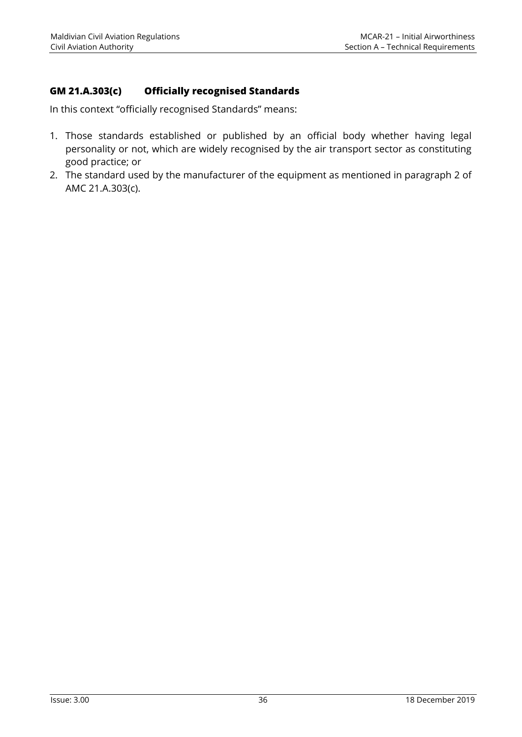# **GM 21.A.303(c) Officially recognised Standards**

In this context "officially recognised Standards" means:

- 1. Those standards established or published by an official body whether having legal personality or not, which are widely recognised by the air transport sector as constituting good practice; or
- 2. The standard used by the manufacturer of the equipment as mentioned in paragraph 2 of AMC 21.A.303(c).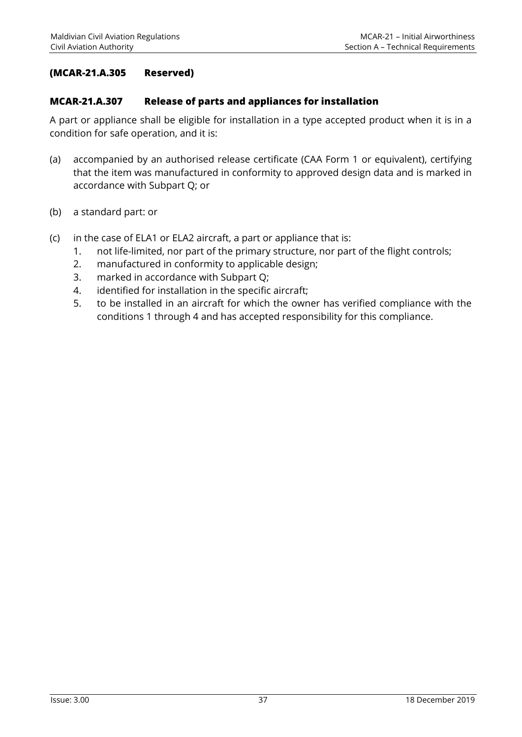# **(MCAR-21.A.305 Reserved)**

#### **MCAR-21.A.307 Release of parts and appliances for installation**

A part or appliance shall be eligible for installation in a type accepted product when it is in a condition for safe operation, and it is:

- (a) accompanied by an authorised release certificate (CAA Form 1 or equivalent), certifying that the item was manufactured in conformity to approved design data and is marked in accordance with Subpart Q; or
- (b) a standard part: or
- (c) in the case of ELA1 or ELA2 aircraft, a part or appliance that is:
	- 1. not life-limited, nor part of the primary structure, nor part of the flight controls;
	- 2. manufactured in conformity to applicable design;
	- 3. marked in accordance with Subpart Q;
	- 4. identified for installation in the specific aircraft;
	- 5. to be installed in an aircraft for which the owner has verified compliance with the conditions 1 through 4 and has accepted responsibility for this compliance.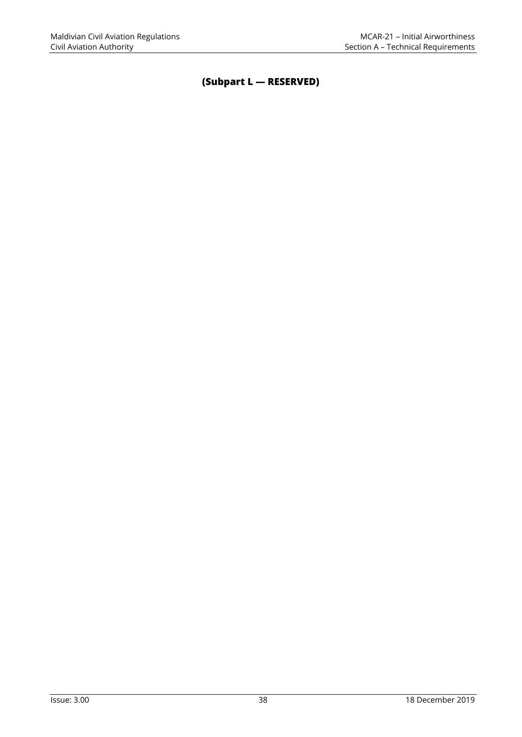# **(Subpart L — RESERVED)**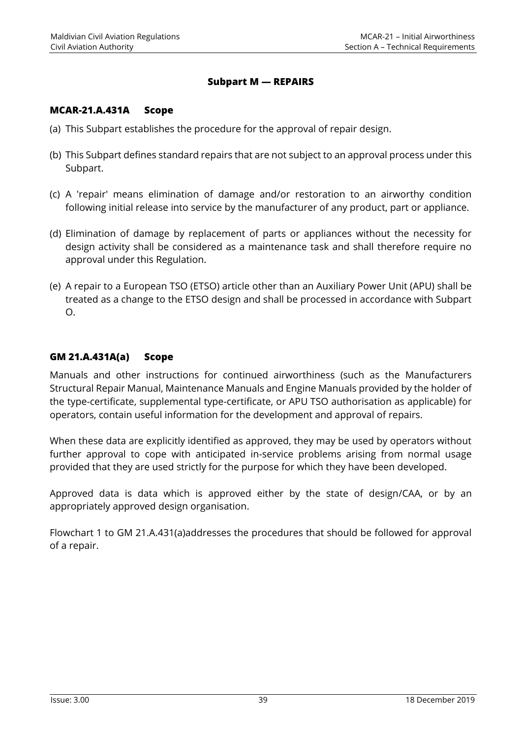# **Subpart M — REPAIRS**

#### **MCAR-21.A.431A Scope**

- (a) This Subpart establishes the procedure for the approval of repair design.
- (b) This Subpart defines standard repairs that are not subject to an approval process under this Subpart.
- (c) A 'repair' means elimination of damage and/or restoration to an airworthy condition following initial release into service by the manufacturer of any product, part or appliance.
- (d) Elimination of damage by replacement of parts or appliances without the necessity for design activity shall be considered as a maintenance task and shall therefore require no approval under this Regulation.
- (e) A repair to a European TSO (ETSO) article other than an Auxiliary Power Unit (APU) shall be treated as a change to the ETSO design and shall be processed in accordance with Subpart O.

#### **GM 21.A.431A(a) Scope**

Manuals and other instructions for continued airworthiness (such as the Manufacturers Structural Repair Manual, Maintenance Manuals and Engine Manuals provided by the holder of the type-certificate, supplemental type-certificate, or APU TSO authorisation as applicable) for operators, contain useful information for the development and approval of repairs.

When these data are explicitly identified as approved, they may be used by operators without further approval to cope with anticipated in-service problems arising from normal usage provided that they are used strictly for the purpose for which they have been developed.

Approved data is data which is approved either by the state of design/CAA, or by an appropriately approved design organisation.

Flowchart 1 to GM 21.A.431(a)addresses the procedures that should be followed for approval of a repair.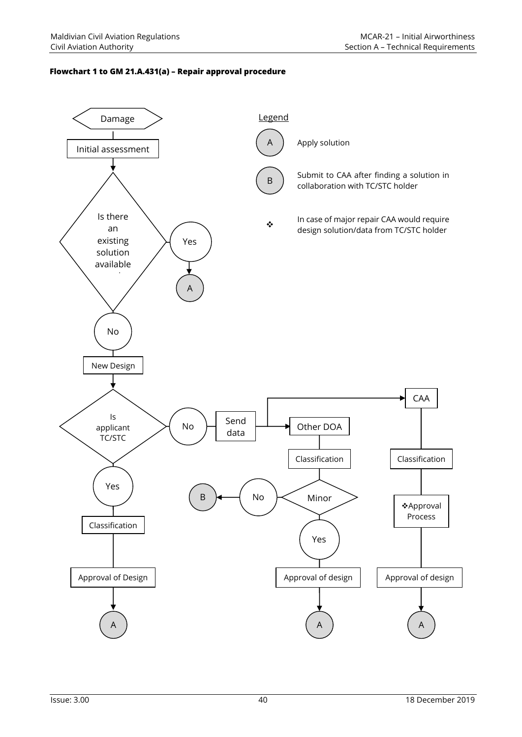#### **Flowchart 1 to GM 21.A.431(a) – Repair approval procedure**

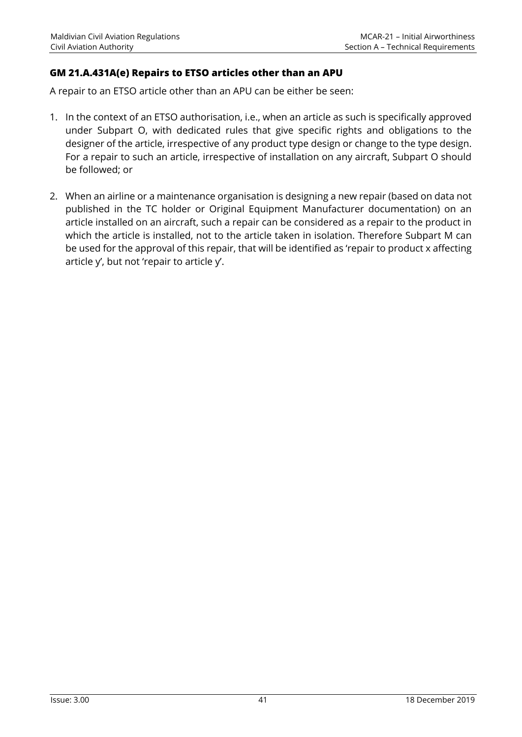# **GM 21.A.431A(e) Repairs to ETSO articles other than an APU**

A repair to an ETSO article other than an APU can be either be seen:

- 1. In the context of an ETSO authorisation, i.e., when an article as such is specifically approved under Subpart O, with dedicated rules that give specific rights and obligations to the designer of the article, irrespective of any product type design or change to the type design. For a repair to such an article, irrespective of installation on any aircraft, Subpart O should be followed; or
- 2. When an airline or a maintenance organisation is designing a new repair (based on data not published in the TC holder or Original Equipment Manufacturer documentation) on an article installed on an aircraft, such a repair can be considered as a repair to the product in which the article is installed, not to the article taken in isolation. Therefore Subpart M can be used for the approval of this repair, that will be identified as 'repair to product x affecting article y', but not 'repair to article y'.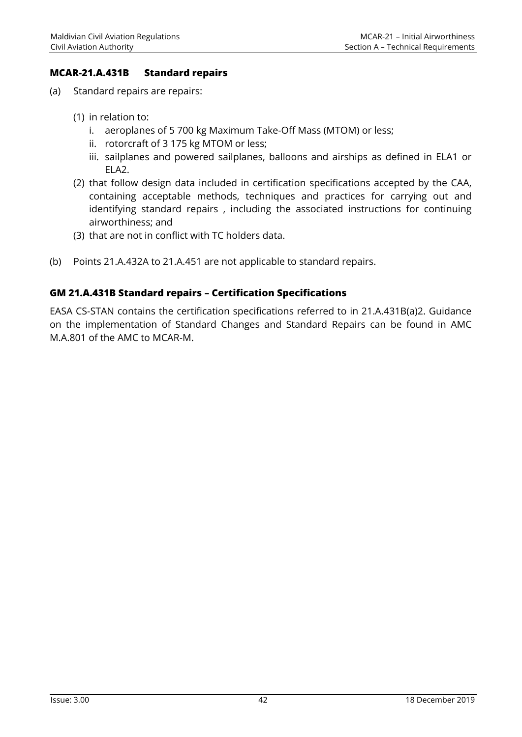#### **MCAR-21.A.431B Standard repairs**

- (a) Standard repairs are repairs:
	- (1) in relation to:
		- i. aeroplanes of 5 700 kg Maximum Take-Off Mass (MTOM) or less;
		- ii. rotorcraft of 3 175 kg MTOM or less;
		- iii. sailplanes and powered sailplanes, balloons and airships as defined in ELA1 or ELA2.
	- (2) that follow design data included in certification specifications accepted by the CAA, containing acceptable methods, techniques and practices for carrying out and identifying standard repairs , including the associated instructions for continuing airworthiness; and
	- (3) that are not in conflict with TC holders data.
- (b) Points 21.A.432A to 21.A.451 are not applicable to standard repairs.

#### **GM 21.A.431B Standard repairs – Certification Specifications**

EASA CS-STAN contains the certification specifications referred to in 21.A.431B(a)2. Guidance on the implementation of Standard Changes and Standard Repairs can be found in AMC M.A.801 of the AMC to MCAR-M.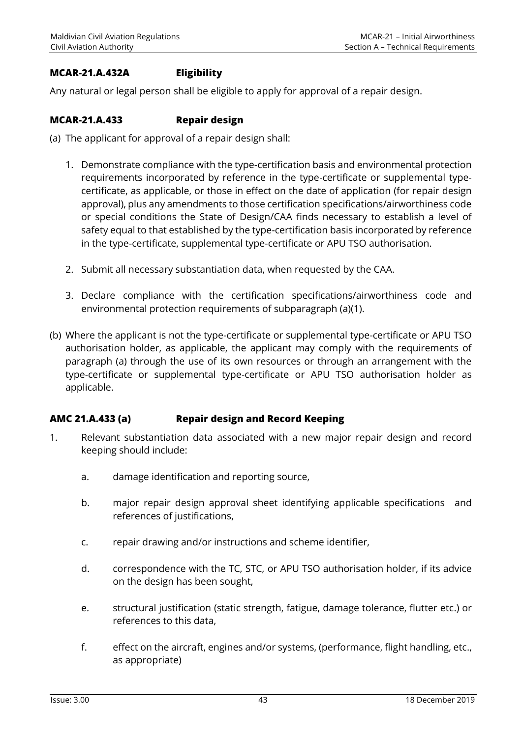# **MCAR-21.A.432A Eligibility**

Any natural or legal person shall be eligible to apply for approval of a repair design.

#### **MCAR-21.A.433 Repair design**

- (a) The applicant for approval of a repair design shall:
	- 1. Demonstrate compliance with the type-certification basis and environmental protection requirements incorporated by reference in the type-certificate or supplemental typecertificate, as applicable, or those in effect on the date of application (for repair design approval), plus any amendments to those certification specifications/airworthiness code or special conditions the State of Design/CAA finds necessary to establish a level of safety equal to that established by the type-certification basis incorporated by reference in the type-certificate, supplemental type-certificate or APU TSO authorisation.
	- 2. Submit all necessary substantiation data, when requested by the CAA.
	- 3. Declare compliance with the certification specifications/airworthiness code and environmental protection requirements of subparagraph (a)(1).
- (b) Where the applicant is not the type-certificate or supplemental type-certificate or APU TSO authorisation holder, as applicable, the applicant may comply with the requirements of paragraph (a) through the use of its own resources or through an arrangement with the type-certificate or supplemental type-certificate or APU TSO authorisation holder as applicable.

#### **AMC 21.A.433 (a) Repair design and Record Keeping**

- 1. Relevant substantiation data associated with a new major repair design and record keeping should include:
	- a. damage identification and reporting source,
	- b. major repair design approval sheet identifying applicable specifications and references of justifications,
	- c. repair drawing and/or instructions and scheme identifier,
	- d. correspondence with the TC, STC, or APU TSO authorisation holder, if its advice on the design has been sought,
	- e. structural justification (static strength, fatigue, damage tolerance, flutter etc.) or references to this data,
	- f. effect on the aircraft, engines and/or systems, (performance, flight handling, etc., as appropriate)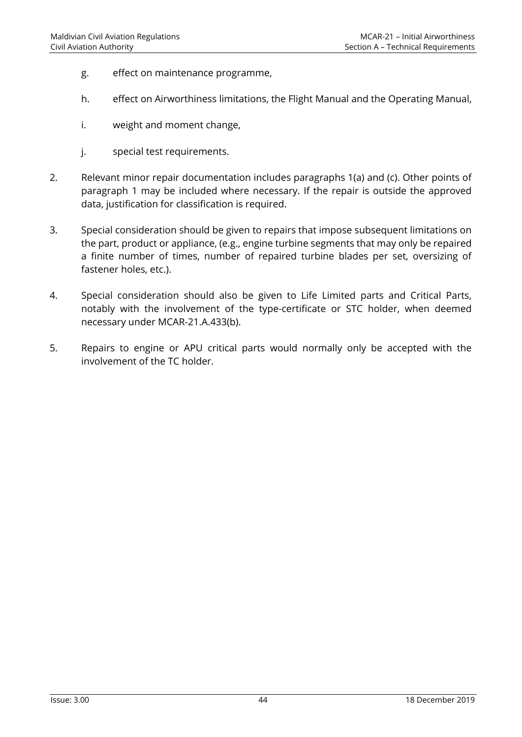- g. effect on maintenance programme,
- h. effect on Airworthiness limitations, the Flight Manual and the Operating Manual,
- i. weight and moment change,
- j. special test requirements.
- 2. Relevant minor repair documentation includes paragraphs 1(a) and (c). Other points of paragraph 1 may be included where necessary. If the repair is outside the approved data, justification for classification is required.
- 3. Special consideration should be given to repairs that impose subsequent limitations on the part, product or appliance, (e.g., engine turbine segments that may only be repaired a finite number of times, number of repaired turbine blades per set, oversizing of fastener holes, etc.).
- 4. Special consideration should also be given to Life Limited parts and Critical Parts, notably with the involvement of the type-certificate or STC holder, when deemed necessary under MCAR-21.A.433(b).
- 5. Repairs to engine or APU critical parts would normally only be accepted with the involvement of the TC holder.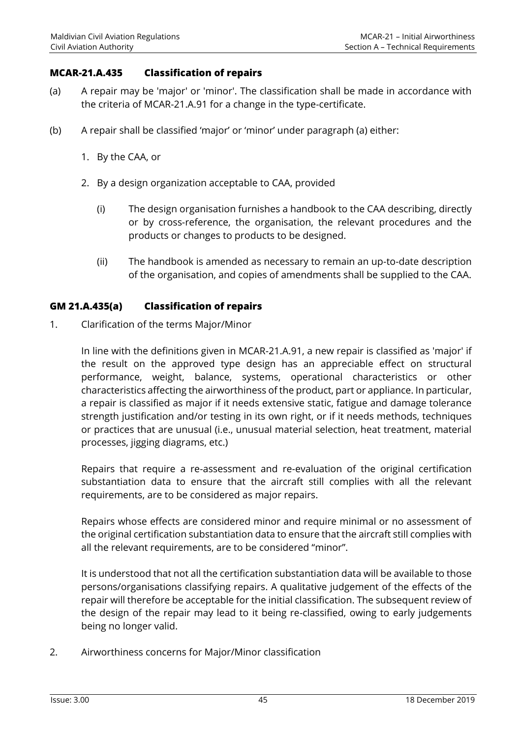# **MCAR-21.A.435 Classification of repairs**

- (a) A repair may be 'major' or 'minor'. The classification shall be made in accordance with the criteria of MCAR-21.A.91 for a change in the type-certificate.
- (b) A repair shall be classified 'major' or 'minor' under paragraph (a) either:
	- 1. By the CAA, or
	- 2. By a design organization acceptable to CAA, provided
		- (i) The design organisation furnishes a handbook to the CAA describing, directly or by cross-reference, the organisation, the relevant procedures and the products or changes to products to be designed.
		- (ii) The handbook is amended as necessary to remain an up-to-date description of the organisation, and copies of amendments shall be supplied to the CAA.

# **GM 21.A.435(a) Classification of repairs**

1. Clarification of the terms Major/Minor

In line with the definitions given in MCAR-21.A.91, a new repair is classified as 'major' if the result on the approved type design has an appreciable effect on structural performance, weight, balance, systems, operational characteristics or other characteristics affecting the airworthiness of the product, part or appliance. In particular, a repair is classified as major if it needs extensive static, fatigue and damage tolerance strength justification and/or testing in its own right, or if it needs methods, techniques or practices that are unusual (i.e., unusual material selection, heat treatment, material processes, jigging diagrams, etc.)

Repairs that require a re-assessment and re-evaluation of the original certification substantiation data to ensure that the aircraft still complies with all the relevant requirements, are to be considered as major repairs.

Repairs whose effects are considered minor and require minimal or no assessment of the original certification substantiation data to ensure that the aircraft still complies with all the relevant requirements, are to be considered "minor".

It is understood that not all the certification substantiation data will be available to those persons/organisations classifying repairs. A qualitative judgement of the effects of the repair will therefore be acceptable for the initial classification. The subsequent review of the design of the repair may lead to it being re-classified, owing to early judgements being no longer valid.

2. Airworthiness concerns for Major/Minor classification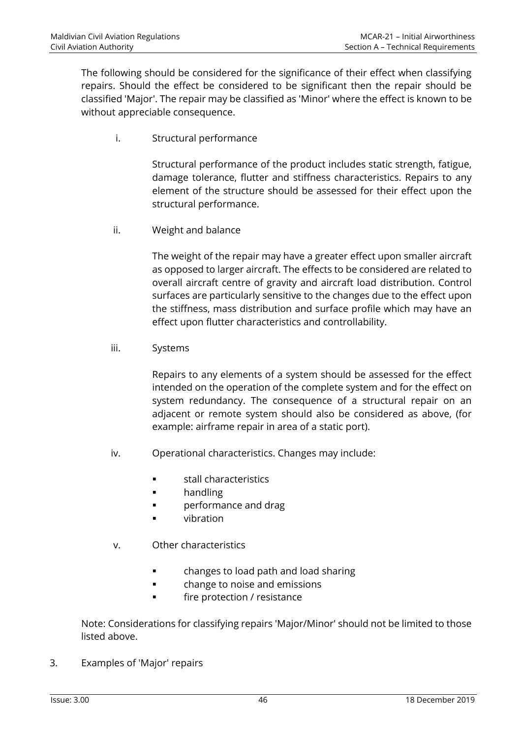The following should be considered for the significance of their effect when classifying repairs. Should the effect be considered to be significant then the repair should be classified 'Major'. The repair may be classified as 'Minor' where the effect is known to be without appreciable consequence.

i. Structural performance

Structural performance of the product includes static strength, fatigue, damage tolerance, flutter and stiffness characteristics. Repairs to any element of the structure should be assessed for their effect upon the structural performance.

ii. Weight and balance

The weight of the repair may have a greater effect upon smaller aircraft as opposed to larger aircraft. The effects to be considered are related to overall aircraft centre of gravity and aircraft load distribution. Control surfaces are particularly sensitive to the changes due to the effect upon the stiffness, mass distribution and surface profile which may have an effect upon flutter characteristics and controllability.

iii. Systems

Repairs to any elements of a system should be assessed for the effect intended on the operation of the complete system and for the effect on system redundancy. The consequence of a structural repair on an adjacent or remote system should also be considered as above, (for example: airframe repair in area of a static port).

- iv. Operational characteristics. Changes may include:
	- **stall characteristics**
	- handling
	- **Properformance and drage**
	- vibration
- v. Other characteristics
	- **Example 1** changes to load path and load sharing
	- **Example 1** change to noise and emissions
	- fire protection / resistance

Note: Considerations for classifying repairs 'Major/Minor' should not be limited to those listed above.

3. Examples of 'Major' repairs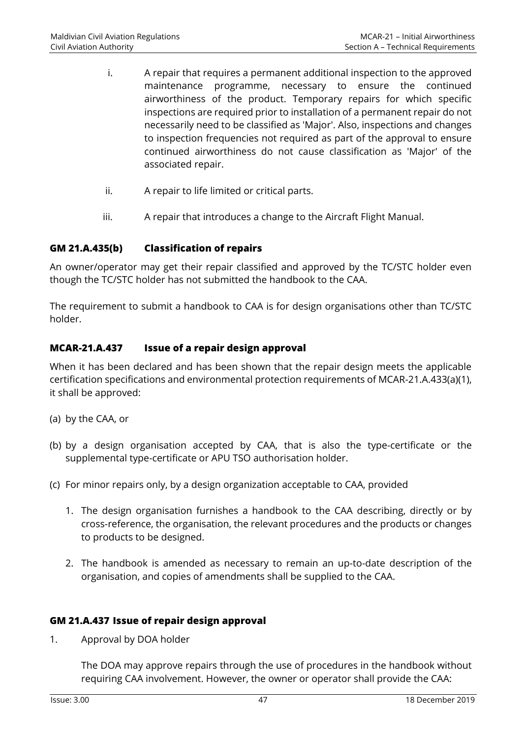- i. A repair that requires a permanent additional inspection to the approved maintenance programme, necessary to ensure the continued airworthiness of the product. Temporary repairs for which specific inspections are required prior to installation of a permanent repair do not necessarily need to be classified as 'Major'. Also, inspections and changes to inspection frequencies not required as part of the approval to ensure continued airworthiness do not cause classification as 'Major' of the associated repair.
- ii. A repair to life limited or critical parts.
- iii. A repair that introduces a change to the Aircraft Flight Manual.

# **GM 21.A.435(b) Classification of repairs**

An owner/operator may get their repair classified and approved by the TC/STC holder even though the TC/STC holder has not submitted the handbook to the CAA.

The requirement to submit a handbook to CAA is for design organisations other than TC/STC holder.

#### **MCAR-21.A.437 Issue of a repair design approval**

When it has been declared and has been shown that the repair design meets the applicable certification specifications and environmental protection requirements of MCAR-21.A.433(a)(1), it shall be approved:

- (a) by the CAA, or
- (b) by a design organisation accepted by CAA, that is also the type-certificate or the supplemental type-certificate or APU TSO authorisation holder.
- (c) For minor repairs only, by a design organization acceptable to CAA, provided
	- 1. The design organisation furnishes a handbook to the CAA describing, directly or by cross-reference, the organisation, the relevant procedures and the products or changes to products to be designed.
	- 2. The handbook is amended as necessary to remain an up-to-date description of the organisation, and copies of amendments shall be supplied to the CAA.

#### **GM 21.A.437 Issue of repair design approval**

1. Approval by DOA holder

The DOA may approve repairs through the use of procedures in the handbook without requiring CAA involvement. However, the owner or operator shall provide the CAA: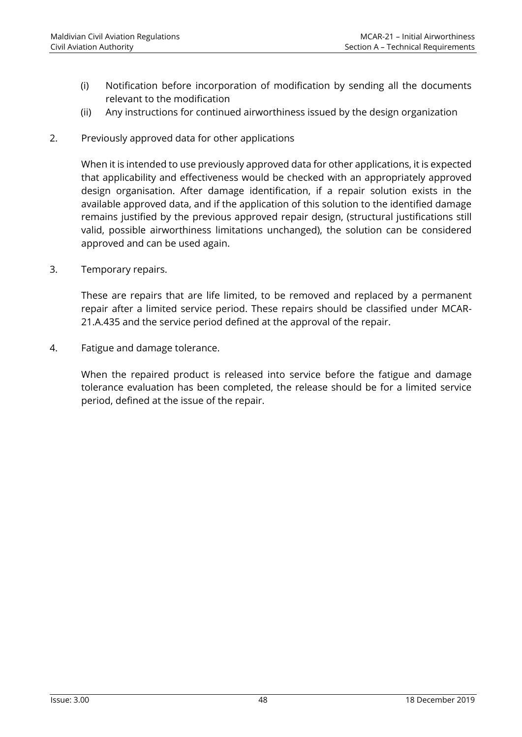- (i) Notification before incorporation of modification by sending all the documents relevant to the modification
- (ii) Any instructions for continued airworthiness issued by the design organization
- 2. Previously approved data for other applications

When it is intended to use previously approved data for other applications, it is expected that applicability and effectiveness would be checked with an appropriately approved design organisation. After damage identification, if a repair solution exists in the available approved data, and if the application of this solution to the identified damage remains justified by the previous approved repair design, (structural justifications still valid, possible airworthiness limitations unchanged), the solution can be considered approved and can be used again.

3. Temporary repairs.

These are repairs that are life limited, to be removed and replaced by a permanent repair after a limited service period. These repairs should be classified under MCAR-21.A.435 and the service period defined at the approval of the repair.

4. Fatigue and damage tolerance.

When the repaired product is released into service before the fatigue and damage tolerance evaluation has been completed, the release should be for a limited service period, defined at the issue of the repair.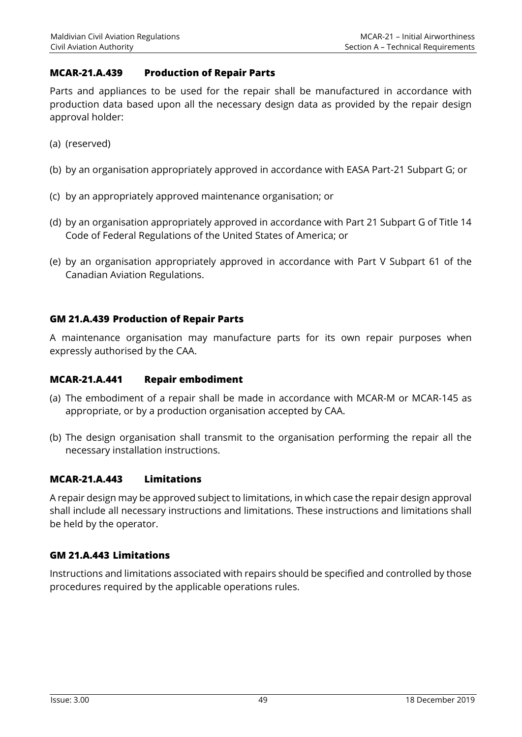# **MCAR-21.A.439 Production of Repair Parts**

Parts and appliances to be used for the repair shall be manufactured in accordance with production data based upon all the necessary design data as provided by the repair design approval holder:

- (a) (reserved)
- (b) by an organisation appropriately approved in accordance with EASA Part-21 Subpart G; or
- (c) by an appropriately approved maintenance organisation; or
- (d) by an organisation appropriately approved in accordance with Part 21 Subpart G of Title 14 Code of Federal Regulations of the United States of America; or
- (e) by an organisation appropriately approved in accordance with Part V Subpart 61 of the Canadian Aviation Regulations.

#### **GM 21.A.439 Production of Repair Parts**

A maintenance organisation may manufacture parts for its own repair purposes when expressly authorised by the CAA.

#### **MCAR-21.A.441 Repair embodiment**

- (a) The embodiment of a repair shall be made in accordance with MCAR-M or MCAR-145 as appropriate, or by a production organisation accepted by CAA.
- (b) The design organisation shall transmit to the organisation performing the repair all the necessary installation instructions.

#### **MCAR-21.A.443 Limitations**

A repair design may be approved subject to limitations, in which case the repair design approval shall include all necessary instructions and limitations. These instructions and limitations shall be held by the operator.

#### **GM 21.A.443 Limitations**

Instructions and limitations associated with repairs should be specified and controlled by those procedures required by the applicable operations rules.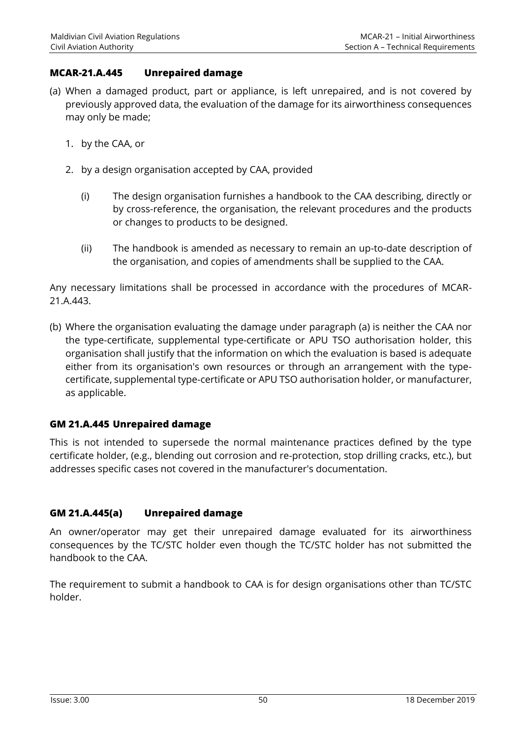# **MCAR-21.A.445 Unrepaired damage**

- (a) When a damaged product, part or appliance, is left unrepaired, and is not covered by previously approved data, the evaluation of the damage for its airworthiness consequences may only be made;
	- 1. by the CAA, or
	- 2. by a design organisation accepted by CAA, provided
		- (i) The design organisation furnishes a handbook to the CAA describing, directly or by cross-reference, the organisation, the relevant procedures and the products or changes to products to be designed.
		- (ii) The handbook is amended as necessary to remain an up-to-date description of the organisation, and copies of amendments shall be supplied to the CAA.

Any necessary limitations shall be processed in accordance with the procedures of MCAR-21.A.443.

(b) Where the organisation evaluating the damage under paragraph (a) is neither the CAA nor the type-certificate, supplemental type-certificate or APU TSO authorisation holder, this organisation shall justify that the information on which the evaluation is based is adequate either from its organisation's own resources or through an arrangement with the typecertificate, supplemental type-certificate or APU TSO authorisation holder, or manufacturer, as applicable.

#### **GM 21.A.445 Unrepaired damage**

This is not intended to supersede the normal maintenance practices defined by the type certificate holder, (e.g., blending out corrosion and re-protection, stop drilling cracks, etc.), but addresses specific cases not covered in the manufacturer's documentation.

# **GM 21.A.445(a) Unrepaired damage**

An owner/operator may get their unrepaired damage evaluated for its airworthiness consequences by the TC/STC holder even though the TC/STC holder has not submitted the handbook to the CAA.

The requirement to submit a handbook to CAA is for design organisations other than TC/STC holder.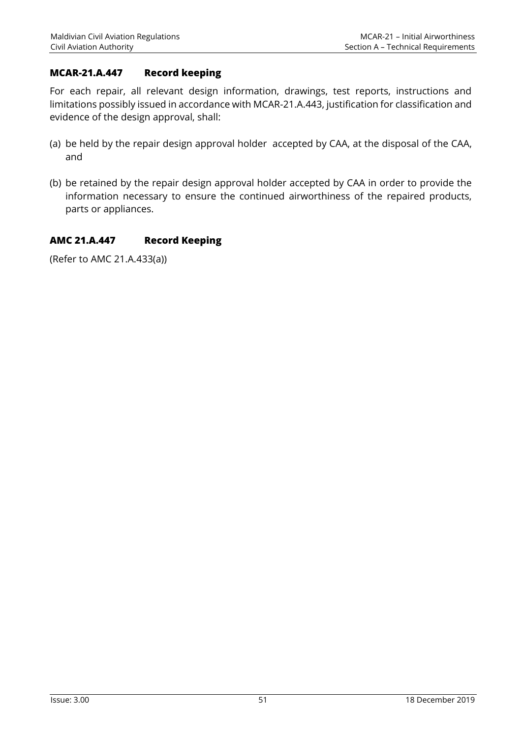#### **MCAR-21.A.447 Record keeping**

For each repair, all relevant design information, drawings, test reports, instructions and limitations possibly issued in accordance with MCAR-21.A.443, justification for classification and evidence of the design approval, shall:

- (a) be held by the repair design approval holder accepted by CAA, at the disposal of the CAA, and
- (b) be retained by the repair design approval holder accepted by CAA in order to provide the information necessary to ensure the continued airworthiness of the repaired products, parts or appliances.

#### **AMC 21.A.447 Record Keeping**

(Refer to AMC 21.A.433(a))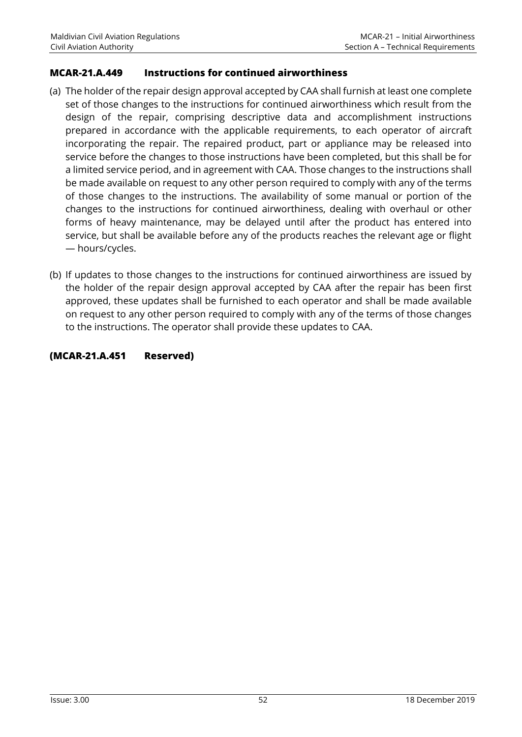#### **MCAR-21.A.449 Instructions for continued airworthiness**

- (a) The holder of the repair design approval accepted by CAA shall furnish at least one complete set of those changes to the instructions for continued airworthiness which result from the design of the repair, comprising descriptive data and accomplishment instructions prepared in accordance with the applicable requirements, to each operator of aircraft incorporating the repair. The repaired product, part or appliance may be released into service before the changes to those instructions have been completed, but this shall be for a limited service period, and in agreement with CAA. Those changes to the instructions shall be made available on request to any other person required to comply with any of the terms of those changes to the instructions. The availability of some manual or portion of the changes to the instructions for continued airworthiness, dealing with overhaul or other forms of heavy maintenance, may be delayed until after the product has entered into service, but shall be available before any of the products reaches the relevant age or flight — hours/cycles.
- (b) If updates to those changes to the instructions for continued airworthiness are issued by the holder of the repair design approval accepted by CAA after the repair has been first approved, these updates shall be furnished to each operator and shall be made available on request to any other person required to comply with any of the terms of those changes to the instructions. The operator shall provide these updates to CAA.

#### **(MCAR-21.A.451 Reserved)**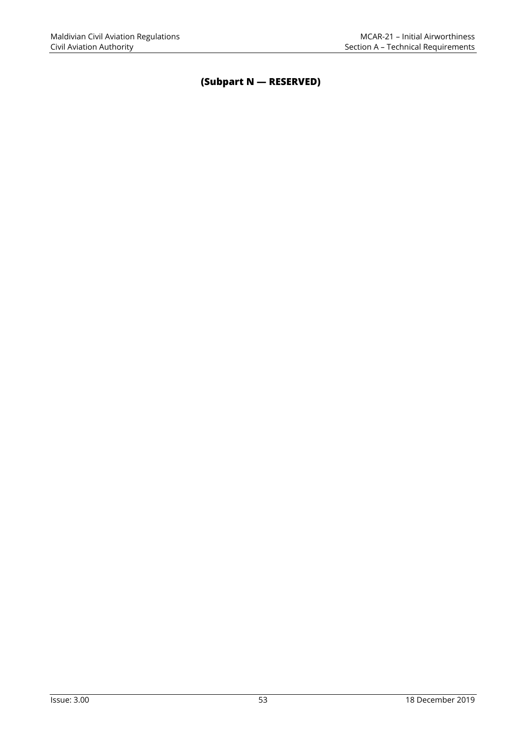# **(Subpart N — RESERVED)**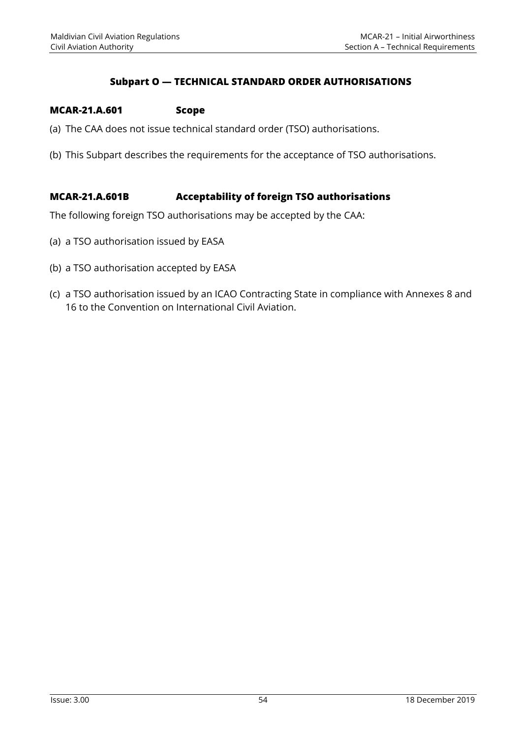# **Subpart O — TECHNICAL STANDARD ORDER AUTHORISATIONS**

#### **MCAR-21.A.601 Scope**

- (a) The CAA does not issue technical standard order (TSO) authorisations.
- (b) This Subpart describes the requirements for the acceptance of TSO authorisations.

#### **MCAR-21.A.601B Acceptability of foreign TSO authorisations**

The following foreign TSO authorisations may be accepted by the CAA:

- (a) a TSO authorisation issued by EASA
- (b) a TSO authorisation accepted by EASA
- (c) a TSO authorisation issued by an ICAO Contracting State in compliance with Annexes 8 and 16 to the Convention on International Civil Aviation.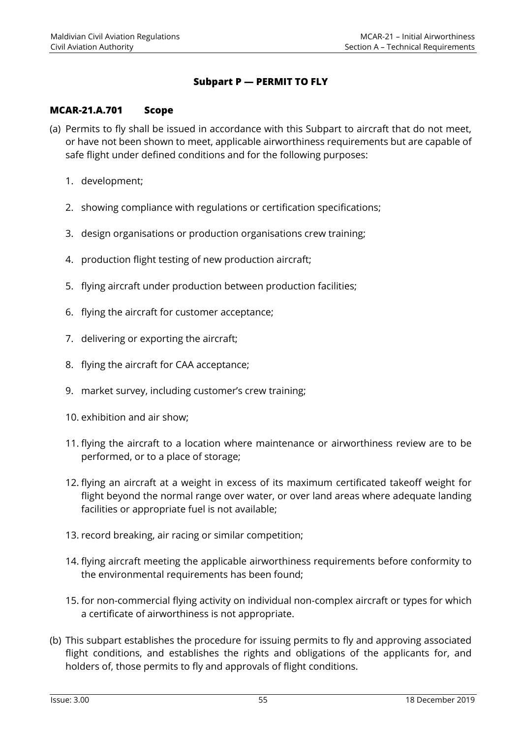# **Subpart P — PERMIT TO FLY**

#### **MCAR-21.A.701 Scope**

- (a) Permits to fly shall be issued in accordance with this Subpart to aircraft that do not meet, or have not been shown to meet, applicable airworthiness requirements but are capable of safe flight under defined conditions and for the following purposes:
	- 1. development;
	- 2. showing compliance with regulations or certification specifications;
	- 3. design organisations or production organisations crew training;
	- 4. production flight testing of new production aircraft;
	- 5. flying aircraft under production between production facilities;
	- 6. flying the aircraft for customer acceptance;
	- 7. delivering or exporting the aircraft;
	- 8. flying the aircraft for CAA acceptance;
	- 9. market survey, including customer's crew training;
	- 10. exhibition and air show;
	- 11. flying the aircraft to a location where maintenance or airworthiness review are to be performed, or to a place of storage;
	- 12. flying an aircraft at a weight in excess of its maximum certificated takeoff weight for flight beyond the normal range over water, or over land areas where adequate landing facilities or appropriate fuel is not available;
	- 13. record breaking, air racing or similar competition;
	- 14. flying aircraft meeting the applicable airworthiness requirements before conformity to the environmental requirements has been found;
	- 15. for non-commercial flying activity on individual non-complex aircraft or types for which a certificate of airworthiness is not appropriate.
- (b) This subpart establishes the procedure for issuing permits to fly and approving associated flight conditions, and establishes the rights and obligations of the applicants for, and holders of, those permits to fly and approvals of flight conditions.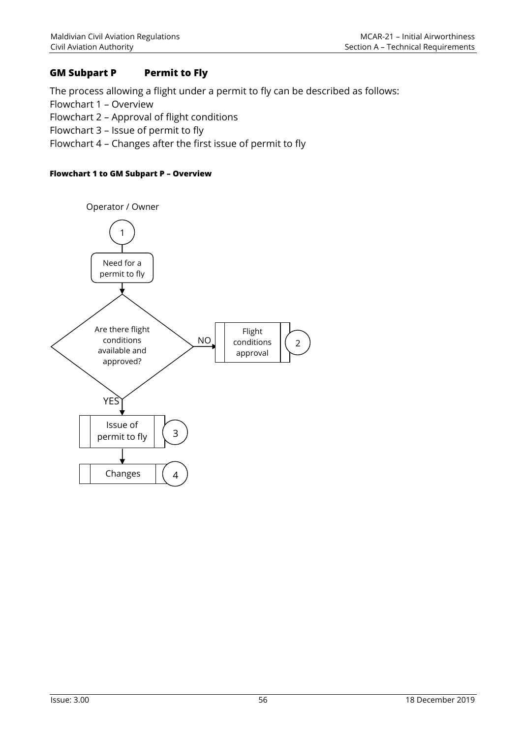#### **GM Subpart P** Permit to Fly

The process allowing a flight under a permit to fly can be described as follows:

- Flowchart 1 Overview
- Flowchart 2 Approval of flight conditions
- Flowchart 3 Issue of permit to fly
- Flowchart 4 Changes after the first issue of permit to fly

#### **Flowchart 1 to GM Subpart P – Overview**

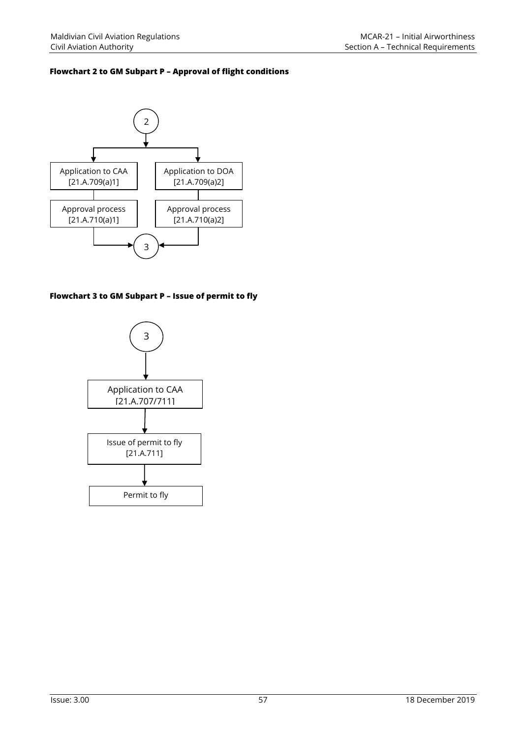#### **Flowchart 2 to GM Subpart P – Approval of flight conditions**



#### **Flowchart 3 to GM Subpart P – Issue of permit to fly**

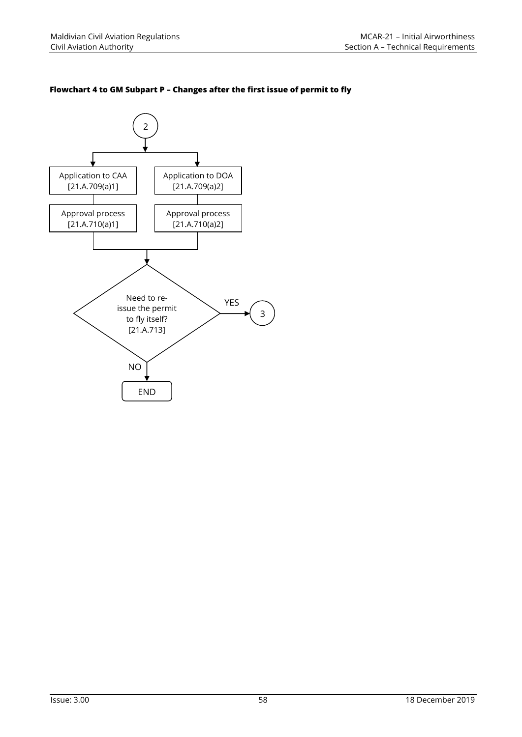

#### **Flowchart 4 to GM Subpart P – Changes after the first issue of permit to fly**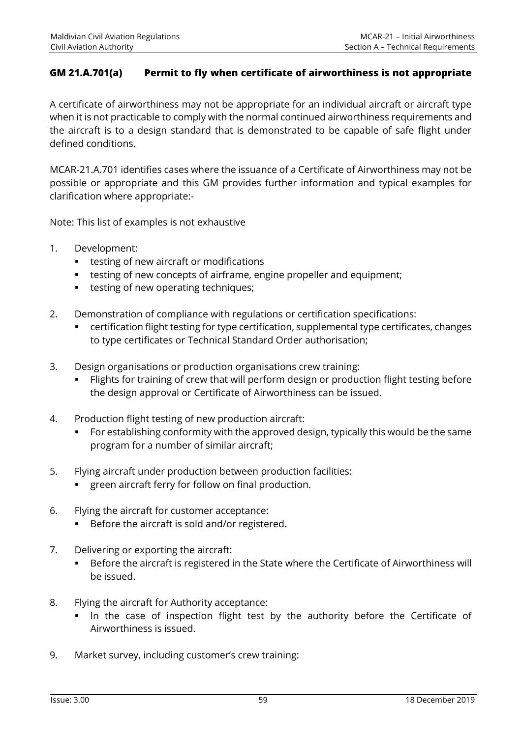#### **GM 21.A.701(a) Permit to fly when certificate of airworthiness is not appropriate**

A certificate of airworthiness may not be appropriate for an individual aircraft or aircraft type when it is not practicable to comply with the normal continued airworthiness requirements and the aircraft is to a design standard that is demonstrated to be capable of safe flight under defined conditions.

MCAR-21.A.701 identifies cases where the issuance of a Certificate of Airworthiness may not be possible or appropriate and this GM provides further information and typical examples for clarification where appropriate:-

Note: This list of examples is not exhaustive

- 1. Development:
	- **testing of new aircraft or modifications**
	- testing of new concepts of airframe, engine propeller and equipment;
	- **testing of new operating techniques;**
- 2. Demonstration of compliance with regulations or certification specifications:
	- certification flight testing for type certification, supplemental type certificates, changes to type certificates or Technical Standard Order authorisation;
- 3. Design organisations or production organisations crew training:
	- Flights for training of crew that will perform design or production flight testing before the design approval or Certificate of Airworthiness can be issued.
- 4. Production flight testing of new production aircraft:
	- For establishing conformity with the approved design, typically this would be the same program for a number of similar aircraft;
- 5. Flying aircraft under production between production facilities:
	- green aircraft ferry for follow on final production.
- 6. Flying the aircraft for customer acceptance:
	- Before the aircraft is sold and/or registered.
- 7. Delivering or exporting the aircraft:
	- Before the aircraft is registered in the State where the Certificate of Airworthiness will be issued.
- 8. Flying the aircraft for Authority acceptance:
	- In the case of inspection flight test by the authority before the Certificate of Airworthiness is issued.
- 9. Market survey, including customer's crew training: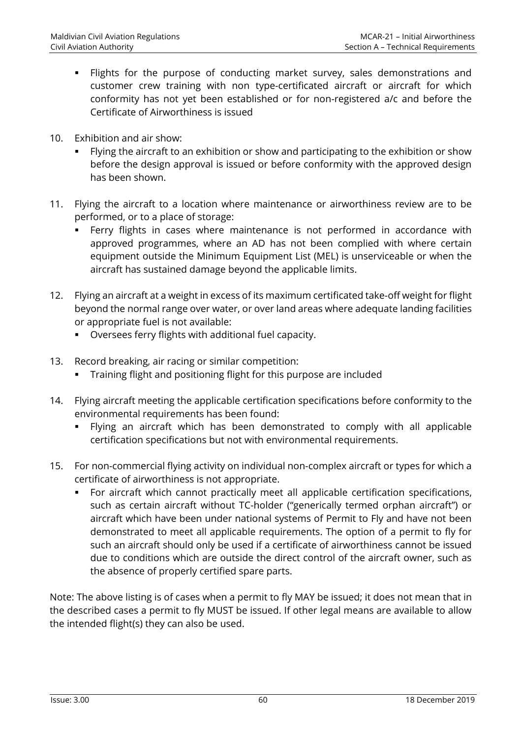- Flights for the purpose of conducting market survey, sales demonstrations and customer crew training with non type-certificated aircraft or aircraft for which conformity has not yet been established or for non-registered a/c and before the Certificate of Airworthiness is issued
- 10. Exhibition and air show:
	- Flying the aircraft to an exhibition or show and participating to the exhibition or show before the design approval is issued or before conformity with the approved design has been shown.
- 11. Flying the aircraft to a location where maintenance or airworthiness review are to be performed, or to a place of storage:
	- Ferry flights in cases where maintenance is not performed in accordance with approved programmes, where an AD has not been complied with where certain equipment outside the Minimum Equipment List (MEL) is unserviceable or when the aircraft has sustained damage beyond the applicable limits.
- 12. Flying an aircraft at a weight in excess of its maximum certificated take-off weight for flight beyond the normal range over water, or over land areas where adequate landing facilities or appropriate fuel is not available:
	- Oversees ferry flights with additional fuel capacity.
- 13. Record breaking, air racing or similar competition:
	- **Training flight and positioning flight for this purpose are included**
- 14. Flying aircraft meeting the applicable certification specifications before conformity to the environmental requirements has been found:
	- Flying an aircraft which has been demonstrated to comply with all applicable certification specifications but not with environmental requirements.
- 15. For non-commercial flying activity on individual non-complex aircraft or types for which a certificate of airworthiness is not appropriate.
	- For aircraft which cannot practically meet all applicable certification specifications, such as certain aircraft without TC-holder ("generically termed orphan aircraft") or aircraft which have been under national systems of Permit to Fly and have not been demonstrated to meet all applicable requirements. The option of a permit to fly for such an aircraft should only be used if a certificate of airworthiness cannot be issued due to conditions which are outside the direct control of the aircraft owner, such as the absence of properly certified spare parts.

Note: The above listing is of cases when a permit to fly MAY be issued; it does not mean that in the described cases a permit to fly MUST be issued. If other legal means are available to allow the intended flight(s) they can also be used.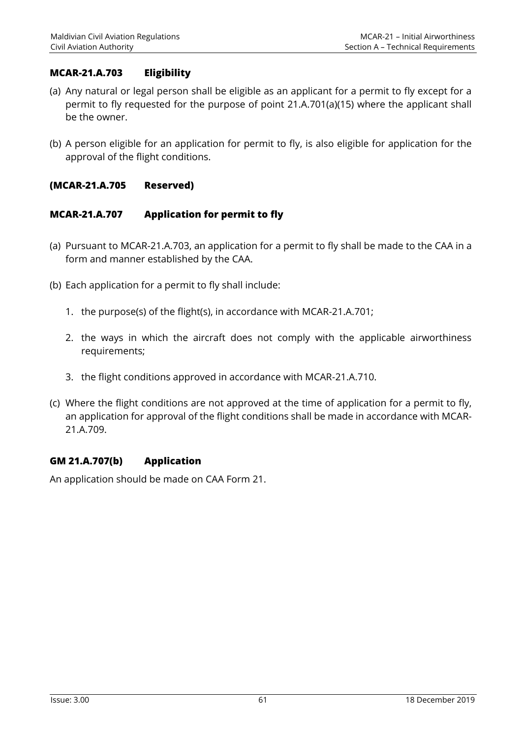# **MCAR-21.A.703 Eligibility**

- (a) Any natural or legal person shall be eligible as an applicant for a permit to fly except for a permit to fly requested for the purpose of point 21.A.701(a)(15) where the applicant shall be the owner.
- (b) A person eligible for an application for permit to fly, is also eligible for application for the approval of the flight conditions.

#### **(MCAR-21.A.705 Reserved)**

#### **MCAR-21.A.707 Application for permit to fly**

- (a) Pursuant to MCAR-21.A.703, an application for a permit to fly shall be made to the CAA in a form and manner established by the CAA.
- (b) Each application for a permit to fly shall include:
	- 1. the purpose(s) of the flight(s), in accordance with MCAR-21.A.701;
	- 2. the ways in which the aircraft does not comply with the applicable airworthiness requirements;
	- 3. the flight conditions approved in accordance with MCAR-21.A.710.
- (c) Where the flight conditions are not approved at the time of application for a permit to fly, an application for approval of the flight conditions shall be made in accordance with MCAR-21.A.709.

#### **GM 21.A.707(b) Application**

An application should be made on CAA Form 21.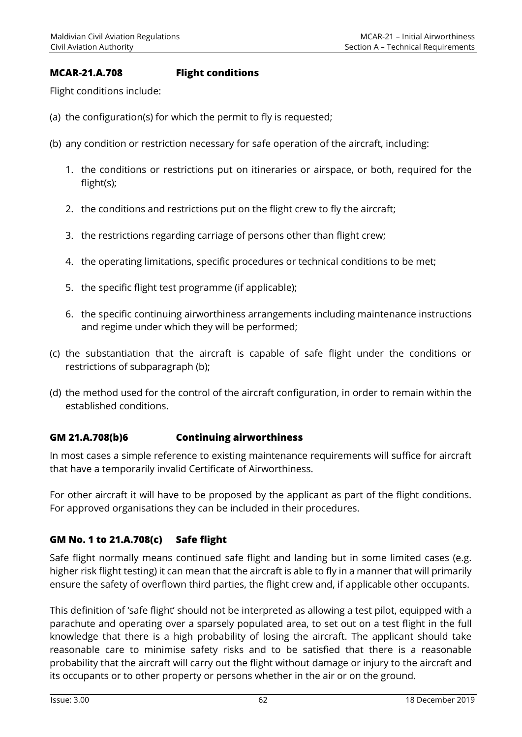### **MCAR-21.A.708 Flight conditions**

Flight conditions include:

- (a) the configuration(s) for which the permit to fly is requested;
- (b) any condition or restriction necessary for safe operation of the aircraft, including:
	- 1. the conditions or restrictions put on itineraries or airspace, or both, required for the flight(s);
	- 2. the conditions and restrictions put on the flight crew to fly the aircraft;
	- 3. the restrictions regarding carriage of persons other than flight crew;
	- 4. the operating limitations, specific procedures or technical conditions to be met;
	- 5. the specific flight test programme (if applicable);
	- 6. the specific continuing airworthiness arrangements including maintenance instructions and regime under which they will be performed;
- (c) the substantiation that the aircraft is capable of safe flight under the conditions or restrictions of subparagraph (b);
- (d) the method used for the control of the aircraft configuration, in order to remain within the established conditions.

### **GM 21.A.708(b)6 Continuing airworthiness**

In most cases a simple reference to existing maintenance requirements will suffice for aircraft that have a temporarily invalid Certificate of Airworthiness.

For other aircraft it will have to be proposed by the applicant as part of the flight conditions. For approved organisations they can be included in their procedures.

## **GM No. 1 to 21.A.708(c) Safe flight**

Safe flight normally means continued safe flight and landing but in some limited cases (e.g. higher risk flight testing) it can mean that the aircraft is able to fly in a manner that will primarily ensure the safety of overflown third parties, the flight crew and, if applicable other occupants.

This definition of 'safe flight' should not be interpreted as allowing a test pilot, equipped with a parachute and operating over a sparsely populated area, to set out on a test flight in the full knowledge that there is a high probability of losing the aircraft. The applicant should take reasonable care to minimise safety risks and to be satisfied that there is a reasonable probability that the aircraft will carry out the flight without damage or injury to the aircraft and its occupants or to other property or persons whether in the air or on the ground.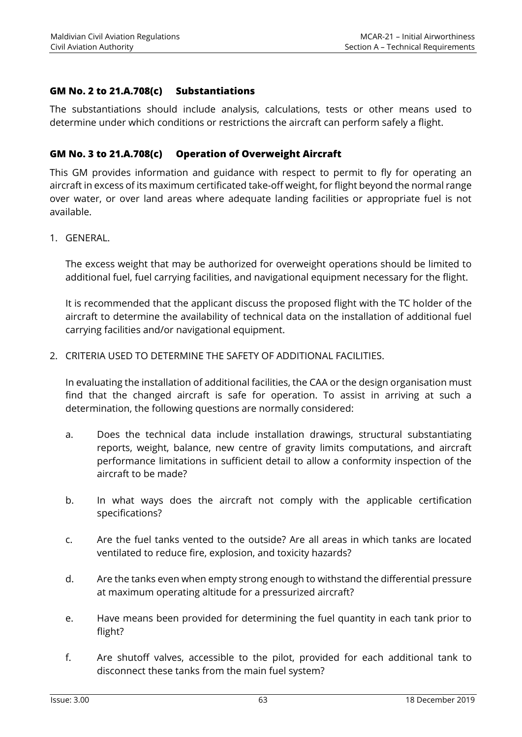## **GM No. 2 to 21.A.708(c) Substantiations**

The substantiations should include analysis, calculations, tests or other means used to determine under which conditions or restrictions the aircraft can perform safely a flight.

## **GM No. 3 to 21.A.708(c) Operation of Overweight Aircraft**

This GM provides information and guidance with respect to permit to fly for operating an aircraft in excess of its maximum certificated take-off weight, for flight beyond the normal range over water, or over land areas where adequate landing facilities or appropriate fuel is not available.

1. GENERAL.

The excess weight that may be authorized for overweight operations should be limited to additional fuel, fuel carrying facilities, and navigational equipment necessary for the flight.

It is recommended that the applicant discuss the proposed flight with the TC holder of the aircraft to determine the availability of technical data on the installation of additional fuel carrying facilities and/or navigational equipment.

2. CRITERIA USED TO DETERMINE THE SAFETY OF ADDITIONAL FACILITIES.

In evaluating the installation of additional facilities, the CAA or the design organisation must find that the changed aircraft is safe for operation. To assist in arriving at such a determination, the following questions are normally considered:

- a. Does the technical data include installation drawings, structural substantiating reports, weight, balance, new centre of gravity limits computations, and aircraft performance limitations in sufficient detail to allow a conformity inspection of the aircraft to be made?
- b. In what ways does the aircraft not comply with the applicable certification specifications?
- c. Are the fuel tanks vented to the outside? Are all areas in which tanks are located ventilated to reduce fire, explosion, and toxicity hazards?
- d. Are the tanks even when empty strong enough to withstand the differential pressure at maximum operating altitude for a pressurized aircraft?
- e. Have means been provided for determining the fuel quantity in each tank prior to flight?
- f. Are shutoff valves, accessible to the pilot, provided for each additional tank to disconnect these tanks from the main fuel system?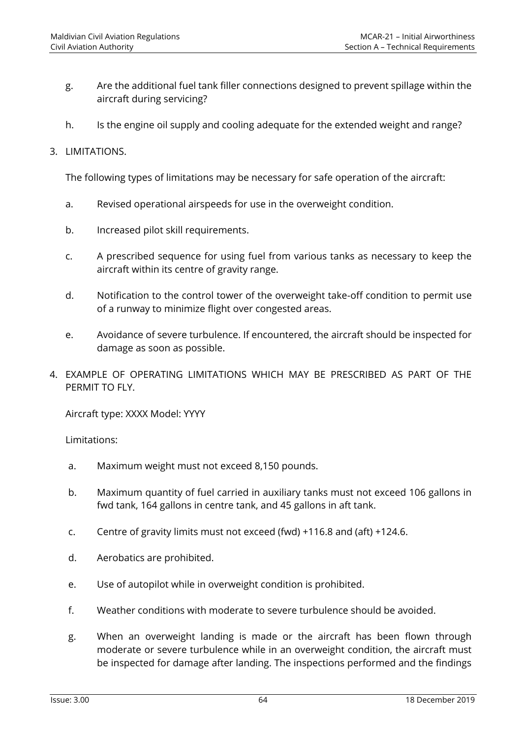- g. Are the additional fuel tank filler connections designed to prevent spillage within the aircraft during servicing?
- h. Is the engine oil supply and cooling adequate for the extended weight and range?

## 3. LIMITATIONS.

The following types of limitations may be necessary for safe operation of the aircraft:

- a. Revised operational airspeeds for use in the overweight condition.
- b. Increased pilot skill requirements.
- c. A prescribed sequence for using fuel from various tanks as necessary to keep the aircraft within its centre of gravity range.
- d. Notification to the control tower of the overweight take-off condition to permit use of a runway to minimize flight over congested areas.
- e. Avoidance of severe turbulence. If encountered, the aircraft should be inspected for damage as soon as possible.
- 4. EXAMPLE OF OPERATING LIMITATIONS WHICH MAY BE PRESCRIBED AS PART OF THE PERMIT TO FLY.

Aircraft type: XXXX Model: YYYY

Limitations:

- a. Maximum weight must not exceed 8,150 pounds.
- b. Maximum quantity of fuel carried in auxiliary tanks must not exceed 106 gallons in fwd tank, 164 gallons in centre tank, and 45 gallons in aft tank.
- c. Centre of gravity limits must not exceed (fwd) +116.8 and (aft) +124.6.
- d. Aerobatics are prohibited.
- e. Use of autopilot while in overweight condition is prohibited.
- f. Weather conditions with moderate to severe turbulence should be avoided.
- g. When an overweight landing is made or the aircraft has been flown through moderate or severe turbulence while in an overweight condition, the aircraft must be inspected for damage after landing. The inspections performed and the findings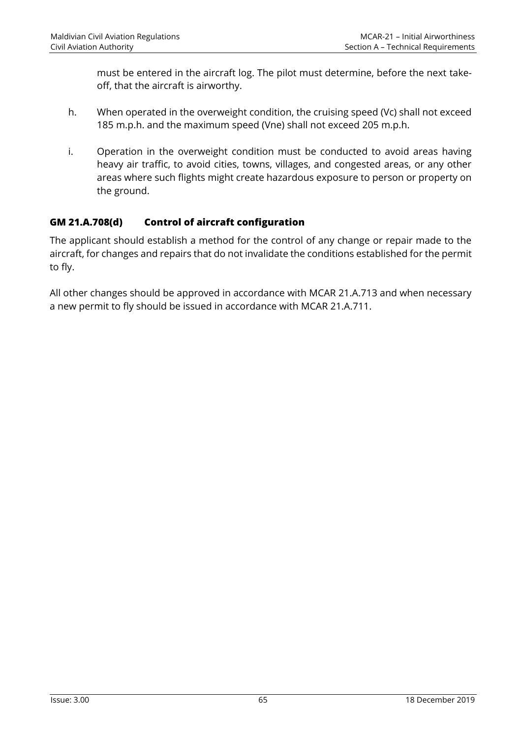must be entered in the aircraft log. The pilot must determine, before the next takeoff, that the aircraft is airworthy.

- h. When operated in the overweight condition, the cruising speed (Vc) shall not exceed 185 m.p.h. and the maximum speed (Vne) shall not exceed 205 m.p.h.
- i. Operation in the overweight condition must be conducted to avoid areas having heavy air traffic, to avoid cities, towns, villages, and congested areas, or any other areas where such flights might create hazardous exposure to person or property on the ground.

## **GM 21.A.708(d) Control of aircraft configuration**

The applicant should establish a method for the control of any change or repair made to the aircraft, for changes and repairs that do not invalidate the conditions established for the permit to fly.

All other changes should be approved in accordance with MCAR 21.A.713 and when necessary a new permit to fly should be issued in accordance with MCAR 21.A.711.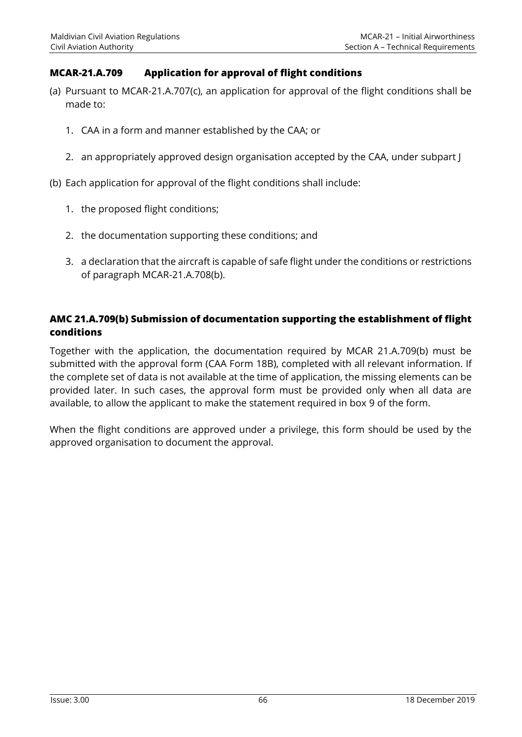## **MCAR-21.A.709 Application for approval of flight conditions**

- (a) Pursuant to MCAR-21.A.707(c), an application for approval of the flight conditions shall be made to:
	- 1. CAA in a form and manner established by the CAA; or
	- 2. an appropriately approved design organisation accepted by the CAA, under subpart J
- (b) Each application for approval of the flight conditions shall include:
	- 1. the proposed flight conditions;
	- 2. the documentation supporting these conditions; and
	- 3. a declaration that the aircraft is capable of safe flight under the conditions or restrictions of paragraph MCAR-21.A.708(b).

## **AMC 21.A.709(b) Submission of documentation supporting the establishment of flight conditions**

Together with the application, the documentation required by MCAR 21.A.709(b) must be submitted with the approval form (CAA Form 18B), completed with all relevant information. If the complete set of data is not available at the time of application, the missing elements can be provided later. In such cases, the approval form must be provided only when all data are available, to allow the applicant to make the statement required in box 9 of the form.

When the flight conditions are approved under a privilege, this form should be used by the approved organisation to document the approval.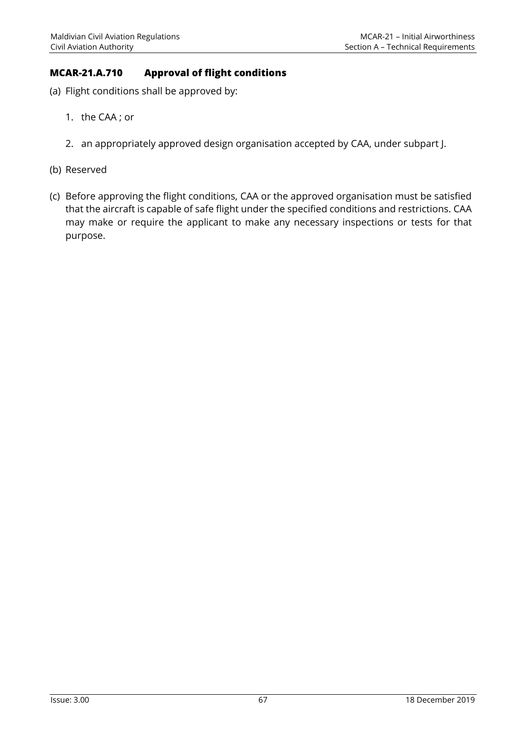## **MCAR-21.A.710 Approval of flight conditions**

- (a) Flight conditions shall be approved by:
	- 1. the CAA ; or
	- 2. an appropriately approved design organisation accepted by CAA, under subpart J.
- (b) Reserved
- (c) Before approving the flight conditions, CAA or the approved organisation must be satisfied that the aircraft is capable of safe flight under the specified conditions and restrictions. CAA may make or require the applicant to make any necessary inspections or tests for that purpose.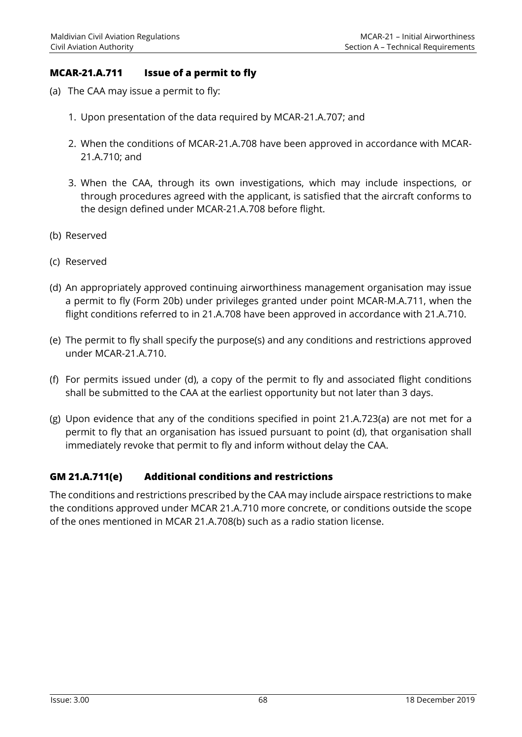## **MCAR-21.A.711 Issue of a permit to fly**

- (a) The CAA may issue a permit to fly:
	- 1. Upon presentation of the data required by MCAR-21.A.707; and
	- 2. When the conditions of MCAR-21.A.708 have been approved in accordance with MCAR-21.A.710; and
	- 3. When the CAA, through its own investigations, which may include inspections, or through procedures agreed with the applicant, is satisfied that the aircraft conforms to the design defined under MCAR-21.A.708 before flight.
- (b) Reserved
- (c) Reserved
- (d) An appropriately approved continuing airworthiness management organisation may issue a permit to fly (Form 20b) under privileges granted under point MCAR-M.A.711, when the flight conditions referred to in 21.A.708 have been approved in accordance with 21.A.710.
- (e) The permit to fly shall specify the purpose(s) and any conditions and restrictions approved under MCAR-21.A.710.
- (f) For permits issued under (d), a copy of the permit to fly and associated flight conditions shall be submitted to the CAA at the earliest opportunity but not later than 3 days.
- (g) Upon evidence that any of the conditions specified in point 21.A.723(a) are not met for a permit to fly that an organisation has issued pursuant to point (d), that organisation shall immediately revoke that permit to fly and inform without delay the CAA.

## **GM 21.A.711(e) Additional conditions and restrictions**

The conditions and restrictions prescribed by the CAA may include airspace restrictions to make the conditions approved under MCAR 21.A.710 more concrete, or conditions outside the scope of the ones mentioned in MCAR 21.A.708(b) such as a radio station license.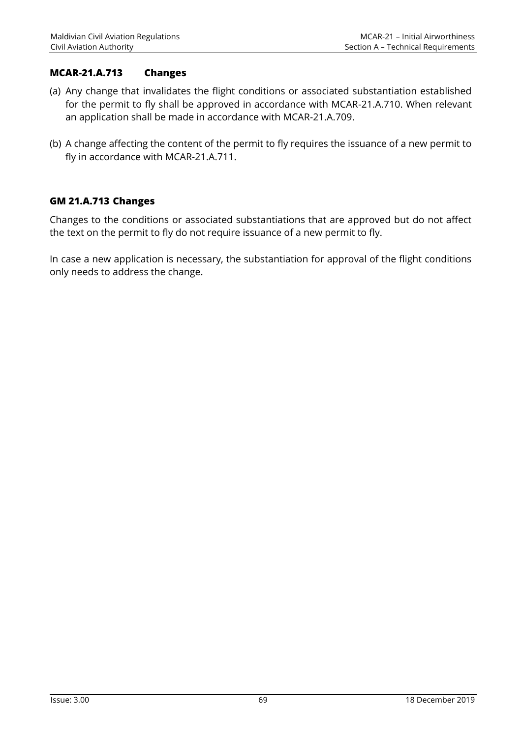## **MCAR-21.A.713 Changes**

- (a) Any change that invalidates the flight conditions or associated substantiation established for the permit to fly shall be approved in accordance with MCAR-21.A.710. When relevant an application shall be made in accordance with MCAR-21.A.709.
- (b) A change affecting the content of the permit to fly requires the issuance of a new permit to fly in accordance with MCAR-21.A.711.

## **GM 21.A.713 Changes**

Changes to the conditions or associated substantiations that are approved but do not affect the text on the permit to fly do not require issuance of a new permit to fly.

In case a new application is necessary, the substantiation for approval of the flight conditions only needs to address the change.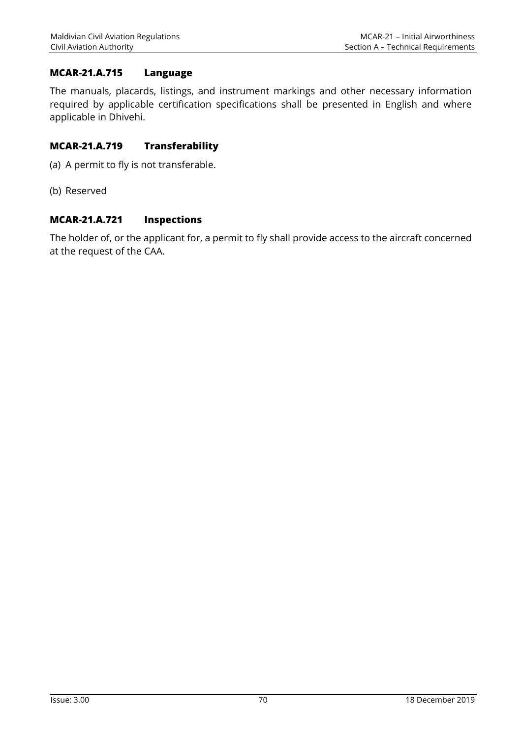## **MCAR-21.A.715 Language**

The manuals, placards, listings, and instrument markings and other necessary information required by applicable certification specifications shall be presented in English and where applicable in Dhivehi.

## **MCAR-21.A.719 Transferability**

- (a) A permit to fly is not transferable.
- (b) Reserved

### **MCAR-21.A.721 Inspections**

The holder of, or the applicant for, a permit to fly shall provide access to the aircraft concerned at the request of the CAA.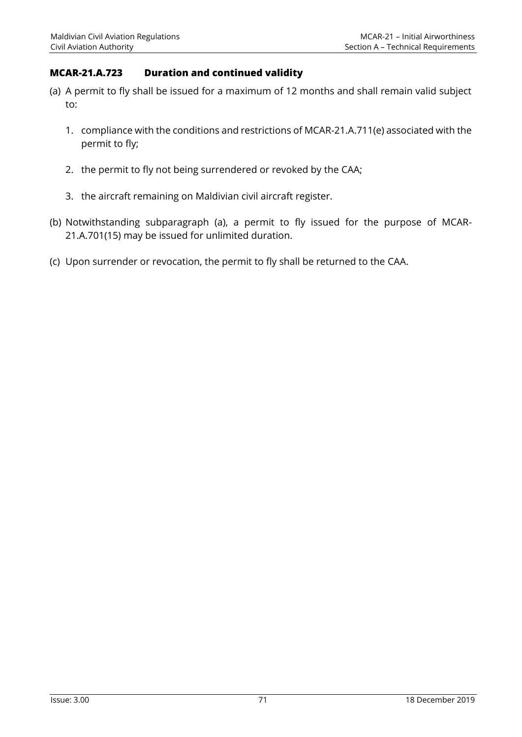## **MCAR-21.A.723 Duration and continued validity**

- (a) A permit to fly shall be issued for a maximum of 12 months and shall remain valid subject to:
	- 1. compliance with the conditions and restrictions of MCAR-21.A.711(e) associated with the permit to fly;
	- 2. the permit to fly not being surrendered or revoked by the CAA;
	- 3. the aircraft remaining on Maldivian civil aircraft register.
- (b) Notwithstanding subparagraph (a), a permit to fly issued for the purpose of MCAR-21.A.701(15) may be issued for unlimited duration.
- (c) Upon surrender or revocation, the permit to fly shall be returned to the CAA.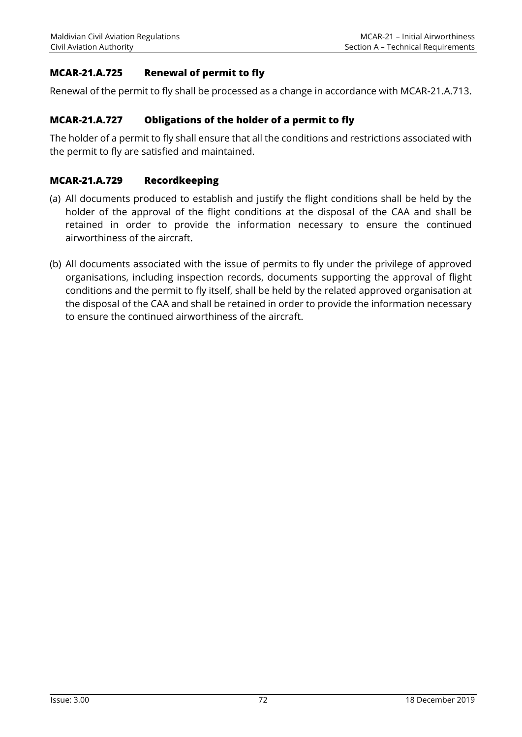## **MCAR-21.A.725 Renewal of permit to fly**

Renewal of the permit to fly shall be processed as a change in accordance with MCAR-21.A.713.

## **MCAR-21.A.727 Obligations of the holder of a permit to fly**

The holder of a permit to fly shall ensure that all the conditions and restrictions associated with the permit to fly are satisfied and maintained.

## **MCAR-21.A.729 Recordkeeping**

- (a) All documents produced to establish and justify the flight conditions shall be held by the holder of the approval of the flight conditions at the disposal of the CAA and shall be retained in order to provide the information necessary to ensure the continued airworthiness of the aircraft.
- (b) All documents associated with the issue of permits to fly under the privilege of approved organisations, including inspection records, documents supporting the approval of flight conditions and the permit to fly itself, shall be held by the related approved organisation at the disposal of the CAA and shall be retained in order to provide the information necessary to ensure the continued airworthiness of the aircraft.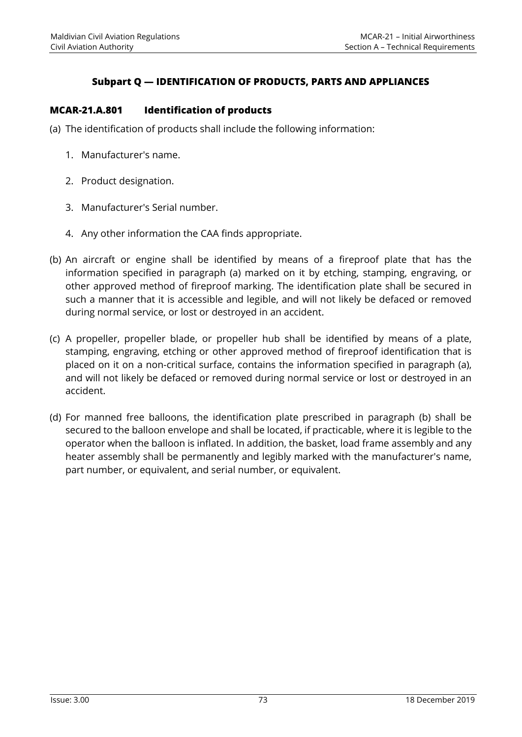## **Subpart Q — IDENTIFICATION OF PRODUCTS, PARTS AND APPLIANCES**

## **MCAR-21.A.801 Identification of products**

- (a) The identification of products shall include the following information:
	- 1. Manufacturer's name.
	- 2. Product designation.
	- 3. Manufacturer's Serial number.
	- 4. Any other information the CAA finds appropriate.
- (b) An aircraft or engine shall be identified by means of a fireproof plate that has the information specified in paragraph (a) marked on it by etching, stamping, engraving, or other approved method of fireproof marking. The identification plate shall be secured in such a manner that it is accessible and legible, and will not likely be defaced or removed during normal service, or lost or destroyed in an accident.
- (c) A propeller, propeller blade, or propeller hub shall be identified by means of a plate, stamping, engraving, etching or other approved method of fireproof identification that is placed on it on a non-critical surface, contains the information specified in paragraph (a), and will not likely be defaced or removed during normal service or lost or destroyed in an accident.
- (d) For manned free balloons, the identification plate prescribed in paragraph (b) shall be secured to the balloon envelope and shall be located, if practicable, where it is legible to the operator when the balloon is inflated. In addition, the basket, load frame assembly and any heater assembly shall be permanently and legibly marked with the manufacturer's name, part number, or equivalent, and serial number, or equivalent.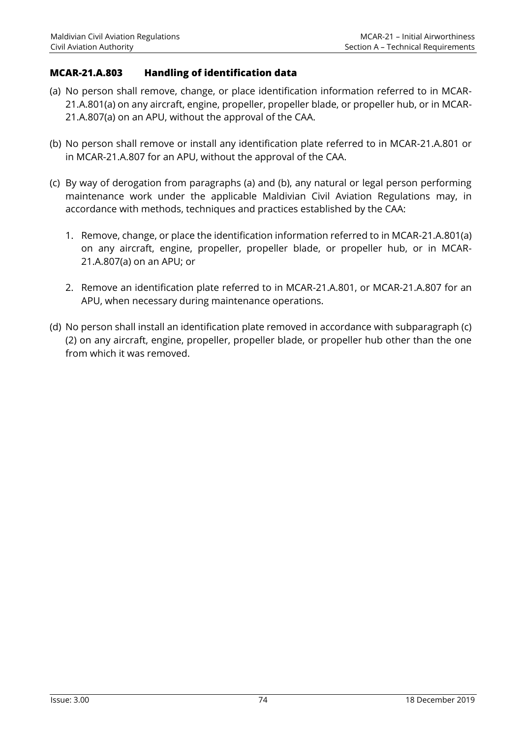## **MCAR-21.A.803 Handling of identification data**

- (a) No person shall remove, change, or place identification information referred to in MCAR-21.A.801(a) on any aircraft, engine, propeller, propeller blade, or propeller hub, or in MCAR-21.A.807(a) on an APU, without the approval of the CAA.
- (b) No person shall remove or install any identification plate referred to in MCAR-21.A.801 or in MCAR-21.A.807 for an APU, without the approval of the CAA.
- (c) By way of derogation from paragraphs (a) and (b), any natural or legal person performing maintenance work under the applicable Maldivian Civil Aviation Regulations may, in accordance with methods, techniques and practices established by the CAA:
	- 1. Remove, change, or place the identification information referred to in MCAR-21.A.801(a) on any aircraft, engine, propeller, propeller blade, or propeller hub, or in MCAR-21.A.807(a) on an APU; or
	- 2. Remove an identification plate referred to in MCAR-21.A.801, or MCAR-21.A.807 for an APU, when necessary during maintenance operations.
- (d) No person shall install an identification plate removed in accordance with subparagraph (c) (2) on any aircraft, engine, propeller, propeller blade, or propeller hub other than the one from which it was removed.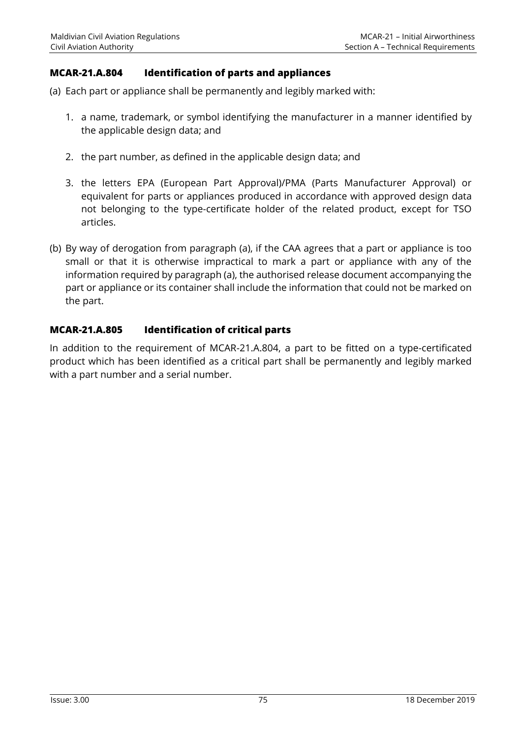## **MCAR-21.A.804 Identification of parts and appliances**

- (a) Each part or appliance shall be permanently and legibly marked with:
	- 1. a name, trademark, or symbol identifying the manufacturer in a manner identified by the applicable design data; and
	- 2. the part number, as defined in the applicable design data; and
	- 3. the letters EPA (European Part Approval)/PMA (Parts Manufacturer Approval) or equivalent for parts or appliances produced in accordance with approved design data not belonging to the type-certificate holder of the related product, except for TSO articles.
- (b) By way of derogation from paragraph (a), if the CAA agrees that a part or appliance is too small or that it is otherwise impractical to mark a part or appliance with any of the information required by paragraph (a), the authorised release document accompanying the part or appliance or its container shall include the information that could not be marked on the part.

## **MCAR-21.A.805 Identification of critical parts**

In addition to the requirement of MCAR-21.A.804, a part to be fitted on a type-certificated product which has been identified as a critical part shall be permanently and legibly marked with a part number and a serial number.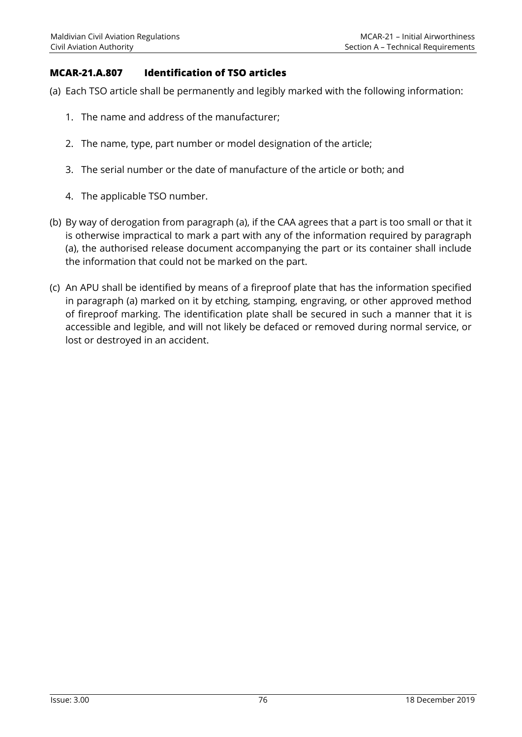## **MCAR-21.A.807 Identification of TSO articles**

- (a) Each TSO article shall be permanently and legibly marked with the following information:
	- 1. The name and address of the manufacturer;
	- 2. The name, type, part number or model designation of the article;
	- 3. The serial number or the date of manufacture of the article or both; and
	- 4. The applicable TSO number.
- (b) By way of derogation from paragraph (a), if the CAA agrees that a part is too small or that it is otherwise impractical to mark a part with any of the information required by paragraph (a), the authorised release document accompanying the part or its container shall include the information that could not be marked on the part.
- (c) An APU shall be identified by means of a fireproof plate that has the information specified in paragraph (a) marked on it by etching, stamping, engraving, or other approved method of fireproof marking. The identification plate shall be secured in such a manner that it is accessible and legible, and will not likely be defaced or removed during normal service, or lost or destroyed in an accident.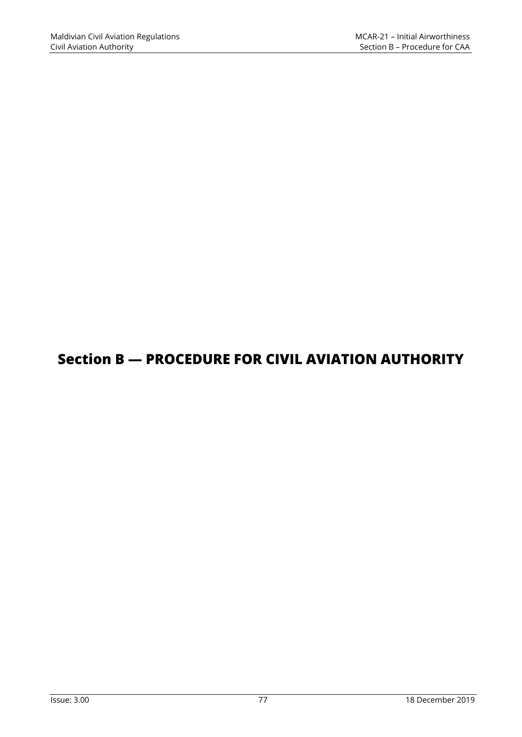# **Section B — PROCEDURE FOR CIVIL AVIATION AUTHORITY**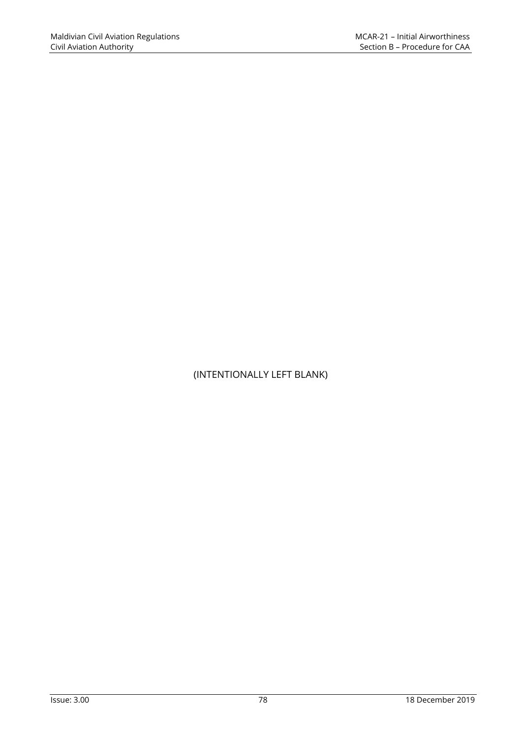## (INTENTIONALLY LEFT BLANK)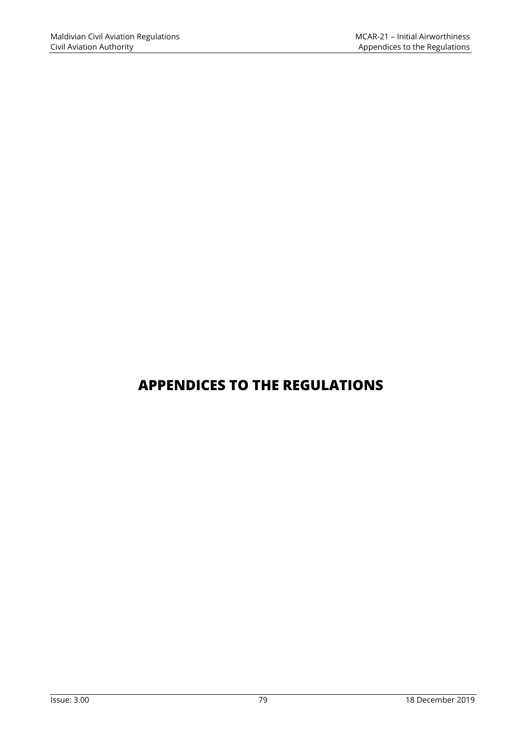# **APPENDICES TO THE REGULATIONS**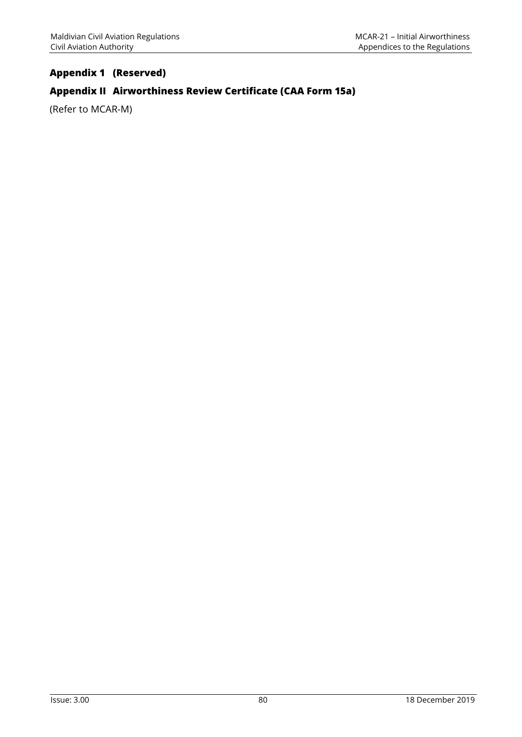## **Appendix 1 (Reserved)**

## **Appendix II Airworthiness Review Certificate (CAA Form 15a)**

(Refer to MCAR-M)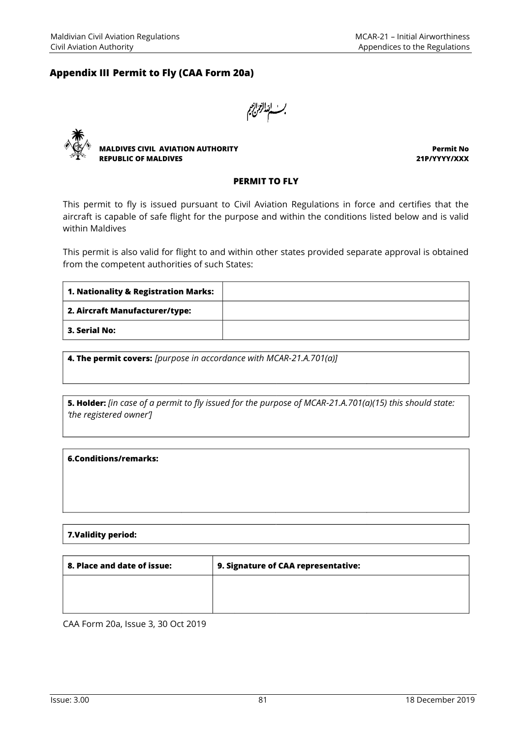## Appendix III Permit to Fly (CAA Form 20a)



**MALDIVES CIVIL AVIATION AUTHORITY REPUBLIC OF MALDIVES**

**Permit No 21P/YYYY/XXX**

### **PERMIT TO FLY**

This permit to fly is issued pursuant to Civil Aviation Regulations in force and certifies that the aircraft is capable of safe flight for the purpose and within the conditions listed below and is valid within Maldives

This permit is also valid for flight to and within other states provided separate approval is obtained from the competent authorities of such States:

| 1. Nationality & Registration Marks: |  |
|--------------------------------------|--|
| 2. Aircraft Manufacturer/type:       |  |
| 3. Serial No:                        |  |

**4. The permit covers:** *[purpose in accordance with MCAR-21.A.701(a)]*

**5. Holder:** *[in case of a permit to fly issued for the purpose of MCAR-21.A.701(a)(15) this should state: 'the registered owner']*

**6.Conditions/remarks:**

### **7.Validity period:**

| 8. Place and date of issue: | 9. Signature of CAA representative: |  |
|-----------------------------|-------------------------------------|--|
|                             |                                     |  |
|                             |                                     |  |

CAA Form 20a, Issue 3, 30 Oct 2019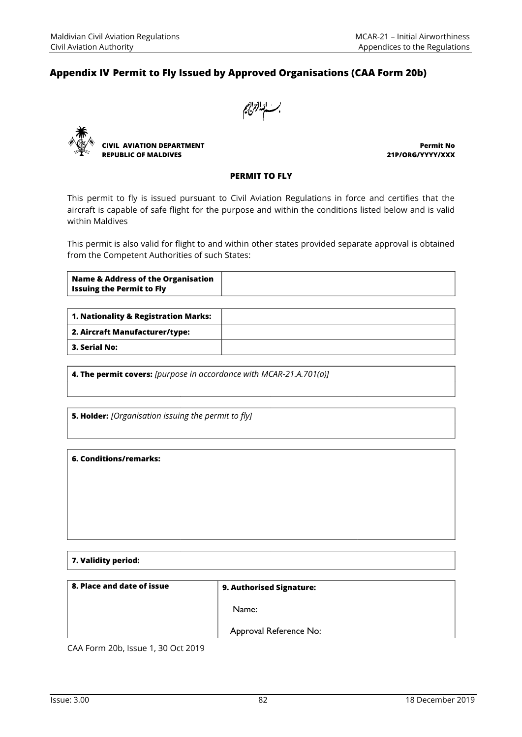## Appendix IV Permit to Fly Issued by Approved Organisations (CAA Form 20b)





**Permit No 21P/ORG/YYYY/XXX**

### **PERMIT TO FLY**

This permit to fly is issued pursuant to Civil Aviation Regulations in force and certifies that the aircraft is capable of safe flight for the purpose and within the conditions listed below and is valid within Maldives

This permit is also valid for flight to and within other states provided separate approval is obtained from the Competent Authorities of such States:

| <b>Name &amp; Address of the Organisation</b> |  |
|-----------------------------------------------|--|
| <b>Issuing the Permit to Fly</b>              |  |

| 1. Nationality & Registration Marks: |  |
|--------------------------------------|--|
| 2. Aircraft Manufacturer/type:       |  |
| 3. Serial No:                        |  |

**4. The permit covers:** *[purpose in accordance with MCAR-21.A.701(a)]*

| <b>5. Holder:</b> [Organisation issuing the permit to fly] |  |
|------------------------------------------------------------|--|
|                                                            |  |

**6. Conditions/remarks:**

### **7. Validity period:**

| 8. Place and date of issue | 9. Authorised Signature: |
|----------------------------|--------------------------|
|                            | Name:                    |
|                            | Approval Reference No:   |

CAA Form 20b, Issue 1, 30 Oct 2019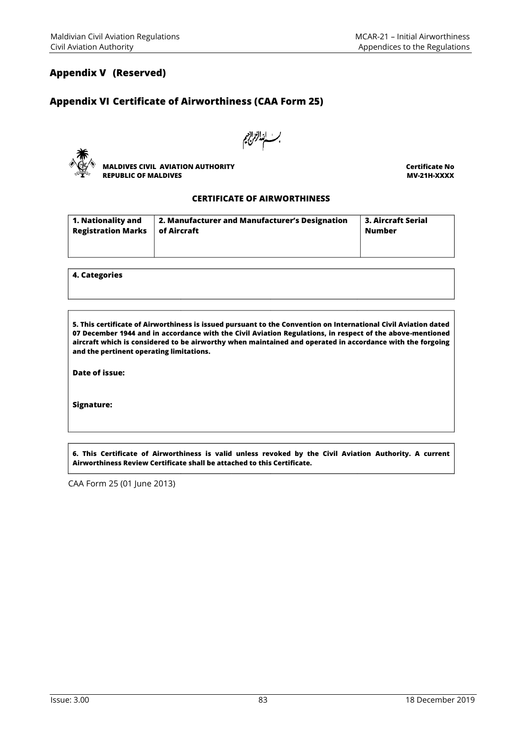## **Appendix V (Reserved)**

## Appendix VI Certificate of Airworthiness (CAA Form 25)



**MALDIVES CIVIL AVIATION AUTHORITY REPUBLIC OF MALDIVES**

بسساتهالزمراجيم

**Certificate No MV-21H-XXXX**

### **CERTIFICATE OF AIRWORTHINESS**

| 1. Nationality and<br>2. Manufacturer and Manufacturer's Designation  <br><b>Registration Marks</b><br>of Aircraft |  | 3. Aircraft Serial<br>Number |  |
|--------------------------------------------------------------------------------------------------------------------|--|------------------------------|--|
|                                                                                                                    |  |                              |  |

**4. Categories** 

**5. This certificate of Airworthiness is issued pursuant to the Convention on International Civil Aviation dated 07 December 1944 and in accordance with the Civil Aviation Regulations, in respect of the above-mentioned aircraft which is considered to be airworthy when maintained and operated in accordance with the forgoing and the pertinent operating limitations.** 

**Date of issue:**

**Signature:**

**6. This Certificate of Airworthiness is valid unless revoked by the Civil Aviation Authority. A current Airworthiness Review Certificate shall be attached to this Certificate.**

CAA Form 25 (01 June 2013)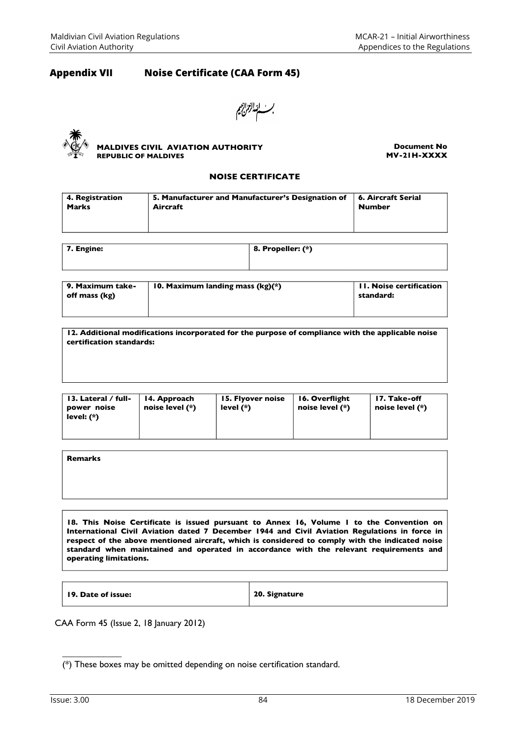## Appendix VII Noise Certificate (CAA Form 45)





MALDIVES CIVIL AVIATION AUTHORITY REPUBLIC OF MALDIVES

Document No MV-21H-XXXX

### NOISE CERTIFICATE

| 4. Registration<br><b>Marks</b> | 5. Manufacturer and Manufacturer's Designation of   6. Aircraft Serial<br>Aircraft | <b>Number</b> |
|---------------------------------|------------------------------------------------------------------------------------|---------------|
|                                 |                                                                                    |               |

| 7. Engine: | $\blacksquare$ 8. Propeller: $(*)$ |
|------------|------------------------------------|
|            |                                    |

| 9. Maximum take-<br>off mass (kg) | 10. Maximum landing mass $(kg)(*)$ | II. Noise certification<br>standard: |
|-----------------------------------|------------------------------------|--------------------------------------|
|                                   |                                    |                                      |

| 12. Additional modifications incorporated for the purpose of compliance with the applicable noise |  |
|---------------------------------------------------------------------------------------------------|--|
| certification standards:                                                                          |  |

| 13. Lateral / full-<br>power noise<br>level: $(*)$ | 14. Approach<br>noise level (*) | 15. Flyover noise<br>level $(*)$ | 16. Overflight<br>noise level (*) | 17. Take-off<br>noise level (*) |
|----------------------------------------------------|---------------------------------|----------------------------------|-----------------------------------|---------------------------------|
|                                                    |                                 |                                  |                                   |                                 |

| <b>Remarks</b> |  |  |  |
|----------------|--|--|--|
|                |  |  |  |
|                |  |  |  |
|                |  |  |  |

18. This Noise Certificate is issued pursuant to Annex 16, Volume 1 to the Convention on International Civil Aviation dated 7 December 1944 and Civil Aviation Regulations in force in respect of the above mentioned aircraft, which is considered to comply with the indicated noise standard when maintained and operated in accordance with the relevant requirements and operating limitations.

| 19. Date of issue: | 20. Signature |
|--------------------|---------------|
|--------------------|---------------|

CAA Form 45 (Issue 2, 18 January 2012)

<sup>(\*)</sup> These boxes may be omitted depending on noise certification standard.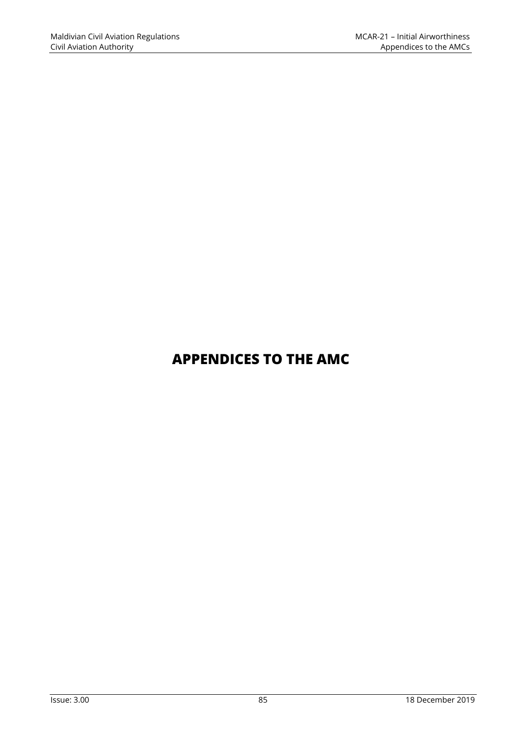# **APPENDICES TO THE AMC**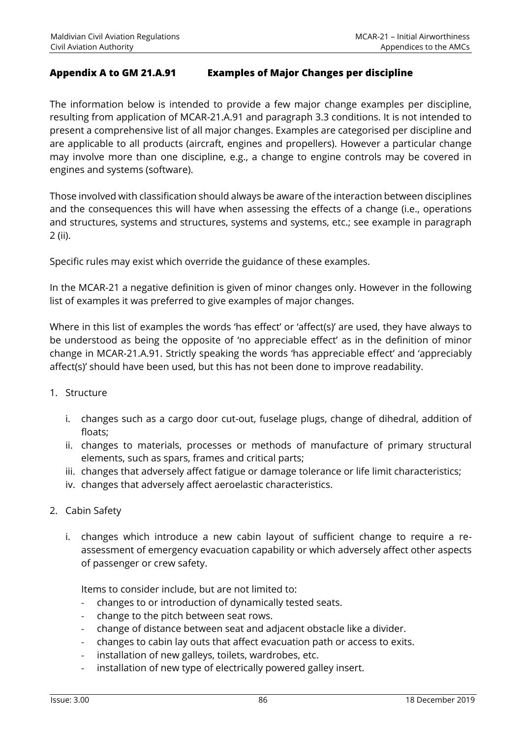## **Appendix A to GM 21.A.91 Examples of Major Changes per discipline**

The information below is intended to provide a few major change examples per discipline, resulting from application of MCAR-21.A.91 and paragraph 3.3 conditions. It is not intended to present a comprehensive list of all major changes. Examples are categorised per discipline and are applicable to all products (aircraft, engines and propellers). However a particular change may involve more than one discipline, e.g., a change to engine controls may be covered in engines and systems (software).

Those involved with classification should always be aware of the interaction between disciplines and the consequences this will have when assessing the effects of a change (i.e., operations and structures, systems and structures, systems and systems, etc.; see example in paragraph 2 (ii).

Specific rules may exist which override the guidance of these examples.

In the MCAR-21 a negative definition is given of minor changes only. However in the following list of examples it was preferred to give examples of major changes.

Where in this list of examples the words 'has effect' or 'affect(s)' are used, they have always to be understood as being the opposite of 'no appreciable effect' as in the definition of minor change in MCAR-21.A.91. Strictly speaking the words 'has appreciable effect' and 'appreciably affect(s)' should have been used, but this has not been done to improve readability.

- 1. Structure
	- i. changes such as a cargo door cut-out, fuselage plugs, change of dihedral, addition of floats;
	- ii. changes to materials, processes or methods of manufacture of primary structural elements, such as spars, frames and critical parts;
	- iii. changes that adversely affect fatigue or damage tolerance or life limit characteristics;
	- iv. changes that adversely affect aeroelastic characteristics.
- 2. Cabin Safety
	- i. changes which introduce a new cabin layout of sufficient change to require a reassessment of emergency evacuation capability or which adversely affect other aspects of passenger or crew safety.

Items to consider include, but are not limited to:

- changes to or introduction of dynamically tested seats.
- change to the pitch between seat rows.
- change of distance between seat and adjacent obstacle like a divider.
- changes to cabin lay outs that affect evacuation path or access to exits.
- installation of new galleys, toilets, wardrobes, etc.
- installation of new type of electrically powered galley insert.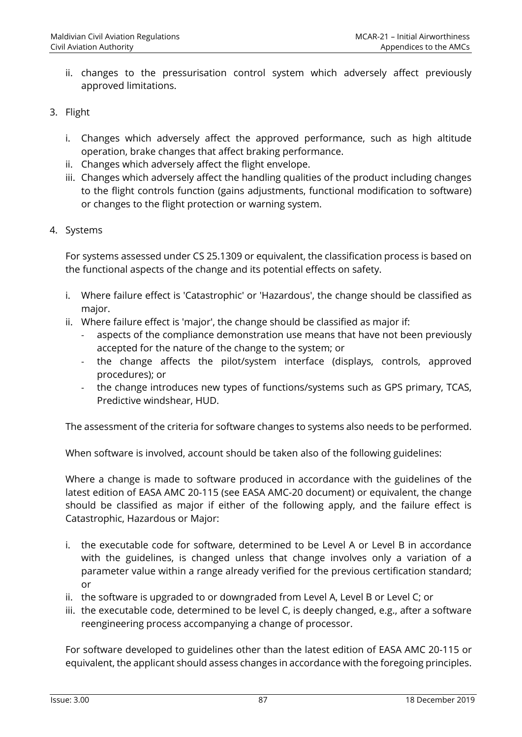- ii. changes to the pressurisation control system which adversely affect previously approved limitations.
- 3. Flight
	- i. Changes which adversely affect the approved performance, such as high altitude operation, brake changes that affect braking performance.
	- ii. Changes which adversely affect the flight envelope.
	- iii. Changes which adversely affect the handling qualities of the product including changes to the flight controls function (gains adjustments, functional modification to software) or changes to the flight protection or warning system.
- 4. Systems

For systems assessed under CS 25.1309 or equivalent, the classification process is based on the functional aspects of the change and its potential effects on safety.

- i. Where failure effect is 'Catastrophic' or 'Hazardous', the change should be classified as major.
- ii. Where failure effect is 'major', the change should be classified as major if:
	- aspects of the compliance demonstration use means that have not been previously accepted for the nature of the change to the system; or
	- the change affects the pilot/system interface (displays, controls, approved procedures); or
	- the change introduces new types of functions/systems such as GPS primary, TCAS, Predictive windshear, HUD.

The assessment of the criteria for software changes to systems also needs to be performed.

When software is involved, account should be taken also of the following guidelines:

Where a change is made to software produced in accordance with the guidelines of the latest edition of EASA AMC 20-115 (see EASA AMC-20 document) or equivalent, the change should be classified as major if either of the following apply, and the failure effect is Catastrophic, Hazardous or Major:

- i. the executable code for software, determined to be Level A or Level B in accordance with the guidelines, is changed unless that change involves only a variation of a parameter value within a range already verified for the previous certification standard; or
- ii. the software is upgraded to or downgraded from Level A, Level B or Level C; or
- iii. the executable code, determined to be level C, is deeply changed, e.g., after a software reengineering process accompanying a change of processor.

For software developed to guidelines other than the latest edition of EASA AMC 20-115 or equivalent, the applicant should assess changes in accordance with the foregoing principles.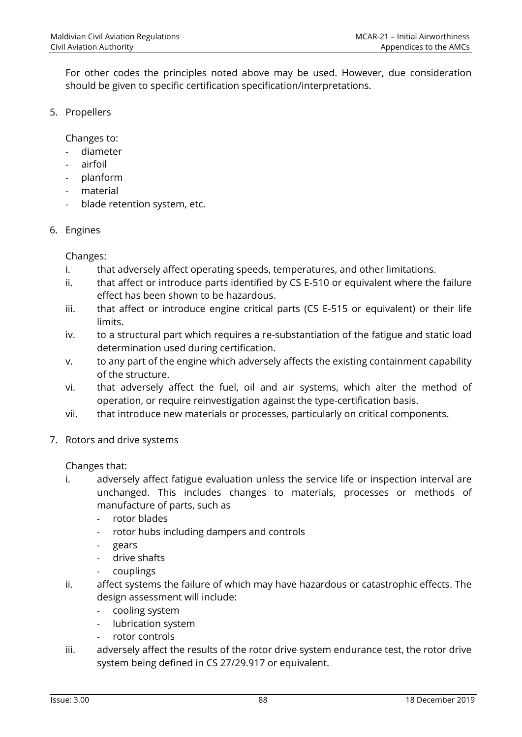For other codes the principles noted above may be used. However, due consideration should be given to specific certification specification/interpretations.

5. Propellers

Changes to:

- diameter
- airfoil
- planform
- material
- blade retention system, etc.
- 6. Engines

Changes:

- i. that adversely affect operating speeds, temperatures, and other limitations.
- ii. that affect or introduce parts identified by CS E-510 or equivalent where the failure effect has been shown to be hazardous.
- iii. that affect or introduce engine critical parts (CS E-515 or equivalent) or their life limits.
- iv. to a structural part which requires a re-substantiation of the fatigue and static load determination used during certification.
- v. to any part of the engine which adversely affects the existing containment capability of the structure.
- vi. that adversely affect the fuel, oil and air systems, which alter the method of operation, or require reinvestigation against the type-certification basis.
- vii. that introduce new materials or processes, particularly on critical components.
- 7. Rotors and drive systems

Changes that:

- i. adversely affect fatigue evaluation unless the service life or inspection interval are unchanged. This includes changes to materials, processes or methods of manufacture of parts, such as
	- rotor blades
	- rotor hubs including dampers and controls
	- gears
	- drive shafts
	- couplings
- ii. affect systems the failure of which may have hazardous or catastrophic effects. The design assessment will include:
	- cooling system
	- lubrication system
	- rotor controls
- iii. adversely affect the results of the rotor drive system endurance test, the rotor drive system being defined in CS 27/29.917 or equivalent.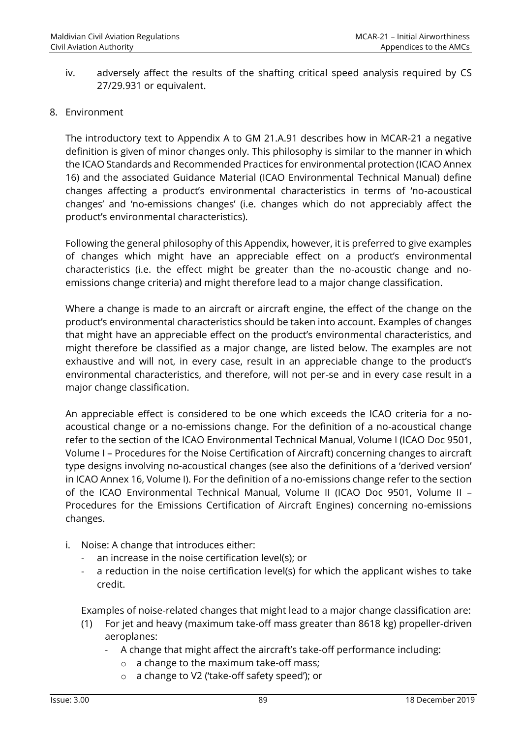iv. adversely affect the results of the shafting critical speed analysis required by CS 27/29.931 or equivalent.

## 8. Environment

The introductory text to Appendix A to GM 21.A.91 describes how in MCAR-21 a negative definition is given of minor changes only. This philosophy is similar to the manner in which the ICAO Standards and Recommended Practices for environmental protection (ICAO Annex 16) and the associated Guidance Material (ICAO Environmental Technical Manual) define changes affecting a product's environmental characteristics in terms of 'no-acoustical changes' and 'no-emissions changes' (i.e. changes which do not appreciably affect the product's environmental characteristics).

Following the general philosophy of this Appendix, however, it is preferred to give examples of changes which might have an appreciable effect on a product's environmental characteristics (i.e. the effect might be greater than the no-acoustic change and noemissions change criteria) and might therefore lead to a major change classification.

Where a change is made to an aircraft or aircraft engine, the effect of the change on the product's environmental characteristics should be taken into account. Examples of changes that might have an appreciable effect on the product's environmental characteristics, and might therefore be classified as a major change, are listed below. The examples are not exhaustive and will not, in every case, result in an appreciable change to the product's environmental characteristics, and therefore, will not per-se and in every case result in a major change classification.

An appreciable effect is considered to be one which exceeds the ICAO criteria for a noacoustical change or a no-emissions change. For the definition of a no-acoustical change refer to the section of the ICAO Environmental Technical Manual, Volume I (ICAO Doc 9501, Volume I – Procedures for the Noise Certification of Aircraft) concerning changes to aircraft type designs involving no-acoustical changes (see also the definitions of a 'derived version' in ICAO Annex 16, Volume I). For the definition of a no-emissions change refer to the section of the ICAO Environmental Technical Manual, Volume II (ICAO Doc 9501, Volume II – Procedures for the Emissions Certification of Aircraft Engines) concerning no-emissions changes.

- i. Noise: A change that introduces either:
	- an increase in the noise certification level(s); or
	- a reduction in the noise certification level(s) for which the applicant wishes to take credit.

Examples of noise-related changes that might lead to a major change classification are:

- (1) For jet and heavy (maximum take-off mass greater than 8618 kg) propeller-driven aeroplanes:
	- A change that might affect the aircraft's take-off performance including:
		- o a change to the maximum take-off mass;
		- o a change to V2 ('take-off safety speed'); or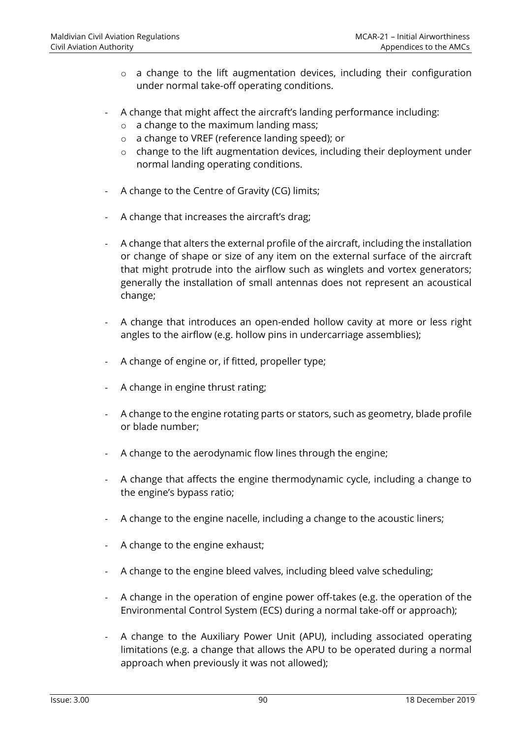- o a change to the lift augmentation devices, including their configuration under normal take-off operating conditions.
- A change that might affect the aircraft's landing performance including:
	- o a change to the maximum landing mass;
	- o a change to VREF (reference landing speed); or
	- o change to the lift augmentation devices, including their deployment under normal landing operating conditions.
- A change to the Centre of Gravity (CG) limits;
- A change that increases the aircraft's drag;
- A change that alters the external profile of the aircraft, including the installation or change of shape or size of any item on the external surface of the aircraft that might protrude into the airflow such as winglets and vortex generators; generally the installation of small antennas does not represent an acoustical change;
- A change that introduces an open-ended hollow cavity at more or less right angles to the airflow (e.g. hollow pins in undercarriage assemblies);
- A change of engine or, if fitted, propeller type;
- A change in engine thrust rating;
- A change to the engine rotating parts or stators, such as geometry, blade profile or blade number;
- A change to the aerodynamic flow lines through the engine;
- A change that affects the engine thermodynamic cycle, including a change to the engine's bypass ratio;
- A change to the engine nacelle, including a change to the acoustic liners;
- A change to the engine exhaust;
- A change to the engine bleed valves, including bleed valve scheduling;
- A change in the operation of engine power off-takes (e.g. the operation of the Environmental Control System (ECS) during a normal take-off or approach);
- A change to the Auxiliary Power Unit (APU), including associated operating limitations (e.g. a change that allows the APU to be operated during a normal approach when previously it was not allowed);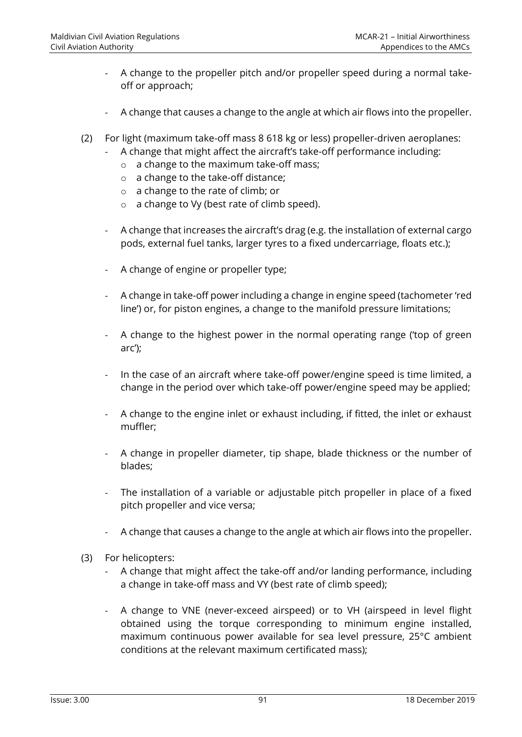- A change to the propeller pitch and/or propeller speed during a normal takeoff or approach;
- A change that causes a change to the angle at which air flows into the propeller.
- (2) For light (maximum take-off mass 8 618 kg or less) propeller-driven aeroplanes:
	- A change that might affect the aircraft's take-off performance including:
		- o a change to the maximum take-off mass;
		- o a change to the take-off distance;
		- o a change to the rate of climb; or
		- o a change to Vy (best rate of climb speed).
	- A change that increases the aircraft's drag (e.g. the installation of external cargo pods, external fuel tanks, larger tyres to a fixed undercarriage, floats etc.);
	- A change of engine or propeller type;
	- A change in take-off power including a change in engine speed (tachometer 'red line') or, for piston engines, a change to the manifold pressure limitations;
	- A change to the highest power in the normal operating range ('top of green arc');
	- In the case of an aircraft where take-off power/engine speed is time limited, a change in the period over which take-off power/engine speed may be applied;
	- A change to the engine inlet or exhaust including, if fitted, the inlet or exhaust muffler;
	- A change in propeller diameter, tip shape, blade thickness or the number of blades;
	- The installation of a variable or adjustable pitch propeller in place of a fixed pitch propeller and vice versa;
	- A change that causes a change to the angle at which air flows into the propeller.
- (3) For helicopters:
	- A change that might affect the take-off and/or landing performance, including a change in take-off mass and VY (best rate of climb speed);
	- A change to VNE (never-exceed airspeed) or to VH (airspeed in level flight obtained using the torque corresponding to minimum engine installed, maximum continuous power available for sea level pressure, 25°C ambient conditions at the relevant maximum certificated mass);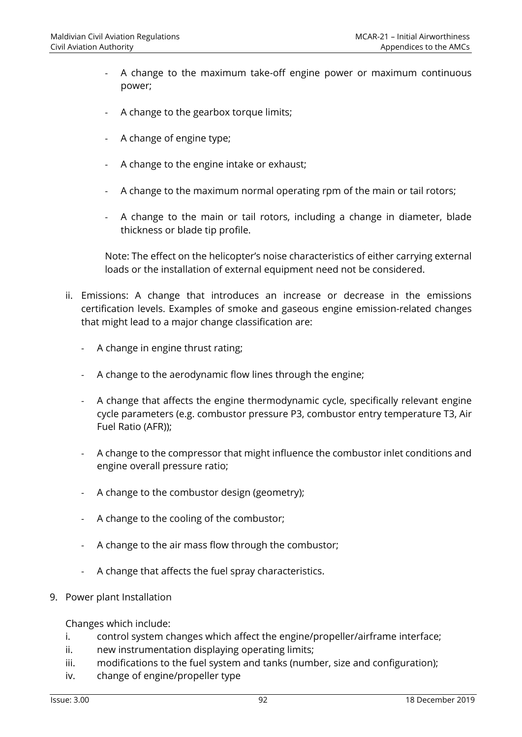- A change to the maximum take-off engine power or maximum continuous power;
- A change to the gearbox torque limits;
- A change of engine type;
- A change to the engine intake or exhaust;
- A change to the maximum normal operating rpm of the main or tail rotors;
- A change to the main or tail rotors, including a change in diameter, blade thickness or blade tip profile.

Note: The effect on the helicopter's noise characteristics of either carrying external loads or the installation of external equipment need not be considered.

- ii. Emissions: A change that introduces an increase or decrease in the emissions certification levels. Examples of smoke and gaseous engine emission-related changes that might lead to a major change classification are:
	- A change in engine thrust rating;
	- A change to the aerodynamic flow lines through the engine;
	- A change that affects the engine thermodynamic cycle, specifically relevant engine cycle parameters (e.g. combustor pressure P3, combustor entry temperature T3, Air Fuel Ratio (AFR));
	- A change to the compressor that might influence the combustor inlet conditions and engine overall pressure ratio;
	- A change to the combustor design (geometry);
	- A change to the cooling of the combustor;
	- A change to the air mass flow through the combustor;
	- A change that affects the fuel spray characteristics.
- 9. Power plant Installation

Changes which include:

- i. control system changes which affect the engine/propeller/airframe interface;
- ii. new instrumentation displaying operating limits;
- iii. modifications to the fuel system and tanks (number, size and configuration);
- iv. change of engine/propeller type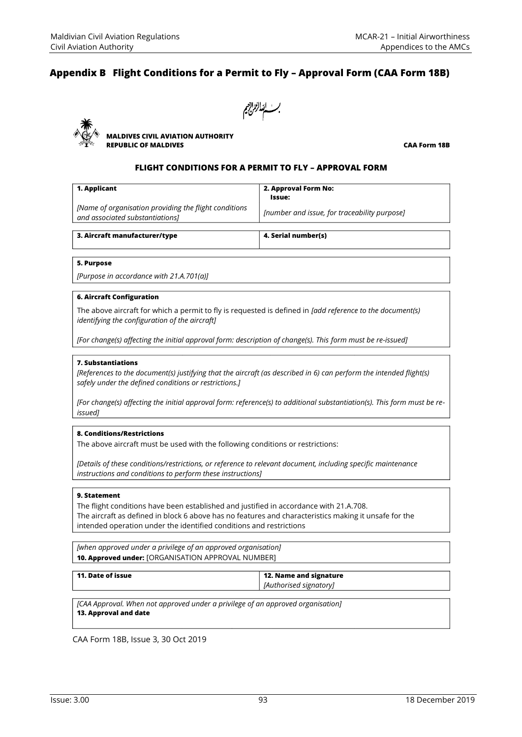## Appendix B Flight Conditions for a Permit to Fly – Approval Form (CAA Form 18B)



**MALDIVES CIVIL AVIATION AUTHORITY REPUBLIC OF MALDIVES CAA Form 18B**

### **FLIGHT CONDITIONS FOR A PERMIT TO FLY – APPROVAL FORM**

| 1. Applicant                                                                             | 2. Approval Form No:<br>Issue:               |
|------------------------------------------------------------------------------------------|----------------------------------------------|
| [Name of organisation providing the flight conditions<br>and associated substantiations] | [number and issue, for traceability purpose] |

### **3. Aircraft manufacturer/type**  4. Serial number(s)

### **5. Purpose**

*[Purpose in accordance with 21.A.701(a)]*

#### **6. Aircraft Configuration**

The above aircraft for which a permit to fly is requested is defined in *[add reference to the document(s) identifying the configuration of the aircraft]*

*[For change(s) affecting the initial approval form: description of change(s). This form must be re-issued]*

### **7. Substantiations**

*[References to the document(s) justifying that the aircraft (as described in 6) can perform the intended flight(s) safely under the defined conditions or restrictions.]*

*[For change(s) affecting the initial approval form: reference(s) to additional substantiation(s). This form must be reissued]*

#### **8. Conditions/Restrictions**

The above aircraft must be used with the following conditions or restrictions:

*[Details of these conditions/restrictions, or reference to relevant document, including specific maintenance instructions and conditions to perform these instructions]*

#### **9. Statement**

The flight conditions have been established and justified in accordance with 21.A.708. The aircraft as defined in block 6 above has no features and characteristics making it unsafe for the intended operation under the identified conditions and restrictions

*[when approved under a privilege of an approved organisation]* **10. Approved under:** [ORGANISATION APPROVAL NUMBER]

|  | <b>11. Date of issue</b> |  |
|--|--------------------------|--|
|  |                          |  |

**12. Name and signature** *[Authorised signatory]*

[CAA Approval. When not approved under a privilege of an approved organisation] **13. Approval and date** 

CAA Form 18B, Issue 3, 30 Oct 2019